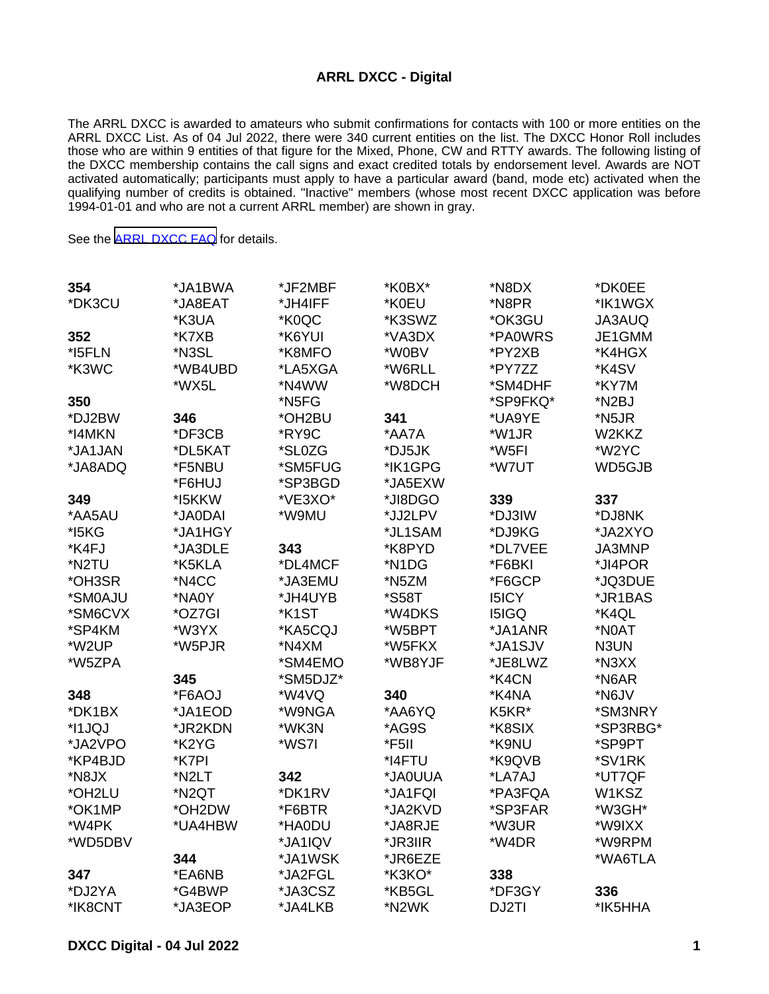## **ARRL DXCC - Digital**

The ARRL DXCC is awarded to amateurs who submit confirmations for contacts with 100 or more entities on the ARRL DXCC List. As of 04 Jul 2022, there were 340 current entities on the list. The DXCC Honor Roll includes those who are within 9 entities of that figure for the Mixed, Phone, CW and RTTY awards. The following listing of the DXCC membership contains the call signs and exact credited totals by endorsement level. Awards are NOT activated automatically; participants must apply to have a particular award (band, mode etc) activated when the qualifying number of credits is obtained. "Inactive" members (whose most recent DXCC application was before 1994-01-01 and who are not a current ARRL member) are shown in gray.

See the [ARRL DXCC FAQ](http://www.arrl.org/dxcc-faq/) for details.

| 354<br>*DK3CU | *JA1BWA<br>*JA8EAT | *JF2MBF<br>*JH4IFF | *K0BX*<br>*K0EU | *N8DX<br>*N8PR | *DK0EE<br>*IK1WGX |
|---------------|--------------------|--------------------|-----------------|----------------|-------------------|
|               | *K3UA              | *K0QC              | *K3SWZ          | *OK3GU         | JA3AUQ            |
| 352           | *K7XB              | *K6YUI             | *VA3DX          | *PA0WRS        | JE1GMM            |
| *I5FLN        | *N3SL              | *K8MFO             | *W0BV           | *PY2XB         | *K4HGX            |
| *K3WC         | *WB4UBD            | *LA5XGA            | *W6RLL          | *PY7ZZ         | *K4SV             |
|               | *WX5L              | *N4WW              | *W8DCH          | *SM4DHF        | *KY7M             |
| 350           |                    | *N5FG              |                 | *SP9FKQ*       | *N2BJ             |
| *DJ2BW        | 346                | *OH2BU             | 341             | *UA9YE         | *N5JR             |
| *I4MKN        | *DF3CB             | *RY9C              | *AA7A           | *W1JR          | W2KKZ             |
| *JA1JAN       | *DL5KAT            | *SL0ZG             | *DJ5JK          | *W5FI          | *W2YC             |
| *JA8ADQ       | *F5NBU             | *SM5FUG            | *IK1GPG         | *W7UT          | WD5GJB            |
|               | *F6HUJ             | *SP3BGD            | *JA5EXW         |                |                   |
| 349           | *I5KKW             | *VE3XO*            | *JI8DGO         | 339            | 337               |
| *AA5AU        | *JA0DAI            | *W9MU              | *JJ2LPV         | *DJ3IW         | *DJ8NK            |
| *I5KG         | *JA1HGY            |                    | *JL1SAM         | *DJ9KG         | *JA2XYO           |
| *K4FJ         | *JA3DLE            | 343                | *K8PYD          | *DL7VEE        | JA3MNP            |
| *N2TU         | *K5KLA             | *DL4MCF            | *N1DG           | *F6BKI         | *JI4POR           |
| *OH3SR        | *N4CC              | *JA3EMU            | *N5ZM           | *F6GCP         | *JQ3DUE           |
| *SM0AJU       | *NA0Y              | *JH4UYB            | *S58T           | <b>I5ICY</b>   | *JR1BAS           |
| *SM6CVX       | *OZ7GI             | *K1ST              | *W4DKS          | <b>I5IGQ</b>   | *K4QL             |
| *SP4KM        | *W3YX              | *KA5CQJ            | *W5BPT          | *JA1ANR        | *N0AT             |
| *W2UP         | *W5PJR             | *N4XM              | *W5FKX          | *JA1SJV        | N3UN              |
| *W5ZPA        |                    | *SM4EMO            | *WB8YJF         | *JE8LWZ        | *N3XX             |
|               | 345                | *SM5DJZ*           |                 | *K4CN          | *N6AR             |
| 348           | *F6AOJ             | *W4VQ              | 340             | *K4NA          | *N6JV             |
| *DK1BX        | *JA1EOD            | *W9NGA             | *AA6YQ          | K5KR*          | *SM3NRY           |
| *I1JQJ        | *JR2KDN            | *WK3N              | *AG9S           | *K8SIX         | *SP3RBG*          |
| *JA2VPO       | *K2YG              | *WS7I              | *F5II           | *K9NU          | *SP9PT            |
| *KP4BJD       | *K7PI              |                    | *I4FTU          | *K9QVB         | *SV1RK            |
| *N8JX         | *N2LT              | 342                | *JA0UUA         | *LA7AJ         | *UT7QF            |
| *OH2LU        | *N2QT              | *DK1RV             | *JA1FQI         | *PA3FQA        | W1KSZ             |
| *OK1MP        | *OH2DW             | *F6BTR             | *JA2KVD         | *SP3FAR        | *W3GH*            |
| *W4PK         | *UA4HBW            | *HA0DU             | *JA8RJE         | *W3UR          | *W9IXX            |
| *WD5DBV       |                    | *JA1IQV            | *JR3IIR         | *W4DR          | *W9RPM            |
|               | 344                | *JA1WSK            | *JR6EZE         |                | *WA6TLA           |
| 347           | *EA6NB             | *JA2FGL            | *K3KO*          | 338            |                   |
| *DJ2YA        | *G4BWP             | *JA3CSZ            | *KB5GL          | *DF3GY         | 336               |
| *IK8CNT       | *JA3EOP            | *JA4LKB            | *N2WK           | DJ2TI          | *IK5HHA           |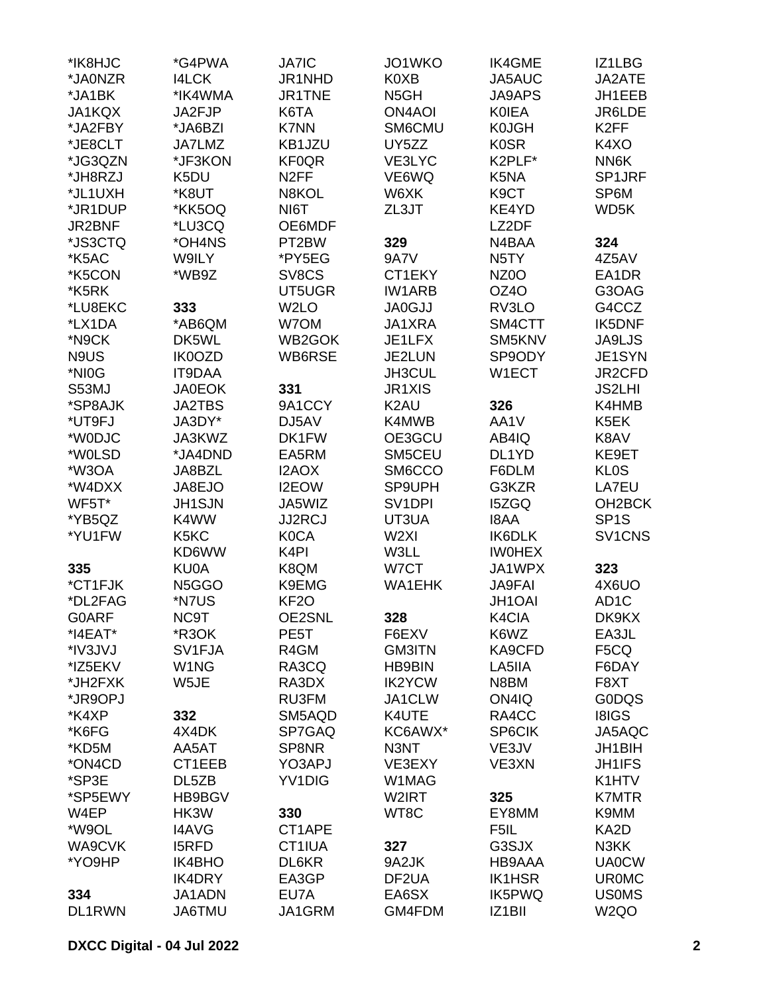| *IK8HJC<br>*JA0NZR | *G4PWA<br><b>I4LCK</b>          | <b>JA7IC</b><br>JR1NHD | JO1WKO<br>K0XB      | <b>IK4GME</b><br>JA5AUC | IZ1LBG<br>JA2ATE    |
|--------------------|---------------------------------|------------------------|---------------------|-------------------------|---------------------|
|                    |                                 |                        |                     |                         |                     |
| *JA1BK             | *IK4WMA                         | JR1TNE                 | N <sub>5</sub> GH   | <b>JA9APS</b>           | JH1EEB              |
| JA1KQX             | JA2FJP                          | K6TA                   | <b>ON4AOI</b>       | <b>KOIEA</b>            | JR6LDE              |
| *JA2FBY            | *JA6BZI                         | <b>K7NN</b>            | SM6CMU              | <b>K0JGH</b>            | K <sub>2FF</sub>    |
| *JE8CLT            | JA7LMZ                          | KB1JZU                 | UY5ZZ               | <b>K0SR</b>             | K4XO                |
| *JG3QZN            | *JF3KON                         | <b>KF0QR</b>           | VE3LYC              | K2PLF*                  | NN6K                |
| *JH8RZJ            | K5DU                            | N <sub>2</sub> FF      | VE6WQ               | K5NA                    | SP1JRF              |
| *JL1UXH            | *K8UT                           | N8KOL                  | W6XK                | K <sub>9</sub> CT       | SP6M                |
| *JR1DUP            | *KK5OQ                          | NI6T                   | ZL3JT               | KE4YD                   | WD5K                |
| JR2BNF             | *LU3CQ                          | OE6MDF                 |                     | LZ2DF                   |                     |
| *JS3CTQ            | *OH4NS                          | PT2BW                  | 329                 | N4BAA                   | 324                 |
| *K5AC              | W9ILY                           | *PY5EG                 | <b>9A7V</b>         | N <sub>5</sub> TY       | 4Z5AV               |
| *K5CON             | *WB9Z                           | SV8CS                  | CT1EKY              | NZ <sub>0</sub> O       | EA1DR               |
| *K5RK              |                                 | UT5UGR                 | <b>IW1ARB</b>       | OZ4O                    | G3OAG               |
| *LU8EKC            | 333                             | W <sub>2</sub> LO      | <b>JA0GJJ</b>       | RV3LO                   | G4CCZ               |
| *LX1DA             | *AB6QM                          | W7OM                   | JA1XRA              | SM4CTT                  | <b>IK5DNF</b>       |
| *N9CK              | DK5WL                           | WB2GOK                 | JE1LFX              | SM5KNV                  | JA9LJS              |
| N9US               | IK0OZD                          | WB6RSE                 | JE2LUN              | SP9ODY                  | JE1SYN              |
| *NI0G              | <b>IT9DAA</b>                   |                        | JH3CUL              | W1ECT                   | JR2CFD              |
| S53MJ              | <b>JA0EOK</b>                   | 331                    | <b>JR1XIS</b>       |                         | <b>JS2LHI</b>       |
| *SP8AJK            | <b>JA2TBS</b>                   | 9A1CCY                 | K <sub>2</sub> AU   | 326                     | K4HMB               |
| *UT9FJ             | JA3DY*                          | DJ5AV                  | K4MWB               | AA1V                    | K5EK                |
| *W0DJC             | JA3KWZ                          | DK1FW                  | OE3GCU              | AB4IQ                   | K8AV                |
| *W0LSD             | *JA4DND                         | EA5RM                  | SM5CEU              | DL1YD                   | KE9ET               |
| *W3OA              | JA8BZL                          | I2AOX                  | SM6CCO              | F6DLM                   | <b>KLOS</b>         |
| *W4DXX             | JA8EJO                          | I2EOW                  | SP9UPH              | G3KZR                   | LA7EU               |
| WF5T*              | JH1SJN                          | JA5WIZ                 | SV <sub>1</sub> DPI | <b>I5ZGQ</b>            | OH <sub>2</sub> BCK |
| *YB5QZ             | K4WW                            | <b>JJ2RCJ</b>          | UT3UA               | <b>I8AA</b>             | SP <sub>1</sub> S   |
| *YU1FW             | K5KC                            | <b>K0CA</b>            | W <sub>2XI</sub>    | <b>IK6DLK</b>           | SV1CNS              |
|                    | KD6WW                           | K <sub>4</sub> PI      | W3LL                | <b>IWOHEX</b>           |                     |
| 335                | KU0A                            | K8QM                   | W7CT                | JA1WPX                  | 323                 |
| *CT1FJK            | N <sub>5</sub> G <sub>G</sub> O | K9EMG                  | <b>WA1EHK</b>       | <b>JA9FAI</b>           | 4X6UO               |
| *DL2FAG            | *N7US                           | KF <sub>2</sub> O      |                     | JH1OAI                  | AD <sub>1</sub> C   |
| G0ARF              | NC9T                            | OE2SNL                 | 328                 | K4CIA                   | DK9KX               |
| *I4EAT*            | *R3OK                           | PE <sub>5</sub> T      | F6EXV               | K6WZ                    | EA3JL               |
| *IV3JVJ            | SV <sub>1FJA</sub>              | R4GM                   | <b>GM3ITN</b>       | KA9CFD                  | F5CQ                |
| *IZ5EKV            | W <sub>1</sub> NG               | RA3CQ                  | <b>HB9BIN</b>       | LA5IIA                  | F6DAY               |
| *JH2FXK            | W5JE                            | RA3DX                  | <b>IK2YCW</b>       | N8BM                    | F8XT                |
| *JR9OPJ            |                                 | RU3FM                  | JA1CLW              | ON4IQ                   | <b>GODQS</b>        |
| *K4XP              | 332                             | SM5AQD                 | K4UTE               | RA4CC                   | <b>I8IGS</b>        |
| *K6FG              | 4X4DK                           | SP7GAQ                 | KC6AWX*             | SP6CIK                  | JA5AQC              |
| *KD5M              | AA5AT                           | SP8NR                  | N3NT                | VE3JV                   | <b>JH1BIH</b>       |
| *ON4CD             | CT1EEB                          | YO3APJ                 | VE3EXY              | VE3XN                   | <b>JH1IFS</b>       |
| *SP3E              | DL5ZB                           | YV1DIG                 | W1MAG               |                         | K1HTV               |
| *SP5EWY            | HB9BGV                          |                        | W2IRT               | 325                     | <b>K7MTR</b>        |
| W4EP               | HK3W                            | 330                    | WT8C                | EY8MM                   | K9MM                |
| *W9OL              | I4AVG                           | CT1APE                 |                     | F5IL                    | KA2D                |
| WA9CVK             | <b>I5RFD</b>                    | CT1IUA                 | 327                 | G3SJX                   | N3KK                |
| *YO9HP             | <b>IK4BHO</b>                   | DL6KR                  | 9A2JK               | HB9AAA                  | <b>UA0CW</b>        |
|                    | <b>IK4DRY</b>                   | EA3GP                  | DF2UA               | <b>IK1HSR</b>           | <b>UR0MC</b>        |
| 334                | JA1ADN                          | EU7A                   | EA6SX               | <b>IK5PWQ</b>           | <b>US0MS</b>        |
| DL1RWN             | JA6TMU                          | JA1GRM                 | GM4FDM              | IZ1BII                  | W <sub>2Q</sub> O   |
|                    |                                 |                        |                     |                         |                     |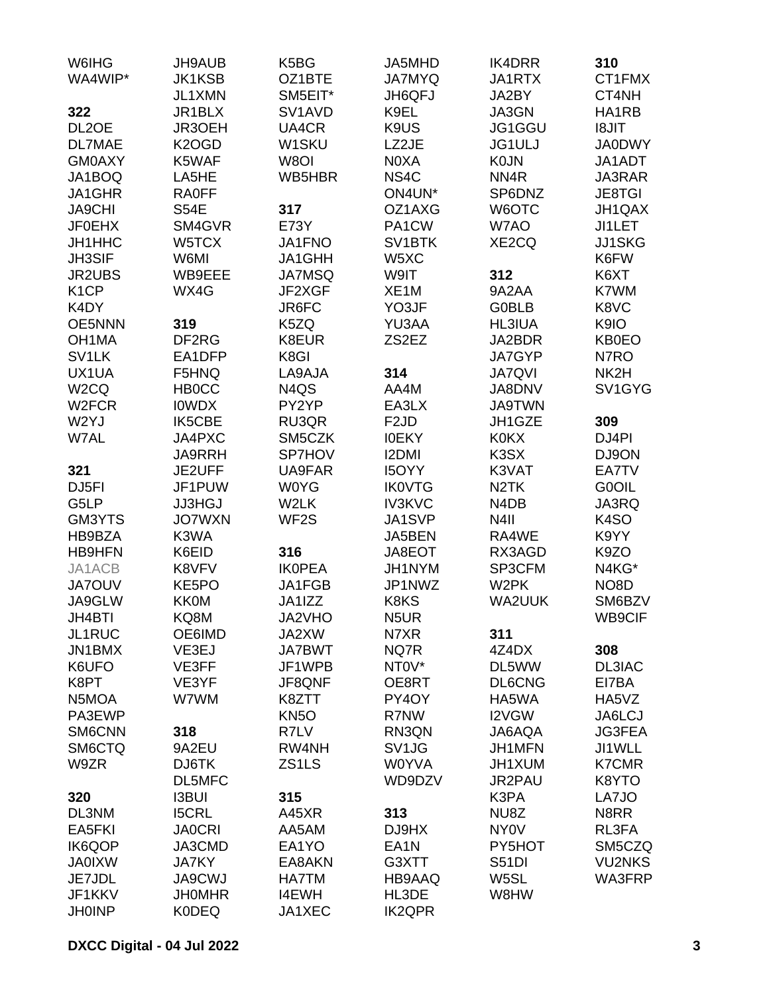| W6IHG                   | <b>JH9AUB</b>                 | K5BG                            | JA5MHD                 | <b>IK4DRR</b>        | 310                     |
|-------------------------|-------------------------------|---------------------------------|------------------------|----------------------|-------------------------|
| WA4WIP*                 | <b>JK1KSB</b>                 | OZ1BTE                          | <b>JA7MYQ</b>          | JA1RTX               | CT1FMX                  |
|                         | JL1XMN                        | SM5EIT*                         | JH6QFJ                 | JA2BY                | CT4NH                   |
| 322                     | JR1BLX                        | SV <sub>1</sub> AV <sub>D</sub> | K9EL                   | JA3GN                | HA1RB                   |
| DL <sub>2</sub> OE      | JR3OEH                        | UA4CR                           | K9US                   | JG1GGU               | <b>I8JIT</b>            |
| <b>DL7MAE</b>           | K <sub>2</sub> OGD            | W1SKU                           | LZ2JE                  | <b>JG1ULJ</b>        | <b>JA0DWY</b>           |
| <b>GM0AXY</b>           | K5WAF                         | W8OI                            | N0XA                   | <b>K0JN</b>          | JA1ADT                  |
| JA1BOQ                  | LA5HE                         | WB5HBR                          | NS4C                   | NN <sub>4</sub> R    | JA3RAR                  |
| JA1GHR                  | <b>RA0FF</b>                  |                                 | ON4UN*                 | SP6DNZ               | <b>JE8TGI</b>           |
| <b>JA9CHI</b>           | <b>S54E</b>                   | 317                             | OZ1AXG                 | W6OTC                | JH1QAX                  |
| <b>JF0EHX</b>           | SM4GVR                        | <b>E73Y</b>                     | PA1CW                  | W7AO                 | <b>JI1LET</b>           |
| JH1HHC                  | W5TCX                         | JA1FNO                          | SV <sub>1</sub> BTK    | XE2CQ                | <b>JJ1SKG</b>           |
| <b>JH3SIF</b>           | W6MI                          | JA1GHH                          | W5XC                   |                      | K6FW                    |
| <b>JR2UBS</b>           | WB9EEE                        | <b>JA7MSQ</b>                   | W9IT                   | 312                  | K6XT                    |
| K <sub>1</sub> CP       | WX4G                          | JF2XGF                          | XE <sub>1</sub> M      | 9A2AA                | K7WM                    |
| K4DY                    |                               | JR6FC                           | YO3JF                  | <b>G0BLB</b>         | K8VC                    |
| <b>OE5NNN</b>           | 319                           | K5ZQ                            | YU3AA                  | <b>HL3IUA</b>        | K9IO                    |
| OH <sub>1</sub> MA      | DF <sub>2</sub> RG            | K8EUR                           | ZS2EZ                  | JA2BDR               | <b>KB0EO</b>            |
| SV <sub>1</sub> LK      | EA1DFP                        | K8GI                            |                        | <b>JA7GYP</b>        | N7RO                    |
| UX1UA                   | F5HNQ                         | LA9AJA                          | 314                    | <b>JA7QVI</b>        | NK2H                    |
| W <sub>2</sub> CQ       | <b>HB0CC</b>                  | N4QS                            | AA4M                   | <b>JA8DNV</b>        | SV1GYG                  |
| W <sub>2</sub> FCR      | <b>IOWDX</b>                  | PY2YP                           | EA3LX                  | <b>JA9TWN</b>        |                         |
| W2YJ                    | <b>IK5CBE</b>                 | RU3QR                           | F <sub>2</sub> JD      | JH1GZE               | 309                     |
| W7AL                    | JA4PXC                        | SM5CZK                          | <b>IOEKY</b>           | <b>K0KX</b>          | DJ4PI                   |
|                         | <b>JA9RRH</b>                 | SP7HOV                          | <b>I2DMI</b>           | K3SX                 | DJ9ON                   |
| 321                     | JE2UFF                        | UA9FAR                          | <b>I5OYY</b>           | K3VAT                | EA7TV                   |
| DJ <sub>5FI</sub>       | JF1PUW                        | <b>W0YG</b>                     | <b>IK0VTG</b>          | N <sub>2</sub> TK    | <b>G0OIL</b>            |
| G5LP                    | <b>JJ3HGJ</b>                 | W2LK                            | <b>IV3KVC</b>          | N4DB                 | JA3RQ                   |
| GM3YTS                  | <b>JO7WXN</b>                 | WF <sub>2</sub> S               | JA1SVP                 | N <sub>4</sub> II    | K4SO                    |
| HB9BZA                  | K3WA                          |                                 | JA5BEN                 | RA4WE                | K9YY                    |
| <b>HB9HFN</b>           | K6EID                         | 316                             | JA8EOT                 | RX3AGD               | K9ZO                    |
| JA1ACB                  | K8VFV                         | <b>IKOPEA</b>                   | JH1NYM                 | SP3CFM               | N4KG*                   |
| <b>JA7OUV</b>           | KE5PO                         | JA1FGB                          | JP1NWZ                 | W <sub>2</sub> PK    | NO <sub>8</sub> D       |
| JA9GLW                  | <b>KK0M</b>                   | JA1IZZ                          | K8KS                   | <b>WA2UUK</b>        | SM6BZV                  |
| JH4BTI                  | KQ8M                          | JA2VHO                          | N5UR                   |                      | WB9CIF                  |
| JL1RUC                  | OE6IMD                        | JA2XW                           | N7XR                   | 311                  |                         |
| JN1BMX                  | VE3EJ                         | <b>JA7BWT</b>                   | NQ7R                   | 4Z4DX                | 308                     |
| K6UFO                   | VE3FF                         | JF1WPB                          | NT0V*                  | DL5WW                | DL3IAC                  |
| K8PT                    | VE3YF                         | JF8QNF                          | OE8RT                  | <b>DL6CNG</b>        | EI7BA                   |
| N5MOA                   | W7WM                          | K8ZTT                           | PY4OY                  | HA5WA                | HA5VZ                   |
| PA3EWP                  |                               | <b>KN5O</b>                     | R7NW                   | I2VGW                | JA6LCJ                  |
| SM6CNN                  | 318                           | R7LV                            | RN3QN                  | JA6AQA               | <b>JG3FEA</b>           |
| SM6CTQ                  | 9A2EU                         | RW4NH                           | SV <sub>1JG</sub>      | JH1MFN               | JI1WLL                  |
| W9ZR                    | DJ6TK                         | ZS1LS                           | <b>W0YVA</b>           | JH1XUM               | <b>K7CMR</b>            |
|                         | DL5MFC                        |                                 | WD9DZV                 | JR2PAU               | K8YTO                   |
| 320                     | <b>I3BUI</b>                  | 315                             |                        | K3PA                 | LA7JO                   |
| DL3NM                   | <b>I5CRL</b>                  | A45XR                           | 313                    | NU8Z                 | N8RR                    |
| EA5FKI                  | <b>JA0CRI</b>                 | AA5AM                           | DJ9HX                  | <b>NY0V</b>          | RL3FA                   |
| <b>IK6QOP</b>           | JA3CMD                        | EA1YO                           | EA <sub>1</sub> N      | PY5HOT               | SM5CZQ                  |
| <b>JA0IXW</b><br>JE7JDL | <b>JA7KY</b><br><b>JA9CWJ</b> | EA8AKN<br><b>HA7TM</b>          | G3XTT<br>HB9AAQ        | <b>S51DI</b><br>W5SL | <b>VU2NKS</b><br>WA3FRP |
| JF1KKV                  | <b>JHOMHR</b>                 |                                 |                        |                      |                         |
|                         | <b>K0DEQ</b>                  | <b>I4EWH</b>                    | HL3DE<br><b>IK2QPR</b> | W8HW                 |                         |
| <b>JH0INP</b>           |                               | JA1XEC                          |                        |                      |                         |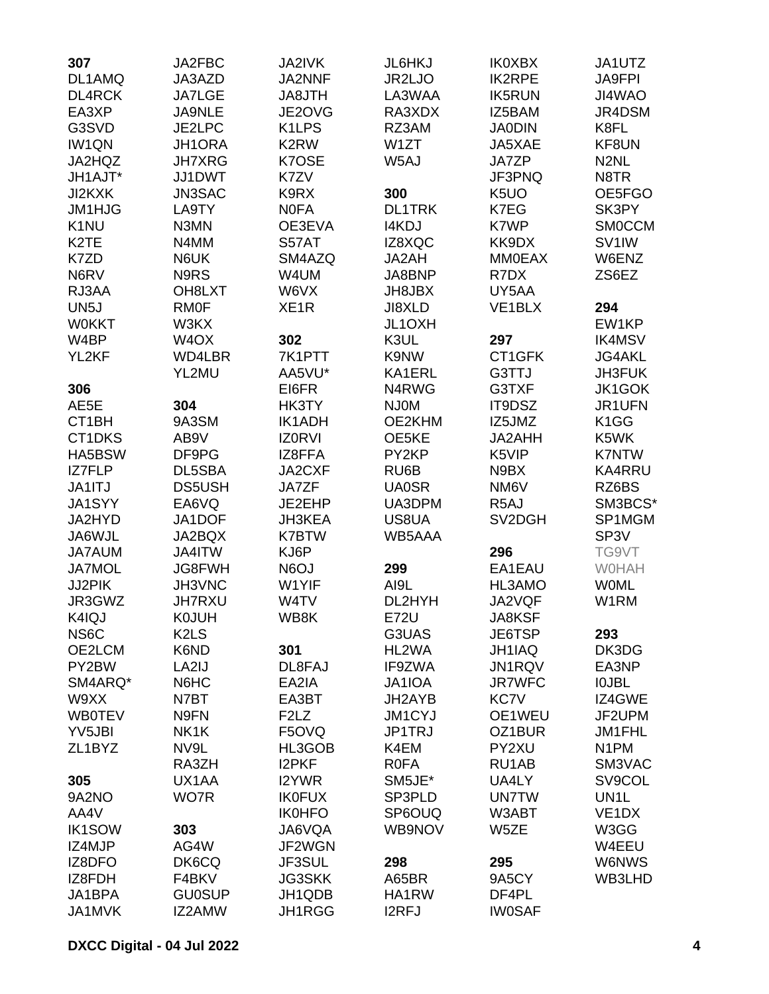| 307               | JA2FBC                        | <b>JA2IVK</b>                 | JL6HKJ            | <b>IK0XBX</b>     | JA1UTZ             |
|-------------------|-------------------------------|-------------------------------|-------------------|-------------------|--------------------|
| DL1AMQ            | JA3AZD                        | JA2NNF                        | JR2LJO            | <b>IK2RPE</b>     | <b>JA9FPI</b>      |
| <b>DL4RCK</b>     | <b>JA7LGE</b>                 | JA8JTH                        | LA3WAA            | <b>IK5RUN</b>     | JI4WAO             |
| EA3XP             | JA9NLE                        | JE2OVG                        | RA3XDX            | IZ5BAM            | JR4DSM             |
| G3SVD             | JE2LPC                        | K1LPS                         | RZ3AM             | <b>JA0DIN</b>     | K8FL               |
| <b>IW1QN</b>      | JH1ORA                        | K <sub>2</sub> RW             | W <sub>1</sub> ZT | JA5XAE            | KF8UN              |
| JA2HQZ            | <b>JH7XRG</b>                 | K7OSE                         | W5AJ              | <b>JA7ZP</b>      | N <sub>2</sub> NL  |
| JH1AJT*           | JJ1DWT                        | K7ZV                          |                   | JF3PNQ            | N8TR               |
| JI2KXK            | JN3SAC                        | K9RX                          | 300               | K <sub>5</sub> UO | OE5FGO             |
| JM1HJG            | LA9TY                         | <b>NOFA</b>                   | <b>DL1TRK</b>     | K7EG              | SK3PY              |
| K <sub>1</sub> NU | N3MN                          | OE3EVA                        | <b>I4KDJ</b>      | K7WP              | <b>SMOCCM</b>      |
| K <sub>2</sub> TE | N4MM                          | S57AT                         | IZ8XQC            | KK9DX             | SV <sub>1</sub> IW |
| K7ZD              |                               |                               |                   |                   |                    |
|                   | N6UK                          | SM4AZQ                        | JA2AH             | <b>MM0EAX</b>     | W6ENZ              |
| N6RV              | N9RS                          | W4UM                          | JA8BNP            | R7DX              | ZS6EZ              |
| RJ3AA             | OH8LXT                        | W6VX                          | JH8JBX            | UY5AA             |                    |
| UN <sub>5</sub> J | <b>RM0F</b>                   | XE <sub>1R</sub>              | JI8XLD            | VE1BLX            | 294                |
| <b>WOKKT</b>      | W3KX                          |                               | JL1OXH            |                   | EW1KP              |
| W4BP              | W <sub>4</sub> OX             | 302                           | K3UL              | 297               | <b>IK4MSV</b>      |
| YL2KF             | WD4LBR                        | 7K1PTT                        | K9NW              | CT1GFK            | <b>JG4AKL</b>      |
|                   | YL2MU                         | AA5VU*                        | KA1ERL            | G3TTJ             | <b>JH3FUK</b>      |
| 306               |                               | EI6FR                         | N4RWG             | G3TXF             | <b>JK1GOK</b>      |
| AE5E              | 304                           | HK3TY                         | <b>NJ0M</b>       | IT9DSZ            | JR1UFN             |
| CT1BH             | 9A3SM                         | <b>IK1ADH</b>                 | OE2KHM            | IZ5JMZ            | K1GG               |
| CT1DKS            | AB9V                          | <b>IZ0RVI</b>                 | OE5KE             | JA2AHH            | K5WK               |
| HA5BSW            | DF9PG                         | IZ8FFA                        | PY2KP             | K5VIP             | <b>K7NTW</b>       |
| <b>IZ7FLP</b>     | DL5SBA                        | JA2CXF                        | RU6B              | N9BX              | <b>KA4RRU</b>      |
| JA1ITJ            | <b>DS5USH</b>                 | JA7ZF                         | <b>UA0SR</b>      | NM <sub>6</sub> V | RZ6BS              |
| <b>JA1SYY</b>     | EA6VQ                         | JE2EHP                        | UA3DPM            | R <sub>5</sub> AJ | SM3BCS*            |
| JA2HYD            | JA1DOF                        | <b>JH3KEA</b>                 | US8UA             | SV2DGH            | SP1MGM             |
| JA6WJL            | JA2BQX                        | <b>K7BTW</b>                  | WB5AAA            |                   | SP <sub>3</sub> V  |
| <b>JA7AUM</b>     | JA4ITW                        | KJ6P                          |                   | 296               | TG9VT              |
| <b>JA7MOL</b>     | <b>JG8FWH</b>                 | N6OJ                          | 299               | EA1EAU            | <b>WOHAH</b>       |
| JJ2PIK            | JH3VNC                        | W1YIF                         | AI9L              | HL3AMO            | <b>WOML</b>        |
| JR3GWZ            | <b>JH7RXU</b>                 | W4TV                          | DL2HYH            | JA2VQF            | W1RM               |
| K4IQJ             | <b>K0JUH</b>                  | WB8K                          | <b>E72U</b>       | JA8KSF            |                    |
| NS <sub>6</sub> C | K <sub>2</sub> L <sub>S</sub> |                               | G3UAS             | JE6TSP            | 293                |
| OE2LCM            | K6ND                          | 301                           | HL2WA             | JH1IAQ            | DK3DG              |
| PY2BW             | LA2IJ                         | DL8FAJ                        | IF9ZWA            | JN1RQV            | EA3NP              |
| SM4ARQ*           | N6HC                          | EA2IA                         | JA1IOA            | <b>JR7WFC</b>     | <b>IOJBL</b>       |
| W9XX              | N7BT                          | EA3BT                         | JH2AYB            | KC7V              | IZ4GWE             |
| <b>WB0TEV</b>     | N9FN                          | F <sub>2</sub> L <sub>Z</sub> | <b>JM1CYJ</b>     | OE1WEU            | JF2UPM             |
| YV5JBI            | NK1K                          | F5OVQ                         | JP1TRJ            | OZ1BUR            | JM1FHL             |
| ZL1BYZ            | NV9L                          | HL3GOB                        | K4EM              | PY2XU             | N <sub>1</sub> PM  |
|                   | RA3ZH                         | <b>I2PKF</b>                  | <b>ROFA</b>       | RU1AB             | SM3VAC             |
| 305               | UX1AA                         | <b>I2YWR</b>                  | SM5JE*            | UA4LY             | SV9COL             |
| 9A2NO             | WO7R                          | <b>IK0FUX</b>                 | SP3PLD            | <b>UN7TW</b>      | UN <sub>1</sub> L  |
| AA4V              |                               | <b>IK0HFO</b>                 | SP6OUQ            | W3ABT             | VE <sub>1</sub> DX |
|                   |                               |                               |                   |                   |                    |
| <b>IK1SOW</b>     | 303                           | JA6VQA                        | WB9NOV            | W5ZE              | W3GG               |
| IZ4MJP            | AG4W                          | JF2WGN                        |                   |                   | W4EEU              |
| IZ8DFO            | DK6CQ                         | JF3SUL                        | 298               | 295               | W6NWS              |
| IZ8FDH            | F4BKV                         | <b>JG3SKK</b>                 | A65BR             | 9A5CY             | WB3LHD             |
| JA1BPA            | <b>GU0SUP</b>                 | JH1QDB                        | HA1RW             | DF4PL             |                    |
| JA1MVK            | IZ2AMW                        | <b>JH1RGG</b>                 | <b>I2RFJ</b>      | <b>IW0SAF</b>     |                    |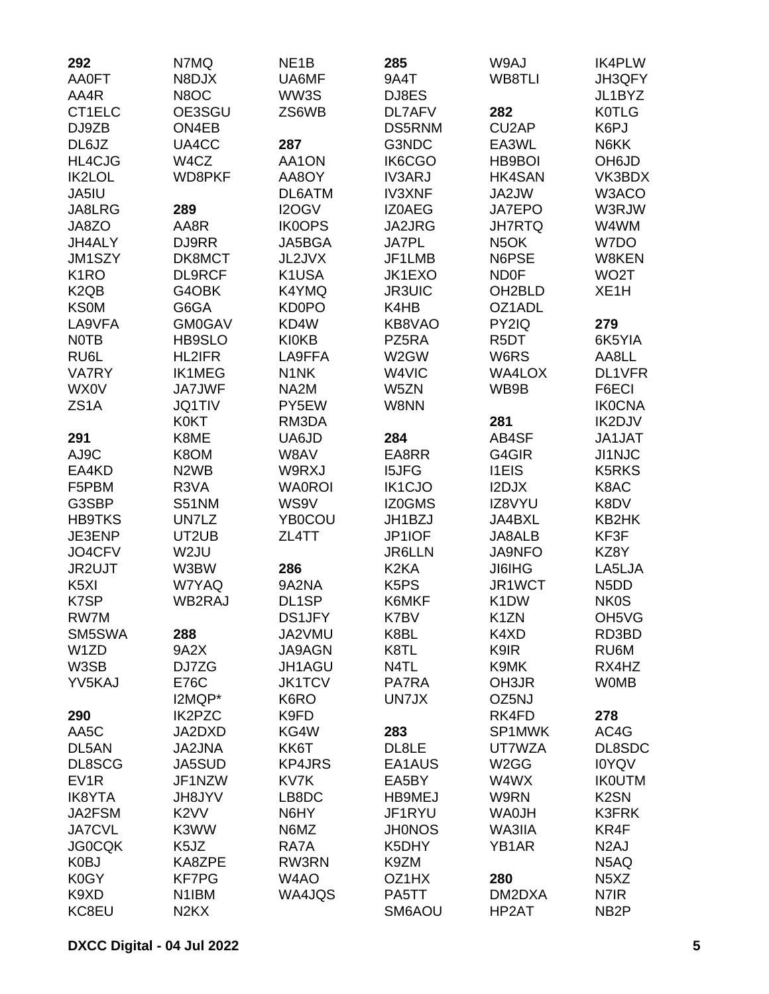| 292                           | N7MQ                          | NE <sub>1</sub> B  | 285                           | W9AJ                | <b>IK4PLW</b>                 |
|-------------------------------|-------------------------------|--------------------|-------------------------------|---------------------|-------------------------------|
| <b>AA0FT</b>                  | N8DJX                         | UA6MF              | 9A4T                          | WB8TLI              | JH3QFY                        |
| AA4R                          | N8OC                          | WW3S               | DJ8ES                         |                     | JL1BYZ                        |
| CT1ELC                        | OE3SGU                        | ZS6WB              | DL7AFV                        | 282                 | <b>K0TLG</b>                  |
| DJ9ZB                         | ON4EB                         |                    | DS5RNM                        | CU <sub>2</sub> AP  | K6PJ                          |
| DL6JZ                         | UA4CC                         | 287                | G3NDC                         | EA3WL               | N6KK                          |
| <b>HL4CJG</b>                 | W4CZ                          | AA1ON              | IK6CGO                        | HB9BOI              | OH6JD                         |
| <b>IK2LOL</b>                 | WD8PKF                        | AA8OY              | <b>IV3ARJ</b>                 | <b>HK4SAN</b>       | VK3BDX                        |
| JA5IU                         |                               | DL6ATM             | <b>IV3XNF</b>                 | JA2JW               | W3ACO                         |
| JA8LRG                        | 289                           | I2OGV              | IZ0AEG                        | <b>JA7EPO</b>       | W3RJW                         |
| JA8ZO                         | AA8R                          | <b>IK0OPS</b>      | <b>JA2JRG</b>                 | <b>JH7RTQ</b>       | W4WM                          |
| JH4ALY                        | DJ9RR                         | JA5BGA             | <b>JA7PL</b>                  | N <sub>5</sub> OK   | W7DO                          |
| JM1SZY                        | DK8MCT                        | JL2JVX             | JF1LMB                        | N6PSE               | W8KEN                         |
| K <sub>1</sub> RO             | DL9RCF                        | K1USA              | JK1EXO                        | <b>ND0F</b>         | WO <sub>2</sub> T             |
| K <sub>2</sub> Q <sub>B</sub> | G4OBK                         | K4YMQ              | <b>JR3UIC</b>                 | OH <sub>2</sub> BLD | XE <sub>1</sub> H             |
| <b>KS0M</b>                   | G6GA                          | KD0PO              | K4HB                          | OZ1ADL              |                               |
| LA9VFA                        | <b>GM0GAV</b>                 | KD4W               | KB8VAO                        | PY2IQ               | 279                           |
| <b>NOTB</b>                   | HB9SLO                        | <b>KI0KB</b>       | PZ5RA                         | R <sub>5</sub> DT   | 6K5YIA                        |
| RU6L                          | <b>HL2IFR</b>                 | LA9FFA             | W2GW                          |                     |                               |
|                               |                               |                    |                               | W6RS                | AA8LL                         |
| <b>VA7RY</b>                  | <b>IK1MEG</b>                 | N <sub>1</sub> NK  | W4VIC                         | WA4LOX              | DL1VFR                        |
| <b>WX0V</b>                   | <b>JA7JWF</b>                 | NA2M               | W5ZN                          | WB9B                | F6ECI                         |
| ZS <sub>1</sub> A             | <b>JQ1TIV</b>                 | PY5EW              | W8NN                          |                     | <b>IK0CNA</b>                 |
|                               | <b>K0KT</b>                   | RM3DA              |                               | 281                 | IK2DJV                        |
| 291                           | K8ME                          | UA6JD              | 284                           | AB4SF               | JA1JAT                        |
| AJ9C                          | K8OM                          | W8AV               | EA8RR                         | G4GIR               | <b>JI1NJC</b>                 |
| EA4KD                         | N <sub>2</sub> W <sub>B</sub> | W9RXJ              | <b>I5JFG</b>                  | <b>I1EIS</b>        | K5RKS                         |
| F5PBM                         | R3VA                          | <b>WA0ROI</b>      | <b>IK1CJO</b>                 | I2DJX               | K8AC                          |
| G3SBP                         | <b>S51NM</b>                  | WS9V               | IZ0GMS                        | IZ8VYU              | K8DV                          |
| <b>HB9TKS</b>                 | UN7LZ                         | YB0COU             | JH1BZJ                        | JA4BXL              | KB2HK                         |
| JE3ENP                        | UT2UB                         | ZL4TT              | JP1IOF                        | JA8ALB              | KF3F                          |
| JO4CFV                        | W <sub>2</sub> JU             |                    | <b>JR6LLN</b>                 | <b>JA9NFO</b>       | KZ8Y                          |
| JR2UJT                        | W3BW                          | 286                | K <sub>2</sub> KA             | <b>JI6IHG</b>       | LA5LJA                        |
| K <sub>5</sub> XI             | W7YAQ                         | 9A2NA              | K <sub>5</sub> P <sub>S</sub> | JR1WCT              | N <sub>5</sub> D <sub>D</sub> |
| K7SP                          | WB2RAJ                        | DL <sub>1</sub> SP | K6MKF                         | K <sub>1</sub> DW   | <b>NK0S</b>                   |
| RW7M                          |                               | DS1JFY             | K7BV                          | K1ZN                | OH5VG                         |
| SM5SWA                        | 288                           | JA2VMU             | K8BL                          | K4XD                | RD3BD                         |
| W1ZD                          | 9A2X                          | JA9AGN             | K8TL                          | K9IR                | RU6M                          |
| W3SB                          | DJ7ZG                         | JH1AGU             | N4TL                          | K9MK                | RX4HZ                         |
| YV5KAJ                        | <b>E76C</b>                   | <b>JK1TCV</b>      | PA7RA                         | OH3JR               | <b>WOMB</b>                   |
|                               | I2MQP*                        | K6RO               | UN7JX                         | OZ5NJ               |                               |
| 290                           | <b>IK2PZC</b>                 | K9FD               |                               | RK4FD               | 278                           |
| AA5C                          | JA2DXD                        | KG4W               | 283                           | SP1MWK              | AC4G                          |
| DL5AN                         | <b>JA2JNA</b>                 | KK6T               | DL8LE                         | UT7WZA              | DL8SDC                        |
| DL8SCG                        | <b>JA5SUD</b>                 | <b>KP4JRS</b>      | EA1AUS                        | W <sub>2</sub> GG   | <b>IOYQV</b>                  |
| EV <sub>1</sub> R             | JF1NZW                        | KV7K               | EA5BY                         | W4WX                | <b>IKOUTM</b>                 |
| <b>IK8YTA</b>                 | <b>JH8JYV</b>                 | LB8DC              | <b>HB9MEJ</b>                 | W9RN                | K <sub>2</sub> SN             |
| JA2FSM                        | K <sub>2</sub> VV             | N6HY               | JF1RYU                        | <b>WA0JH</b>        | <b>K3FRK</b>                  |
| <b>JA7CVL</b>                 | K3WW                          | N6MZ               | <b>JH0NOS</b>                 | WA3IIA              | KR4F                          |
| <b>JG0CQK</b>                 | K <sub>5</sub> JZ             | RA7A               | K5DHY                         | YB1AR               | N <sub>2</sub> AJ             |
| K0BJ                          | KA8ZPE                        | RW3RN              | K9ZM                          |                     | N5AQ                          |
| K0GY                          | <b>KF7PG</b>                  | W4AO               | OZ1HX                         | 280                 | N <sub>5</sub> X <sub>Z</sub> |
| K9XD                          | N <sub>1</sub> IBM            | WA4JQS             | PA5TT                         | DM2DXA              | N7IR                          |
| KC8EU                         | N <sub>2</sub> K <sub>X</sub> |                    | SM6AOU                        | HP2AT               | NB <sub>2</sub> P             |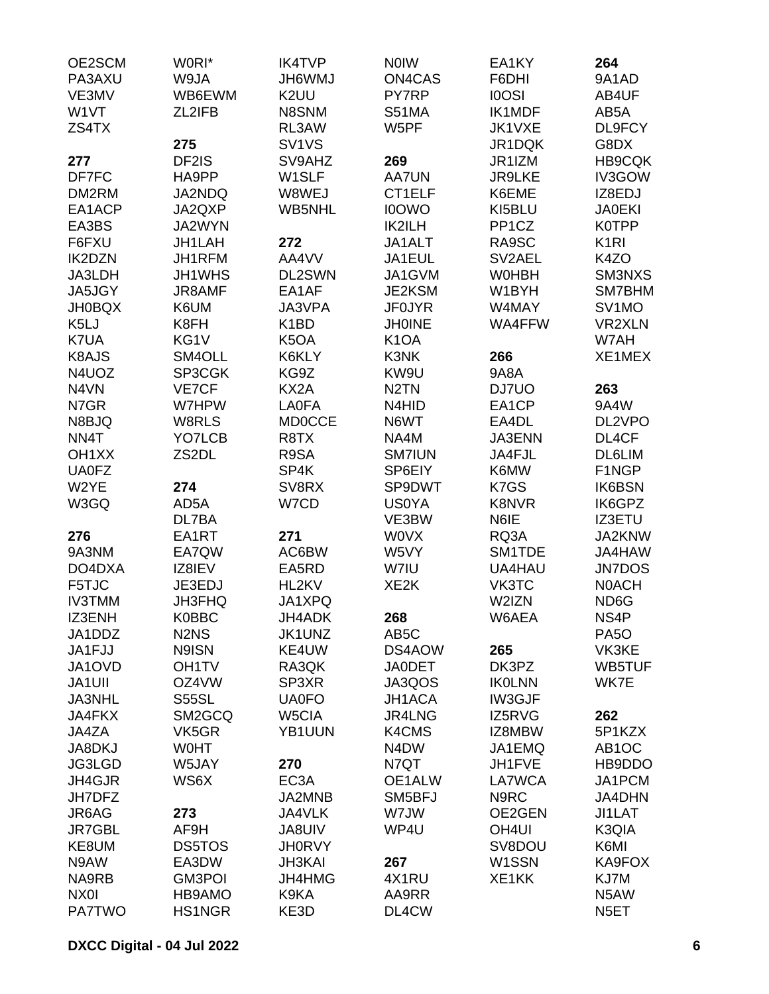| OE2SCM             | W0RI*                         | <b>IK4TVP</b>     | <b>NOIW</b>       | EA1KY              | 264                |
|--------------------|-------------------------------|-------------------|-------------------|--------------------|--------------------|
| PA3AXU             | W9JA                          | JH6WMJ            | <b>ON4CAS</b>     | F6DHI              | 9A1AD              |
| VE3MV              | WB6EWM                        | K <sub>2</sub> UU | PY7RP             | <b>IOOSI</b>       | AB4UF              |
| W1VT               | ZL2IFB                        | N8SNM             | S51MA             | <b>IK1MDF</b>      | AB5A               |
| ZS4TX              |                               | RL3AW             | W5PF              | JK1VXE             | DL9FCY             |
|                    | 275                           | SV1VS             |                   | JR1DQK             | G8DX               |
| 277                | DF2IS                         | SV9AHZ            | 269               | JR1IZM             | <b>HB9CQK</b>      |
| DF7FC              | HA9PP                         | W1SLF             | <b>AA7UN</b>      | <b>JR9LKE</b>      | IV3GOW             |
| DM2RM              | JA2NDQ                        | W8WEJ             | CT1ELF            | K6EME              | IZ8EDJ             |
| EA1ACP             | JA2QXP                        | <b>WB5NHL</b>     | <b>I0OWO</b>      | KI5BLU             | <b>JA0EKI</b>      |
| EA3BS              | JA2WYN                        |                   | IK2ILH            | PP <sub>1</sub> CZ | <b>K0TPP</b>       |
| F6FXU              | JH1LAH                        | 272               | JA1ALT            | RA9SC              | K <sub>1</sub> RI  |
| <b>IK2DZN</b>      | JH1RFM                        | AA4VV             | JA1EUL            | SV2AEL             | K4ZO               |
| JA3LDH             | JH1WHS                        | DL2SWN            | JA1GVM            | <b>WOHBH</b>       | SM3NXS             |
| JA5JGY             | JR8AMF                        | EA1AF             | JE2KSM            | W1BYH              | SM7BHM             |
|                    |                               | JA3VPA            | <b>JF0JYR</b>     | W4MAY              |                    |
| <b>JH0BQX</b>      | K6UM                          |                   |                   |                    | SV <sub>1</sub> MO |
| K5LJ               | K8FH                          | K <sub>1</sub> BD | <b>JH0INE</b>     | WA4FFW             | VR2XLN             |
| K7UA               | KG1V                          | K <sub>5</sub> OA | K <sub>1</sub> OA |                    | W7AH               |
| K8AJS              | SM4OLL                        | K6KLY             | K3NK              | 266                | XE1MEX             |
| N4UOZ              | SP3CGK                        | KG9Z              | KW9U              | 9A8A               |                    |
| N4VN               | VE7CF                         | KX2A              | N <sub>2</sub> TN | DJ7UO              | 263                |
| N7GR               | W7HPW                         | <b>LA0FA</b>      | N4HID             | EA1CP              | 9A4W               |
| N8BJQ              | W8RLS                         | <b>MD0CCE</b>     | N6WT              | EA4DL              | DL2VPO             |
| NN4T               | YO7LCB                        | R8TX              | NA4M              | <b>JA3ENN</b>      | DL4CF              |
| OH <sub>1</sub> XX | ZS2DL                         | R9SA              | <b>SM7IUN</b>     | JA4FJL             | DL6LIM             |
| <b>UA0FZ</b>       |                               | SP4K              | SP6EIY            | K6MW               | F1NGP              |
| W2YE               | 274                           | SV8RX             | SP9DWT            | K7GS               | <b>IK6BSN</b>      |
| W3GQ               | AD5A                          | W7CD              | <b>US0YA</b>      | <b>K8NVR</b>       | IK6GPZ             |
|                    | DL7BA                         |                   | VE3BW             | N6IE               | IZ3ETU             |
| 276                | EA1RT                         | 271               | <b>WOVX</b>       | RQ3A               | JA2KNW             |
| 9A3NM              | EA7QW                         | AC6BW             | W5VY              | SM1TDE             | JA4HAW             |
| DO4DXA             | IZ8IEV                        | EA5RD             | W7IU              | <b>UA4HAU</b>      | <b>JN7DOS</b>      |
| F5TJC              | JE3EDJ                        | HL2KV             | XE <sub>2</sub> K | VK3TC              | <b>NOACH</b>       |
| <b>IV3TMM</b>      | <b>JH3FHQ</b>                 | JA1XPQ            |                   | W2IZN              | ND <sub>6</sub> G  |
| IZ3ENH             | <b>K0BBC</b>                  | JH4ADK            | 268               | W6AEA              | NS4P               |
| JA1DDZ             | N <sub>2</sub> N <sub>S</sub> | JK1UNZ            | AB <sub>5</sub> C |                    | PA <sub>5</sub> O  |
| JA1FJJ             | N9ISN                         | KE4UW             | DS4AOW            | 265                | VK3KE              |
| JA1OVD             | OH <sub>1</sub> TV            | RA3QK             | <b>JA0DET</b>     | DK3PZ              | WB5TUF             |
| JA1UII             | OZ4VW                         | SP3XR             | JA3QOS            | <b>IKOLNN</b>      | WK7E               |
| <b>JA3NHL</b>      | S55SL                         | <b>UA0FO</b>      | JH1ACA            | IW3GJF             |                    |
| <b>JA4FKX</b>      | SM2GCQ                        | W5CIA             | JR4LNG            | IZ5RVG             | 262                |
| JA4ZA              | VK5GR                         | YB1UUN            | K4CMS             | IZ8MBW             | 5P1KZX             |
| JA8DKJ             | <b>WOHT</b>                   |                   | N4DW              | JA1EMQ             | AB <sub>1</sub> OC |
| JG3LGD             | W5JAY                         | 270               | N7QT              | JH1FVE             | HB9DDO             |
| JH4GJR             | WS6X                          | EC3A              | OE1ALW            | LA7WCA             | JA1PCM             |
| JH7DFZ             |                               | JA2MNB            | SM5BFJ            | N9RC               | <b>JA4DHN</b>      |
| JR6AG              | 273                           | JA4VLK            | W7JW              | OE2GEN             | <b>JI1LAT</b>      |
| <b>JR7GBL</b>      | AF9H                          | <b>JA8UIV</b>     | WP4U              | OH <sub>4UI</sub>  | K3QIA              |
| KE8UM              | <b>DS5TOS</b>                 | <b>JH0RVY</b>     |                   | SV8DOU             | K6MI               |
| N9AW               | EA3DW                         | <b>JH3KAI</b>     | 267               | W1SSN              | KA9FOX             |
| NA9RB              | GM3POI                        | JH4HMG            | 4X1RU             | XE1KK              | KJ7M               |
| NX <sub>0</sub>    | HB9AMO                        | K9KA              | AA9RR             |                    | N5AW               |
| <b>PA7TWO</b>      | <b>HS1NGR</b>                 | KE3D              | DL4CW             |                    | N <sub>5</sub> ET  |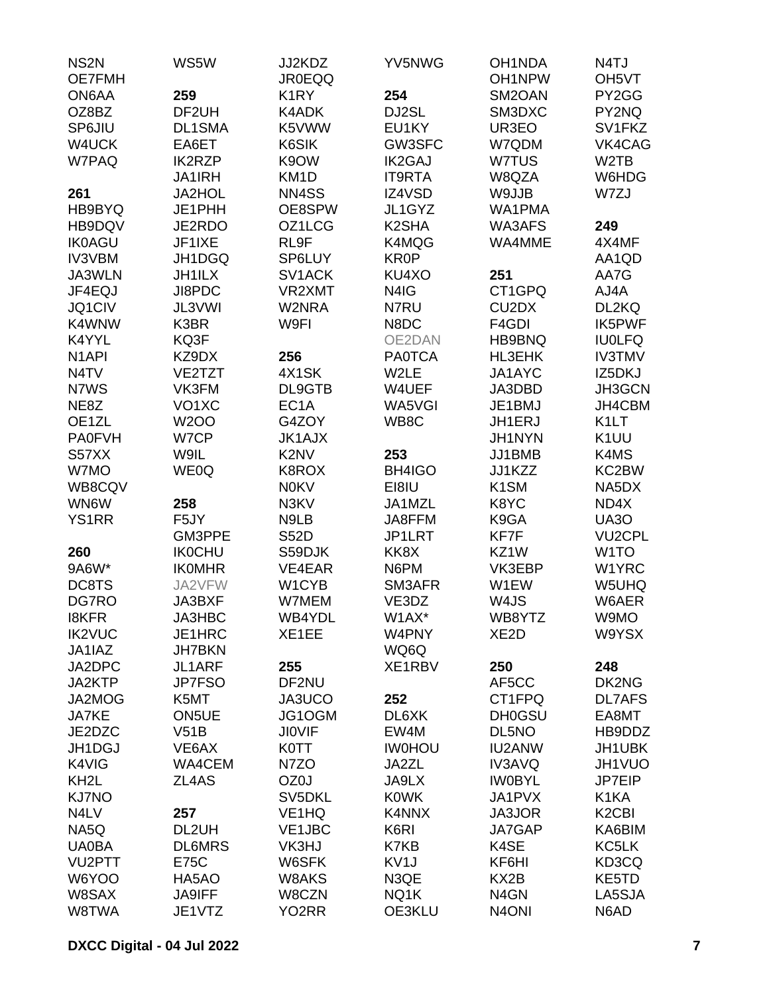| NS <sub>2N</sub>   | WS5W               | JJ2KDZ                        | YV5NWG             | OH1NDA                         | N4TJ                           |
|--------------------|--------------------|-------------------------------|--------------------|--------------------------------|--------------------------------|
| OE7FMH             |                    | <b>JR0EQQ</b>                 |                    | OH <sub>1</sub> NPW            | OH <sub>5</sub> VT             |
| ON6AA              | 259                | K <sub>1</sub> RY             | 254                | SM2OAN                         | PY2GG                          |
| OZ8BZ              | DF2UH              | K4ADK                         | DJ2SL              | SM3DXC                         | PY2NQ                          |
| SP6JIU             | <b>DL1SMA</b>      | K5VWW                         | EU1KY              | UR3EO                          | SV1FKZ                         |
| W4UCK              | EA6ET              | K6SIK                         | GW3SFC             | W7QDM                          | VK4CAG                         |
| W7PAQ              | <b>IK2RZP</b>      | K9OW                          | <b>IK2GAJ</b>      | W7TUS                          | W <sub>2</sub> TB              |
|                    | <b>JA1IRH</b>      | KM <sub>1</sub> D             | <b>IT9RTA</b>      | W8QZA                          | W6HDG                          |
| 261                | JA2HOL             | NN4SS                         | IZ4VSD             | W9JJB                          | W7ZJ                           |
| HB9BYQ             | JE1PHH             | OE8SPW                        | JL1GYZ             | WA1PMA                         |                                |
| HB9DQV             | JE2RDO             | OZ1LCG                        | K <sub>2</sub> SHA | WA3AFS                         | 249                            |
| <b>IK0AGU</b>      | JF1IXE             | RL9F                          | K4MQG              | WA4MME                         | 4X4MF                          |
| <b>IV3VBM</b>      | JH1DGQ             | SP6LUY                        | <b>KR0P</b>        |                                | AA1QD                          |
| JA3WLN             | <b>JH1ILX</b>      | SV1ACK                        | KU4XO              | 251                            | AA7G                           |
| JF4EQJ             | JI8PDC             | VR2XMT                        | N4IG               | CT1GPQ                         | AJ4A                           |
| JQ1CIV             | JL3VWI             | W2NRA                         | N7RU               | CU <sub>2</sub> D <sub>X</sub> | DL2KQ                          |
| K4WNW              | K3BR               | W9FI                          | N8DC               | F4GDI                          | <b>IK5PWF</b>                  |
| K4YYL              | KQ3F               |                               | OE2DAN             | HB9BNQ                         | <b>IU0LFQ</b>                  |
| N <sub>1</sub> API | KZ9DX              | 256                           | <b>PA0TCA</b>      | <b>HL3EHK</b>                  | <b>IV3TMV</b>                  |
| N <sub>4</sub> TV  | VE2TZT             | 4X1SK                         | W2LE               | JA1AYC                         | IZ5DKJ                         |
|                    |                    | DL9GTB                        | W4UEF              | JA3DBD                         |                                |
| N7WS               | VK3FM              |                               |                    |                                | JH3GCN                         |
| NE8Z               | VO <sub>1</sub> XC | EC <sub>1</sub> A             | WA5VGI             | JE1BMJ                         | JH4CBM                         |
| OE1ZL              | <b>W2OO</b>        | G4ZOY                         | WB8C               | JH1ERJ                         | K <sub>1</sub> LT              |
| <b>PA0FVH</b>      | W7CP               | <b>JK1AJX</b>                 |                    | JH1NYN                         | K <sub>1</sub> UU              |
| S57XX              | W9IL               | K <sub>2</sub> N <sub>V</sub> | 253                | JJ1BMB                         | K4MS                           |
| W7MO               | WE0Q               | K8ROX                         | BH4IGO             | JJ1KZZ                         | KC2BW                          |
| WB8CQV             |                    | <b>N0KV</b>                   | EI8IU              | K <sub>1</sub> SM              | NA5DX                          |
| WN6W               | 258                | N3KV                          | JA1MZL             | K8YC                           | ND4X                           |
| <b>YS1RR</b>       | F5JY               | N9LB                          | JA8FFM             | K9GA                           | UA3O                           |
|                    | GM3PPE             | <b>S52D</b>                   | JP1LRT             | KF7F                           | <b>VU2CPL</b>                  |
| 260                | <b>IKOCHU</b>      | S59DJK                        | KK8X               | KZ1W                           | W <sub>1</sub> TO              |
| 9A6W*              | <b>IKOMHR</b>      | VE4EAR                        | N6PM               | VK3EBP                         | W1YRC                          |
| DC8TS              | JA2VFW             | W1CYB                         | SM3AFR             | W1EW                           | W5UHQ                          |
| DG7RO              | <b>JA3BXF</b>      | W7MEM                         | VE3DZ              | W4JS                           | W6AER                          |
| <b>I8KFR</b>       | JA3HBC             | WB4YDL                        | W1AX*              | WB8YTZ                         | W9MO                           |
| <b>IK2VUC</b>      | JE1HRC             | XE1EE                         | W4PNY              | XE <sub>2</sub> D              | W9YSX                          |
| JA1IAZ             | <b>JH7BKN</b>      |                               | WQ6Q               |                                |                                |
| JA2DPC             | JL1ARF             | 255                           | XE1RBV             | 250                            | 248                            |
| JA2KTP             | JP7FSO             | DF2NU                         |                    | AF5CC                          | DK2NG                          |
| JA2MOG             | K5MT               | JA3UCO                        | 252                | CT1FPQ                         | <b>DL7AFS</b>                  |
| JA7KE              | <b>ON5UE</b>       | JG1OGM                        | DL6XK              | <b>DH0GSU</b>                  | EA8MT                          |
| JE2DZC             | V51B               | <b>JIOVIF</b>                 | EW4M               | DL5NO                          | HB9DDZ                         |
| JH1DGJ             | VE6AX              | <b>K0TT</b>                   | <b>IWOHOU</b>      | <b>IU2ANW</b>                  | JH1UBK                         |
| K4VIG              | WA4CEM             | N7ZO                          | JA2ZL              | <b>IV3AVQ</b>                  | JH1VUO                         |
| KH <sub>2</sub> L  | ZL4AS              | OZ0J                          | JA9LX              | <b>IWOBYL</b>                  | JP7EIP                         |
|                    |                    |                               |                    |                                |                                |
| <b>KJ7NO</b>       |                    | SV5DKL                        | <b>K0WK</b>        | JA1PVX                         | K1KA                           |
| N4LV               | 257                | VE <sub>1</sub> HQ            | K4NNX              | JA3JOR                         | K <sub>2</sub> C <sub>BI</sub> |
| NA5Q               | DL2UH              | VE1JBC                        | K6RI               | JA7GAP                         | KA6BIM                         |
| <b>UA0BA</b>       | <b>DL6MRS</b>      | VK3HJ                         | K7KB               | K4SE                           | KC5LK                          |
| VU2PTT             | E75C               | W6SFK                         | KV <sub>1</sub> J  | KF6HI                          | KD3CQ                          |
| W6YOO              | HA5AO              | W8AKS                         | N3QE               | KX <sub>2</sub> B              | KE5TD                          |
| W8SAX              | <b>JA9IFF</b>      | W8CZN                         | NQ1K               | N <sub>4</sub> GN              | LA5SJA                         |
| W8TWA              | JE1VTZ             | YO <sub>2</sub> RR            | OE3KLU             | N <sub>4</sub> ONI             | N6AD                           |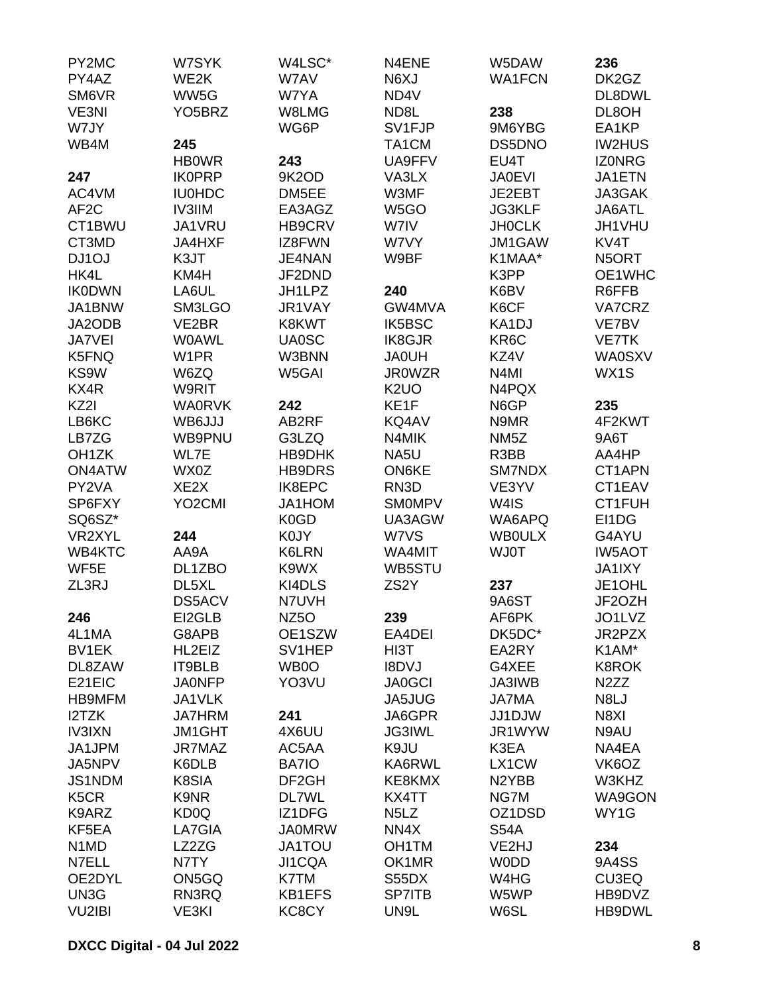| PY2MC                         | W7SYK               | W4LSC*             | N4ENE                         | W5DAW              | 236               |
|-------------------------------|---------------------|--------------------|-------------------------------|--------------------|-------------------|
| PY4AZ                         | WE2K                | W7AV               | N6XJ                          | <b>WA1FCN</b>      | DK2GZ             |
| SM6VR                         | WW5G                | W7YA               | ND4V                          |                    | DL8DWL            |
| VE3NI                         | YO <sub>5</sub> BRZ | W8LMG              | ND8L                          | 238                | DL8OH             |
| W7JY                          |                     | WG6P               | SV1FJP                        | 9M6YBG             | EA1KP             |
| WB4M                          | 245                 |                    | TA1CM                         | DS5DNO             | <b>IW2HUS</b>     |
|                               | <b>HBOWR</b>        | 243                | UA9FFV                        | EU4T               | <b>IZONRG</b>     |
| 247                           | <b>IK0PRP</b>       | 9K2OD              | VA3LX                         | <b>JA0EVI</b>      | JA1ETN            |
| AC4VM                         | <b>IU0HDC</b>       | DM5EE              | W3MF                          | JE2EBT             | JA3GAK            |
| AF <sub>2</sub> C             | <b>IV3IIM</b>       | EA3AGZ             | W5GO                          | <b>JG3KLF</b>      | JA6ATL            |
| CT1BWU                        | JA1VRU              | HB9CRV             | W7IV                          | <b>JHOCLK</b>      | JH1VHU            |
| CT3MD                         | <b>JA4HXF</b>       | IZ8FWN             | W7VY                          | JM1GAW             | KV4T              |
| DJ1OJ                         | K3JT                | JE4NAN             | W9BF                          | K1MAA*             | N5ORT             |
| HK4L                          | KM4H                | JF2DND             |                               | K3PP               | OE1WHC            |
| <b>IK0DWN</b>                 | LA6UL               | JH1LPZ             | 240                           | K6BV               | R6FFB             |
| JA1BNW                        | SM3LGO              | JR1VAY             | GW4MVA                        | K6CF               | VA7CRZ            |
| JA2ODB                        | VE2BR               | K8KWT              | <b>IK5BSC</b>                 | KA1DJ              | VE7BV             |
| JA7VEI                        | <b>WOAWL</b>        | <b>UA0SC</b>       | <b>IK8GJR</b>                 | KR6C               | <b>VE7TK</b>      |
| K5FNQ                         | W <sub>1</sub> PR   | W3BNN              | <b>JA0UH</b>                  | KZ4V               | <b>WA0SXV</b>     |
| KS9W                          | W6ZQ                | W5GAI              | <b>JR0WZR</b>                 | N <sub>4</sub> MI  | WX1S              |
| KX4R                          | W9RIT               |                    | K <sub>2</sub> UO             | N4PQX              |                   |
| KZ2I                          | <b>WA0RVK</b>       | 242                | KE1F                          | N6GP               | 235               |
| LB6KC                         | WB6JJJ              | AB2RF              | KQ4AV                         | N9MR               | 4F2KWT            |
| LB7ZG                         | WB9PNU              | G3LZQ              | N4MIK                         | NM <sub>5</sub> Z  | 9A6T              |
| OH <sub>1</sub> ZK            | WL7E                | HB9DHK             | NA5U                          | R3BB               | AA4HP             |
| <b>ON4ATW</b>                 | WX0Z                | <b>HB9DRS</b>      | <b>ON6KE</b>                  | <b>SM7NDX</b>      | CT1APN            |
| PY2VA                         | XE <sub>2</sub> X   | IK8EPC             | RN <sub>3</sub> D             | VE3YV              | CT1EAV            |
| SP6FXY                        | YO <sub>2</sub> CMI | JA1HOM             | <b>SMOMPV</b>                 | W4IS               | CT1FUH            |
| SQ6SZ*                        |                     | K0GD               | UA3AGW                        | WA6APQ             | EI1DG             |
| VR2XYL                        | 244                 | <b>K0JY</b>        | W7VS                          | <b>WBOULX</b>      | G4AYU             |
| WB4KTC                        | AA9A                | K6LRN              | WA4MIT                        | <b>WJ0T</b>        | <b>IW5AOT</b>     |
| WF5E                          |                     | K9WX               | WB5STU                        |                    |                   |
| ZL3RJ                         | DL1ZBO<br>DL5XL     | KI4DLS             | ZS <sub>2</sub> Y             | 237                | JA1IXY<br>JE1OHL  |
|                               |                     |                    |                               | 9A6ST              |                   |
|                               | <b>DS5ACV</b>       | N7UVH              |                               |                    | JF2OZH<br>JO1LVZ  |
| 246                           | EI2GLB              | NZ5O               | 239                           | AF6PK              |                   |
| 4L1MA<br><b>BV1EK</b>         | G8APB<br>HL2EIZ     | OE1SZW             | EA4DEI                        | DK5DC*             | JR2PZX            |
|                               |                     | SV1HEP             | HI3T                          | EA2RY              | K1AM*             |
| DL8ZAW                        | IT9BLB              | WB0O<br>YO3VU      | <b>I8DVJ</b>                  | G4XEE              | <b>K8ROK</b>      |
| E21EIC                        | <b>JA0NFP</b>       |                    | <b>JA0GCI</b>                 | JA3IWB             | N <sub>2</sub> ZZ |
| <b>HB9MFM</b>                 | JA1VLK              |                    | JA5JUG                        | <b>JA7MA</b>       | N8LJ              |
| I2TZK                         | <b>JA7HRM</b>       | 241                | JA6GPR                        | JJ1DJW             | N8XI              |
| <b>IV3IXN</b>                 | <b>JM1GHT</b>       | 4X6UU              | <b>JG3IWL</b>                 | JR1WYW             | N9AU              |
| JA1JPM                        | JR7MAZ              | AC5AA              | K9JU                          | K3EA               | NA4EA             |
| JA5NPV                        | K6DLB               | BA7IO              | KA6RWL                        | LX1CW              | VK6OZ             |
| JS1NDM                        | K8SIA               | DF <sub>2</sub> GH | KE8KMX                        | N <sub>2</sub> YBB | W3KHZ             |
| K <sub>5</sub> CR             | K9NR                | <b>DL7WL</b>       | KX4TT                         | NG7M               | WA9GON            |
| K9ARZ                         | KD <sub>0</sub> Q   | IZ1DFG             | N <sub>5</sub> L <sub>Z</sub> | OZ1DSD             | WY1G              |
| KF5EA                         | LA7GIA              | <b>JA0MRW</b>      | NN4X                          | <b>S54A</b>        |                   |
| N <sub>1</sub> M <sub>D</sub> | LZ2ZG               | JA1TOU             | OH1TM                         | VE2HJ              | 234               |
| N7ELL                         | N7TY                | JI1CQA             | OK1MR                         | <b>WODD</b>        | 9A4SS             |
| OE2DYL                        | ON5GQ               | K7TM               | S55DX                         | W4HG               | CU3EQ             |
| UN3G                          | RN3RQ               | KB1EFS             | <b>SP7ITB</b>                 | W5WP               | HB9DVZ            |
| VU2IBI                        | VE3KI               | KC8CY              | UN9L                          | W6SL               | HB9DWL            |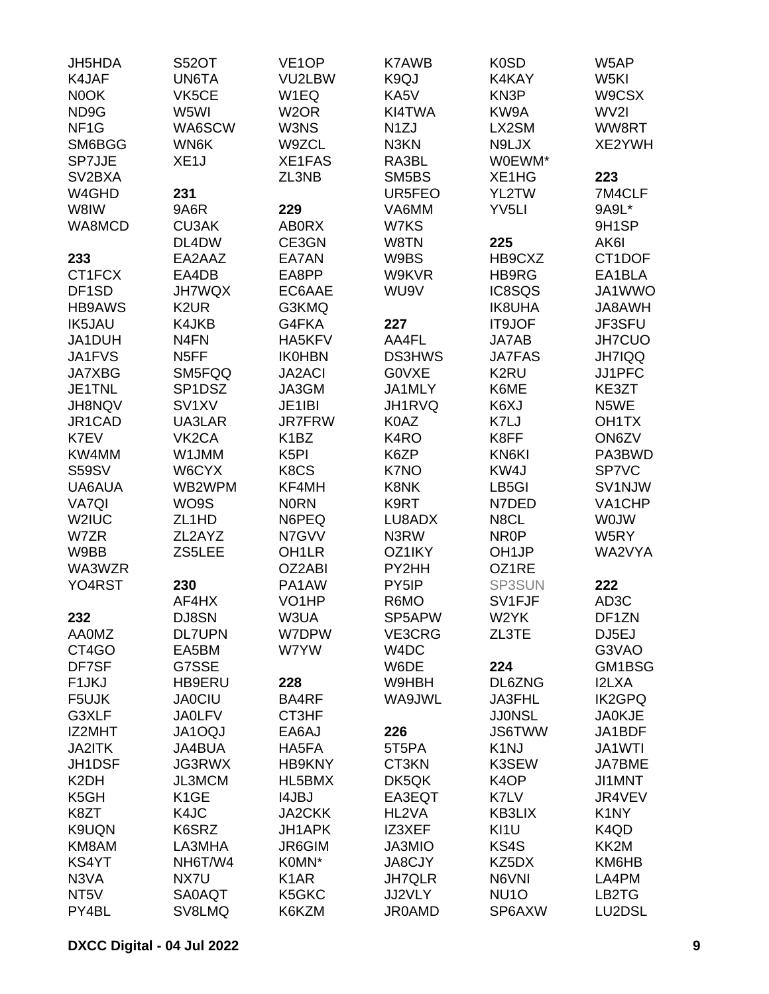| JH5HDA              | <b>S52OT</b>        | VE <sub>1</sub> OP | <b>K7AWB</b>      | K <sub>0</sub> SD              | W5AP               |
|---------------------|---------------------|--------------------|-------------------|--------------------------------|--------------------|
| K4JAF               | <b>UN6TA</b>        | VU2LBW             | K9QJ              | K4KAY                          | W5KI               |
| N0OK                | VK5CE               | W <sub>1</sub> EQ  | KA5V              | KN3P                           | W9CSX              |
| ND9G                | W5WI                | W <sub>2</sub> OR  | KI4TWA            | KW9A                           | WV2I               |
| NF <sub>1</sub> G   | WA6SCW              | W3NS               | N <sub>1</sub> ZJ | LX2SM                          | WW8RT              |
| SM6BGG              | WN6K                | W9ZCL              | N3KN              | N9LJX                          | XE2YWH             |
| <b>SP7JJE</b>       | XE <sub>1</sub> J   | XE1FAS             | RA3BL             | W0EWM*                         |                    |
| SV <sub>2</sub> BXA |                     | ZL3NB              | SM5BS             | XE <sub>1</sub> H <sub>G</sub> | 223                |
| W4GHD               | 231                 |                    | UR5FEO            | YL2TW                          | 7M4CLF             |
| W8IW                | 9A6R                | 229                | VA6MM             | YV <sub>5LI</sub>              | 9A9L*              |
| WA8MCD              | <b>CU3AK</b>        | <b>AB0RX</b>       | W7KS              |                                | 9H1SP              |
|                     | DL4DW               | CE3GN              | W8TN              | 225                            | AK6I               |
| 233                 | EA2AAZ              | EA7AN              | W9BS              | HB9CXZ                         | CT1DOF             |
| CT1FCX              | EA4DB               | EA8PP              | W9KVR             | HB9RG                          | EA1BLA             |
| DF1SD               | <b>JH7WQX</b>       | EC6AAE             | WU9V              | IC8SQS                         | JA1WWO             |
| <b>HB9AWS</b>       | K <sub>2</sub> UR   | G3KMQ              |                   | <b>IK8UHA</b>                  | JA8AWH             |
| <b>IK5JAU</b>       | K4JKB               | G4FKA              | 227               | IT9JOF                         | JF3SFU             |
| JA1DUH              | N <sub>4</sub> FN   | HA5KFV             | AA4FL             | JA7AB                          | JH7CUO             |
| JA1FVS              | N <sub>5</sub> FF   | <b>IK0HBN</b>      | <b>DS3HWS</b>     | <b>JA7FAS</b>                  | <b>JH7IQQ</b>      |
| <b>JA7XBG</b>       | SM5FQQ              | <b>JA2ACI</b>      | G0VXE             | K <sub>2</sub> RU              | JJ1PFC             |
| JE1TNL              | SP <sub>1</sub> DSZ | JA3GM              | JA1MLY            | K6ME                           | KE3ZT              |
| <b>JH8NQV</b>       | SV <sub>1</sub> XV  | JE1IBI             | <b>JH1RVQ</b>     | K6XJ                           | N5WE               |
| JR1CAD              | UA3LAR              | <b>JR7FRW</b>      | K0AZ              | K7LJ                           | OH <sub>1</sub> TX |
| K7EV                | VK <sub>2</sub> CA  | K <sub>1</sub> BZ  | K <sub>4</sub> RO | K8FF                           | ON6ZV              |
| KW4MM               | W1JMM               | K <sub>5</sub> PI  | K6ZP              | KN6KI                          | PA3BWD             |
| <b>S59SV</b>        | W6CYX               | K8CS               | K7NO              | KW4J                           | SP7VC              |
| UA6AUA              | WB2WPM              | KF4MH              | K8NK              | LB5GI                          | SV1NJW             |
| <b>VA7QI</b>        | WO9S                | <b>NORN</b>        | K9RT              | N7DED                          | VA1CHP             |
| W2IUC               | ZL <sub>1</sub> HD  | N6PEQ              | LU8ADX            | N8CL                           | <b>WOJW</b>        |
| W7ZR                | ZL2AYZ              | N7GVV              | N3RW              | NR <sub>0</sub> P              | W5RY               |
| W9BB                | ZS5LEE              | OH <sub>1</sub> LR | OZ1IKY            | OH <sub>1JP</sub>              | WA2VYA             |
| WA3WZR              |                     | OZ2ABI             | PY2HH             | OZ1RE                          |                    |
| YO4RST              | 230                 | PA1AW              | PY5IP             | SP3SUN                         | 222                |
|                     | AF4HX               | VO <sub>1</sub> HP | R6MO              | SV1FJF                         | AD <sub>3</sub> C  |
| 232                 | DJ8SN               | W3UA               | SP5APW            | W2YK                           | DF1ZN              |
| <b>AA0MZ</b>        | <b>DL7UPN</b>       | W7DPW              | VE3CRG            | ZL3TE                          | DJ5EJ              |
| CT4GO               | EA5BM               | W7YW               | W <sub>4</sub> DC |                                | G3VAO              |
| DF7SF               | G7SSE               |                    | W6DE              | 224                            | GM1BSG             |
| F <sub>1</sub> JKJ  | HB9ERU              | 228                | W9HBH             | DL6ZNG                         | <b>I2LXA</b>       |
| F5UJK               | <b>JA0CIU</b>       | BA4RF              | WA9JWL            | JA3FHL                         | <b>IK2GPQ</b>      |
| G3XLF               | <b>JA0LFV</b>       | CT3HF              |                   | <b>JJONSL</b>                  | <b>JA0KJE</b>      |
| IZ2MHT              | <b>JA1OQJ</b>       | EA6AJ              | 226               | <b>JS6TWW</b>                  | JA1BDF             |
| <b>JA2ITK</b>       | JA4BUA              | HA5FA              | 5T5PA             | K <sub>1</sub> NJ              | JA1WTI             |
| JH1DSF              | <b>JG3RWX</b>       | <b>HB9KNY</b>      | CT3KN             | K3SEW                          | <b>JA7BME</b>      |
| K <sub>2</sub> DH   | JL3MCM              | HL5BMX             | DK5QK             | K <sub>4</sub> OP              | JI1MNT             |
| K <sub>5</sub> GH   | K <sub>1</sub> GE   | <b>I4JBJ</b>       | EA3EQT            | K7LV                           | JR4VEV             |
| K8ZT                | K4JC                | JA2CKK             | HL2VA             | <b>KB3LIX</b>                  | K <sub>1</sub> NY  |
| K9UQN               | K6SRZ               | JH1APK             | IZ3XEF            | KI1U                           | K4QD               |
| KM8AM               | LA3MHA              | JR6GIM             | JA3MIO            | KS4S                           | KK2M               |
| KS4YT               | NH6T/W4             | K0MN*              | <b>JA8CJY</b>     | KZ5DX                          | KM6HB              |
| N3VA                | NX7U                | K <sub>1</sub> AR  | <b>JH7QLR</b>     | N6VNI                          | LA4PM              |
| NT <sub>5</sub> V   | <b>SA0AQT</b>       | K5GKC              | JJ2VLY            | NU <sub>10</sub>               | LB2TG              |
| PY4BL               | SV8LMQ              | K6KZM              | <b>JR0AMD</b>     | SP6AXW                         | LU2DSL             |
|                     |                     |                    |                   |                                |                    |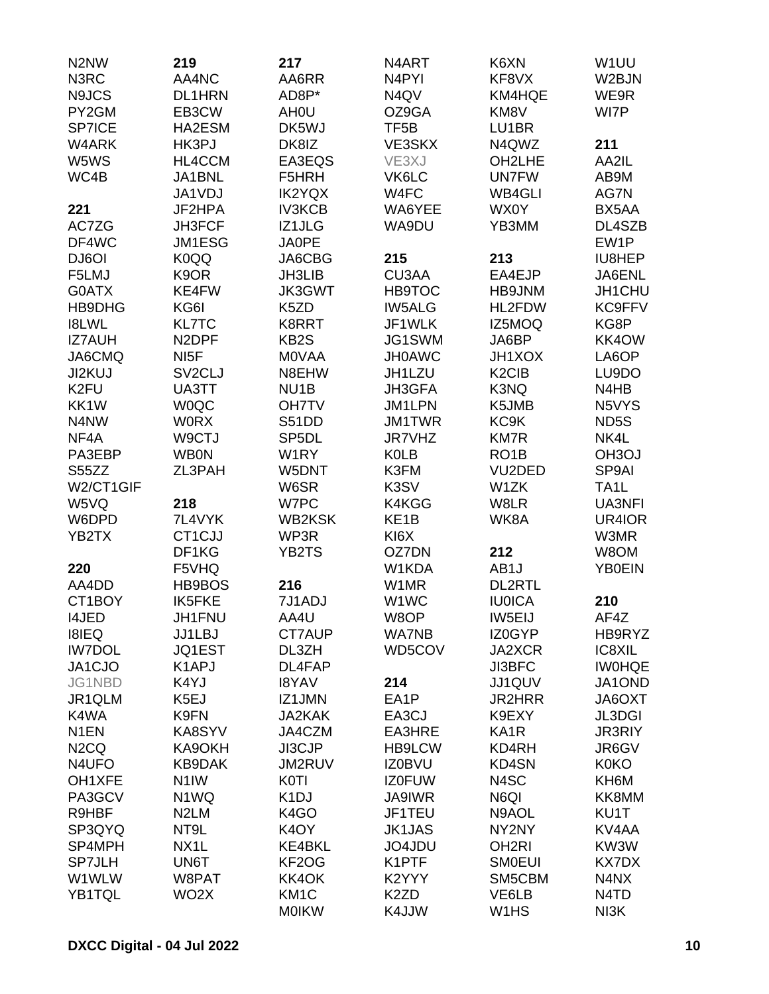| N <sub>2</sub> N <sub>W</sub> | 219                 | 217                | N4ART              | K6XN                           | W <sub>1</sub> UU             |
|-------------------------------|---------------------|--------------------|--------------------|--------------------------------|-------------------------------|
| N3RC                          | AA4NC               | AA6RR              | N <sub>4</sub> PYI | KF8VX                          | W2BJN                         |
| N9JCS                         | DL1HRN              | AD8P*              | N4QV               | KM4HQE                         | WE9R                          |
| PY2GM                         | EB3CW               | AH <sub>0</sub> U  | OZ9GA              | KM8V                           | WI7P                          |
| <b>SP7ICE</b>                 | HA2ESM              | DK5WJ              | TF <sub>5</sub> B  | LU1BR                          |                               |
| W4ARK                         | HK3PJ               | DK8IZ              | VE3SKX             | N4QWZ                          | 211                           |
| W5WS                          | HL4CCM              | EA3EQS             | VE3XJ              | OH2LHE                         | AA2IL                         |
| WC4B                          | JA1BNL              | F5HRH              | VK6LC              | <b>UN7FW</b>                   | AB9M                          |
|                               | JA1VDJ              | <b>IK2YQX</b>      | W4FC               | <b>WB4GLI</b>                  | AG7N                          |
| 221                           | JF2HPA              | <b>IV3KCB</b>      | WA6YEE             | WX0Y                           | BX5AA                         |
|                               | JH3FCF              |                    |                    |                                |                               |
| AC7ZG                         |                     | IZ1JLG             | WA9DU              | YB3MM                          | DL4SZB                        |
| DF4WC                         | JM1ESG              | <b>JA0PE</b>       |                    |                                | EW1P                          |
| DJ6OI                         | K0QQ                | JA6CBG             | 215                | 213                            | IU8HEP                        |
| F5LMJ                         | K9OR                | <b>JH3LIB</b>      | CU3AA              | EA4EJP                         | JA6ENL                        |
| G0ATX                         | KE4FW               | <b>JK3GWT</b>      | <b>HB9TOC</b>      | HB9JNM                         | JH1CHU                        |
| HB9DHG                        | KG6I                | K <sub>5</sub> ZD  | <b>IW5ALG</b>      | HL2FDW                         | <b>KC9FFV</b>                 |
| <b>I8LWL</b>                  | <b>KL7TC</b>        | K8RRT              | JF1WLK             | IZ5MOQ                         | KG8P                          |
| <b>IZ7AUH</b>                 | N <sub>2</sub> DPF  | KB <sub>2</sub> S  | JG1SWM             | JA6BP                          | KK4OW                         |
| JA6CMQ                        | NI <sub>5</sub> F   | <b>MOVAA</b>       | <b>JH0AWC</b>      | JH1XOX                         | LA6OP                         |
| JI2KUJ                        | SV <sub>2</sub> CLJ | N8EHW              | JH1LZU             | K <sub>2</sub> C <sub>IB</sub> | LU9DO                         |
| K <sub>2FU</sub>              | UA3TT               | NU <sub>1</sub> B  | JH3GFA             | K3NQ                           | N4HB                          |
| KK1W                          | <b>WOQC</b>         | <b>OH7TV</b>       | JM1LPN             | K5JMB                          | N5VYS                         |
| N4NW                          | <b>WORX</b>         | S51DD              | <b>JM1TWR</b>      | KC9K                           | ND <sub>5</sub> S             |
| NF4A                          | W9CTJ               | SP <sub>5</sub> DL | <b>JR7VHZ</b>      | <b>KM7R</b>                    | NK4L                          |
| PA3EBP                        | <b>WB0N</b>         | W1RY               | <b>K0LB</b>        | RO <sub>1</sub> B              | OH <sub>3</sub> OJ            |
| S55ZZ                         | ZL3PAH              | W5DNT              | K3FM               | VU2DED                         | SP9AI                         |
| W2/CT1GIF                     |                     | W6SR               | K3SV               | W1ZK                           | TA <sub>1</sub> L             |
| W5VQ                          | 218                 | W7PC               | K4KGG              | W8LR                           | UA3NFI                        |
| W6DPD                         | 7L4VYK              | <b>WB2KSK</b>      | KE <sub>1</sub> B  | WK8A                           | UR4IOR                        |
| YB2TX                         | CT1CJJ              | WP3R               | KI6X               |                                | W3MR                          |
|                               | DF1KG               | YB2TS              | OZ7DN              | 212                            | W8OM                          |
| 220                           | F5VHQ               |                    | W1KDA              | AB1J                           | <b>YB0EIN</b>                 |
| AA4DD                         | HB9BOS              | 216                | W1MR               | <b>DL2RTL</b>                  |                               |
| CT1BOY                        | <b>IK5FKE</b>       | 7J1ADJ             | W <sub>1</sub> WC  | <b>IU0ICA</b>                  | 210                           |
| <b>I4JED</b>                  | JH1FNU              | AA4U               | W8OP               | IW5EIJ                         | AF4Z                          |
| <b>I8IEQ</b>                  | <b>JJ1LBJ</b>       | <b>CT7AUP</b>      | <b>WA7NB</b>       | IZ0GYP                         | HB9RYZ                        |
| <b>IW7DOL</b>                 | JQ1EST              | DL3ZH              | WD5COV             | JA2XCR                         | IC8XIL                        |
| JA1CJO                        | K <sub>1</sub> APJ  | DL4FAP             |                    | JI3BFC                         | <b>IWOHQE</b>                 |
| JG1NBD                        | K4YJ                | <b>I8YAV</b>       | 214                | JJ1QUV                         | JA1OND                        |
| JR1QLM                        | K5EJ                | IZ1JMN             | EA1P               | <b>JR2HRR</b>                  | JA6OXT                        |
| K4WA                          | K9FN                | <b>JA2KAK</b>      | EA3CJ              | K9EXY                          | <b>JL3DGI</b>                 |
| N <sub>1</sub> EN             | KA8SYV              | JA4CZM             | EA3HRE             | KA <sub>1</sub> R              | <b>JR3RIY</b>                 |
| N <sub>2</sub> CQ             | KA9OKH              | JI3CJP             | <b>HB9LCW</b>      | KD4RH                          | JR6GV                         |
| N4UFO                         | KB9DAK              | JM2RUV             | <b>IZ0BVU</b>      | KD4SN                          | <b>K0KO</b>                   |
| OH1XFE                        | N <sub>1</sub> IW   | <b>K0TI</b>        | <b>IZ0FUW</b>      | N4SC                           | KH6M                          |
|                               |                     |                    |                    |                                | KK8MM                         |
| PA3GCV                        | N1WQ                | K <sub>1</sub> DJ  | <b>JA9IWR</b>      | N6QI                           |                               |
| R9HBF                         | N <sub>2</sub> LM   | K <sub>4</sub> GO  | JF1TEU             | N9AOL                          | KU1T                          |
| SP3QYQ                        | NT9L                | K <sub>4</sub> OY  | <b>JK1JAS</b>      | NY2NY                          | KV4AA                         |
| SP4MPH                        | NX <sub>1</sub> L   | <b>KE4BKL</b>      | JO4JDU             | OH <sub>2RI</sub>              | KW3W                          |
| <b>SP7JLH</b>                 | UN6T                | KF2OG              | K1PTF              | <b>SMOEUI</b>                  | <b>KX7DX</b>                  |
| W1WLW                         | W8PAT               | KK4OK              | K2YYY              | SM5CBM                         | N4NX                          |
| YB1TQL                        | WO <sub>2</sub> X   | KM <sub>1</sub> C  | K <sub>2</sub> ZD  | VE6LB                          | N <sub>4</sub> T <sub>D</sub> |
|                               |                     | <b>MOIKW</b>       | K4JJW              | W1HS                           | NI3K                          |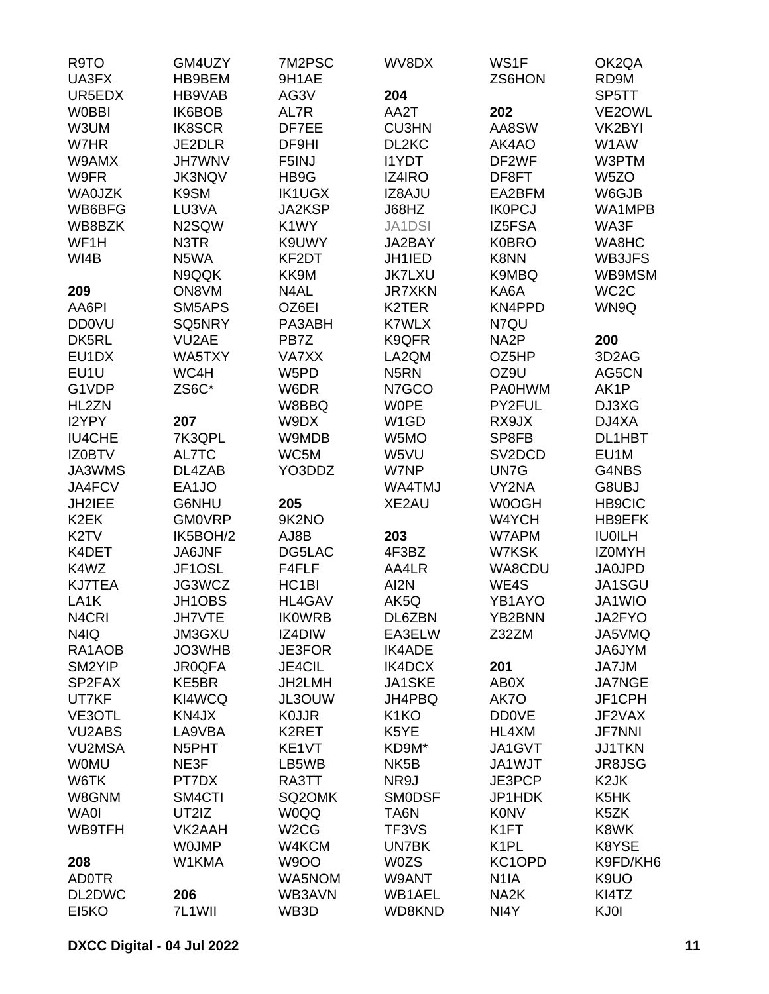| R9TO              | GM4UZY             | 7M2PSC             | WV8DX             | WS1F                | OK2QA              |
|-------------------|--------------------|--------------------|-------------------|---------------------|--------------------|
| UA3FX             | HB9BEM             | 9H1AE              |                   | ZS6HON              | RD9M               |
| UR5EDX            | HB9VAB             | AG3V               | 204               |                     | SP5TT              |
| <b>W0BBI</b>      | IK6BOB             | AL7R               | AA2T              | 202                 | VE2OWL             |
| W3UM              | <b>IK8SCR</b>      | DF7EE              | <b>CU3HN</b>      | AA8SW               | VK2BYI             |
| W7HR              | JE2DLR             | DF9HI              | DL2KC             | AK4AO               | W1AW               |
| W9AMX             | <b>JH7WNV</b>      | F5INJ              | <b>I1YDT</b>      | DF2WF               | W3PTM              |
| W9FR              | <b>JK3NQV</b>      | HB9G               | IZ4IRO            | DF8FT               | W <sub>5</sub> ZO  |
| <b>WA0JZK</b>     | K9SM               | <b>IK1UGX</b>      | IZ8AJU            | EA2BFM              | W6GJB              |
| WB6BFG            | LU3VA              | JA2KSP             | J68HZ             | <b>IK0PCJ</b>       | WA1MPB             |
| WB8BZK            | N2SQW              | K1WY               | <b>JA1DSI</b>     | IZ5FSA              | WA3F               |
| WF1H              | N3TR               | K9UWY              | JA2BAY            | <b>K0BRO</b>        | WA8HC              |
| WI4B              | N5WA               | KF2DT              | JH1IED            | K8NN                | WB3JFS             |
|                   | N9QQK              | KK9M               | <b>JK7LXU</b>     | K9MBQ               | WB9MSM             |
| 209               | ON8VM              | N4AL               | <b>JR7XKN</b>     | KA6A                | WC <sub>2</sub> C  |
| AA6PI             | SM5APS             | OZ6EI              | K2TER             | KN4PPD              | WN9Q               |
| <b>DD0VU</b>      | SQ5NRY             | PA3ABH             | <b>K7WLX</b>      | N7QU                |                    |
| DK5RL             | VU <sub>2</sub> AE | PB7Z               | K9QFR             | NA <sub>2</sub> P   | 200                |
| EU1DX             | WA5TXY             | VA7XX              | LA2QM             | OZ5HP               | 3D <sub>2</sub> AG |
| EU1U              | WC4H               | W5PD               | N <sub>5</sub> RN | OZ9U                | AG5CN              |
| G1VDP             | ZS6C*              | W6DR               | N7GCO             | <b>PA0HWM</b>       | AK1P               |
| HL2ZN             |                    | W8BBQ              | <b>WOPE</b>       | PY2FUL              | DJ3XG              |
| I2YPY             | 207                | W9DX               | W <sub>1</sub> GD | RX9JX               | DJ4XA              |
| <b>IU4CHE</b>     | 7K3QPL             | W9MDB              | W5MO              | SP8FB               | DL1HBT             |
| <b>IZ0BTV</b>     | AL7TC              | WC5M               | W5VU              | SV <sub>2</sub> DCD | EU1M               |
| JA3WMS            | DL4ZAB             | YO3DDZ             | W7NP              | UN7G                | G4NBS              |
| JA4FCV            | EA1JO              |                    | WA4TMJ            | VY2NA               | G8UBJ              |
| JH2IEE            | G6NHU              | 205                | XE2AU             | W0OGH               | <b>HB9CIC</b>      |
| K <sub>2</sub> EK | <b>GM0VRP</b>      | 9K2NO              |                   | W4YCH               | HB9EFK             |
| K <sub>2</sub> TV | IK5BOH/2           | AJ8B               | 203               | W7APM               | <b>IU0ILH</b>      |
| K4DET             | <b>JA6JNF</b>      | DG5LAC             | 4F3BZ             | W7KSK               | <b>IZOMYH</b>      |
| K4WZ              | JF1OSL             | F4FLF              | AA4LR             | WA8CDU              | <b>JA0JPD</b>      |
| <b>KJ7TEA</b>     | JG3WCZ             | HC <sub>1</sub> BI | AI2N              | WE4S                | JA1SGU             |
| LA <sub>1</sub> K | JH1OBS             | <b>HL4GAV</b>      | AK5Q              | YB1AYO              | JA1WIO             |
| N4CRI             | JH7VTE             | <b>IK0WRB</b>      | DL6ZBN            | YB2BNN              | JA2FYO             |
| N4IQ              | <b>JM3GXU</b>      | IZ4DIW             | EA3ELW            | Z32ZM               | JA5VMQ             |
| RA1AOB            | JO3WHB             | <b>JE3FOR</b>      | <b>IK4ADE</b>     |                     | JA6JYM             |
| SM2YIP            | <b>JR0QFA</b>      | <b>JE4CIL</b>      | IK4DCX            | 201                 | JA7JM              |
| SP2FAX            | KE5BR              | JH2LMH             | JA1SKE            | AB0X                | <b>JA7NGE</b>      |
| UT7KF             | KI4WCQ             | JL3OUW             | JH4PBQ            | AK7O                | JF1CPH             |
| VE3OTL            | KN4JX              | <b>K0JJR</b>       | K <sub>1</sub> KO | <b>DD0VE</b>        | JF2VAX             |
| <b>VU2ABS</b>     | LA9VBA             | K2RET              | K5YE              | HL4XM               | <b>JF7NNI</b>      |
| <b>VU2MSA</b>     | N5PHT              | KE1VT              | KD9M*             | JA1GVT              | <b>JJ1TKN</b>      |
| <b>WOMU</b>       | NE3F               | LB5WB              | NK <sub>5</sub> B | JA1WJT              | JR8JSG             |
| W6TK              | PT7DX              | RA3TT              | NR9J              | JE3PCP              | K <sub>2</sub> JK  |
| W8GNM             | SM4CTI             | SQ2OMK             | <b>SMODSF</b>     | JP1HDK              | K5HK               |
| <b>WA0I</b>       | UT2IZ              | <b>W0QQ</b>        | TA6N              | <b>K0NV</b>         | K5ZK               |
| WB9TFH            | VK2AAH             | W <sub>2</sub> CG  | TF3VS             | K <sub>1</sub> FT   | K8WK               |
|                   | <b>WOJMP</b>       | W4KCM              | UN7BK             | K <sub>1</sub> PL   | K8YSE              |
| 208               | W1KMA              | <b>W9OO</b>        | <b>W0ZS</b>       | KC1OPD              | K9FD/KH6           |
| <b>AD0TR</b>      |                    | WA5NOM             | W9ANT             | N <sub>1</sub> IA   | K9UO               |
| DL2DWC            | 206                | WB3AVN             | WB1AEL            | NA <sub>2</sub> K   | KI4TZ              |
| EI5KO             | 7L1WII             | WB3D               | WD8KND            | NI4Y                | KJ0I               |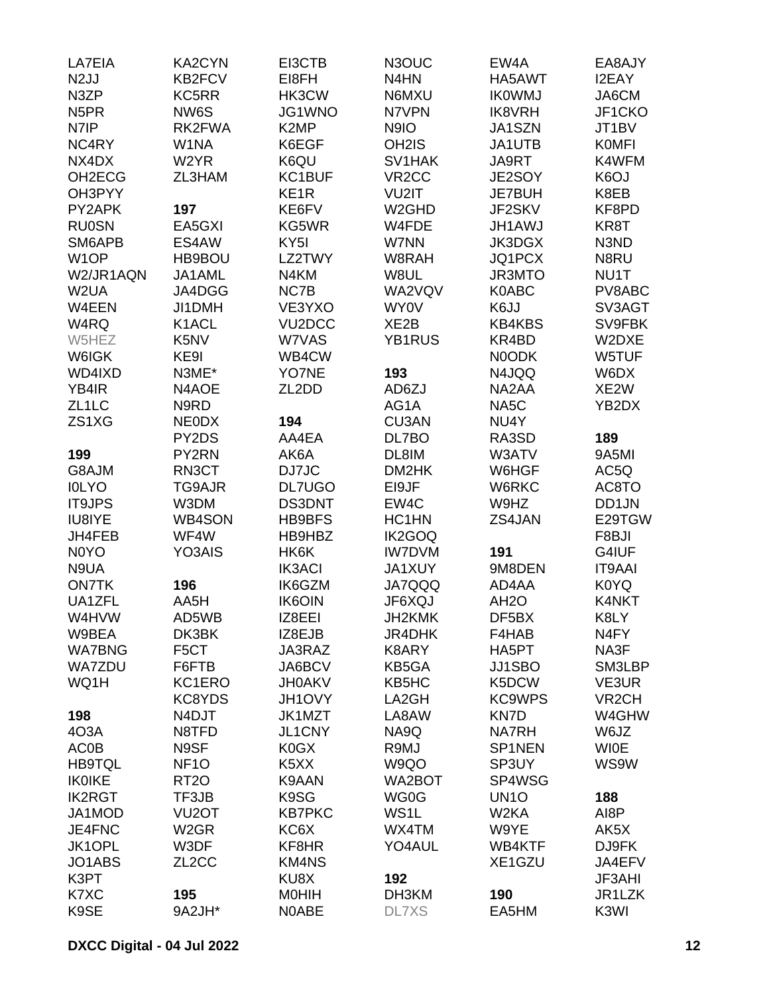| LA7EIA                          | <b>KA2CYN</b>      | EI3CTB            | N3OUC                         | EW4A              | EA8AJY             |
|---------------------------------|--------------------|-------------------|-------------------------------|-------------------|--------------------|
| N <sub>2</sub> JJ               | KB2FCV             | EI8FH             | N <sub>4</sub> H <sub>N</sub> | HA5AWT            | I2EAY              |
| N3ZP                            | KC5RR              | HK3CW             | N6MXU                         | <b>IKOWMJ</b>     | JA6CM              |
| N <sub>5</sub> PR               | NW6S               | JG1WNO            | N7VPN                         | <b>IK8VRH</b>     | JF1CKO             |
| N7IP                            | RK2FWA             | K <sub>2</sub> MP | N9IO                          | JA1SZN            | JT1BV              |
| NC4RY                           | W1NA               | K6EGF             | OH <sub>2</sub> IS            | JA1UTB            | <b>KOMFI</b>       |
| NX4DX                           | W <sub>2</sub> YR  | K6QU              | SV1HAK                        | <b>JA9RT</b>      | K4WFM              |
| OH <sub>2</sub> EC <sub>G</sub> | ZL3HAM             | KC1BUF            | VR <sub>2</sub> CC            | JE2SOY            | K <sub>6</sub> OJ  |
| OH3PYY                          |                    | KE <sub>1</sub> R | VU2IT                         | <b>JE7BUH</b>     | K8EB               |
| PY2APK                          | 197                | KE6FV             | W <sub>2</sub> GHD            | JF2SKV            | KF8PD              |
| <b>RU0SN</b>                    | EA5GXI             | KG5WR             | W4FDE                         | <b>JH1AWJ</b>     | KR8T               |
| SM6APB                          | ES4AW              | KY <sub>5I</sub>  | W7NN                          | <b>JK3DGX</b>     | N3ND               |
| W <sub>1</sub> OP               | HB9BOU             | LZ2TWY            | W8RAH                         | JQ1PCX            | N8RU               |
| W2/JR1AQN                       | JA1AML             | N4KM              | W8UL                          | <b>JR3MTO</b>     | NU1T               |
| W2UA                            | JA4DGG             | NC7B              | WA2VQV                        | <b>K0ABC</b>      | PV8ABC             |
| W4EEN                           | JI1DMH             | VE3YXO            | WY0V                          | K6JJ              | SV3AGT             |
| W4RQ                            | K1ACL              | VU2DCC            | XE <sub>2</sub> B             | <b>KB4KBS</b>     | SV9FBK             |
| W5HEZ                           | K5NV               | W7VAS             | <b>YB1RUS</b>                 | KR4BD             | W2DXE              |
| W6IGK                           | KE9I               | WB4CW             |                               | N0ODK             | W5TUF              |
| WD4IXD                          | N3ME*              | YO7NE             | 193                           | N4JQQ             | W6DX               |
| YB4IR                           | N4AOE              | ZL2DD             | AD6ZJ                         | NA2AA             | XE2W               |
| ZL <sub>1</sub> LC              | N9RD               |                   | AG1A                          | NA5C              | YB2DX              |
| ZS1XG                           | <b>NEODX</b>       | 194               | <b>CU3AN</b>                  | NU4Y              |                    |
|                                 | PY2DS              | AA4EA             | DL7BO                         | RA3SD             | 189                |
|                                 |                    | AK6A              |                               |                   |                    |
| 199                             | PY2RN              |                   | DL8IM                         | W3ATV             | 9A5MI              |
| G8AJM                           | RN3CT              | DJ7JC             | DM2HK                         | W6HGF             | AC5Q               |
| <b>IOLYO</b>                    | TG9AJR             | <b>DL7UGO</b>     | EI9JF                         | W6RKC             | AC8TO              |
| <b>IT9JPS</b>                   | W3DM               | <b>DS3DNT</b>     | EW4C                          | W9HZ              | DD1JN              |
| IU8IYE                          | <b>WB4SON</b>      | HB9BFS            | HC1HN                         | ZS4JAN            | E29TGW             |
| JH4FEB                          | WF4W               | HB9HBZ            | IK2GOQ                        |                   | F8BJI              |
| N <sub>0</sub> Y <sub>O</sub>   | YO3AIS             | HK6K              | <b>IW7DVM</b>                 | 191               | G4IUF              |
| N9UA                            |                    | <b>IK3ACI</b>     | <b>JA1XUY</b>                 | 9M8DEN            | <b>IT9AAI</b>      |
| <b>ON7TK</b>                    | 196                | IK6GZM            | <b>JA7QQQ</b>                 | AD4AA             | K0YQ               |
| UA1ZFL                          | AA5H               | <b>IK6OIN</b>     | JF6XQJ                        | AH <sub>2</sub> O | K4NKT              |
| W4HVW                           | AD5WB              | IZ8EEI            | JH2KMK                        | DF5BX             | K8LY               |
| W9BEA                           | DK3BK              | IZ8EJB            | JR4DHK                        | F4HAB             | N <sub>4</sub> FY  |
| <b>WA7BNG</b>                   | F <sub>5</sub> CT  | JA3RAZ            | K8ARY                         | HA5PT             | NA3F               |
| <b>WA7ZDU</b>                   | F6FTB              | JA6BCV            | KB5GA                         | <b>JJ1SBO</b>     | SM3LBP             |
| WQ1H                            | KC1ERO             | <b>JH0AKV</b>     | KB5HC                         | K5DCW             | VE3UR              |
|                                 | KC8YDS             | JH1OVY            | LA2GH                         | <b>KC9WPS</b>     | VR <sub>2</sub> CH |
| 198                             | N4DJT              | JK1MZT            | LA8AW                         | KN7D              | W4GHW              |
| 4O3A                            | N8TFD              | <b>JL1CNY</b>     | NA9Q                          | <b>NA7RH</b>      | W6JZ               |
| <b>AC0B</b>                     | N9SF               | K0GX              | R9MJ                          | SP1NEN            | <b>WIOE</b>        |
| <b>HB9TQL</b>                   | NF <sub>10</sub>   | K5XX              | W9QO                          | SP3UY             | WS9W               |
| <b>IKOIKE</b>                   | <b>RT20</b>        | K9AAN             | WA2BOT                        | SP4WSG            |                    |
| <b>IK2RGT</b>                   | TF3JB              | K9SG              | WG0G                          | UN <sub>10</sub>  | 188                |
| JA1MOD                          | VU <sub>2</sub> OT | <b>KB7PKC</b>     | WS1L                          | W <sub>2</sub> KA | AI8P               |
| JE4FNC                          | W <sub>2</sub> GR  | KC6X              | WX4TM                         | W9YE              | AK5X               |
| JK1OPL                          | W3DF               | KF8HR             | YO4AUL                        | WB4KTF            | DJ9FK              |
| JO1ABS                          | ZL <sub>2</sub> CC | <b>KM4NS</b>      |                               | XE1GZU            | JA4EFV             |
| K3PT                            |                    | KU8X              | 192                           |                   | <b>JF3AHI</b>      |
| K7XC                            | 195                | <b>MOHIH</b>      | DH3KM                         | 190               | JR1LZK             |
| K9SE                            | 9A2JH*             | N0ABE             | <b>DL7XS</b>                  | EA5HM             | K3WI               |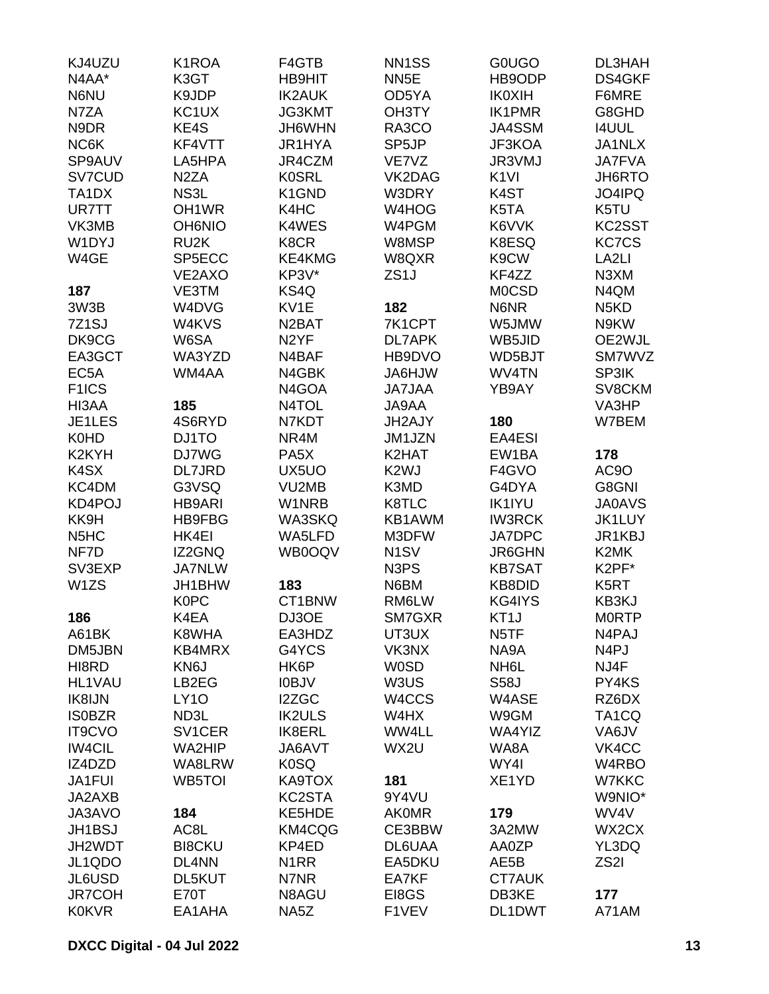| KJ4UZU                        | K1ROA               | F4GTB              | NN <sub>1</sub> SS | <b>GOUGO</b>      | DL3HAH                        |
|-------------------------------|---------------------|--------------------|--------------------|-------------------|-------------------------------|
| N4AA*                         | K3GT                | <b>HB9HIT</b>      | NN <sub>5E</sub>   | HB9ODP            | DS4GKF                        |
| N6NU                          | K9JDP               | <b>IK2AUK</b>      | OD5YA              | <b>IK0XIH</b>     | F6MRE                         |
| N7ZA                          | KC <sub>1</sub> UX  | <b>JG3KMT</b>      | OH3TY              | <b>IK1PMR</b>     | G8GHD                         |
| N9DR                          | KE4S                | JH6WHN             | RA3CO              | JA4SSM            | <b>I4UUL</b>                  |
| NC6K                          | KF4VTT              | JR1HYA             | SP5JP              | JF3KOA            | JA1NLX                        |
| SP9AUV                        | LA5HPA              | JR4CZM             | VE7VZ              | JR3VMJ            | <b>JA7FVA</b>                 |
| SV7CUD                        | N <sub>2</sub> ZA   | <b>K0SRL</b>       | VK2DAG             | K <sub>1VI</sub>  | JH6RTO                        |
| TA <sub>1</sub> DX            | NS3L                | K1GND              | W3DRY              | K <sub>4</sub> ST | JO4IPQ                        |
| <b>UR7TT</b>                  | OH <sub>1</sub> WR  | K4HC               | W4HOG              | K <sub>5</sub> TA | K5TU                          |
| VK3MB                         | <b>OH6NIO</b>       | K4WES              | W4PGM              | K6VVK             | KC2SST                        |
| W1DYJ                         | RU <sub>2</sub> K   | K8CR               | W8MSP              | K8ESQ             | <b>KC7CS</b>                  |
| W4GE                          | SP5ECC              | KE4KMG             | W8QXR              | K9CW              | LA <sub>2LI</sub>             |
|                               |                     |                    |                    |                   |                               |
|                               | VE2AXO              | KP3V*              | ZS <sub>1</sub> J  | KF4ZZ             | N3XM                          |
| 187                           | VE3TM               | KS4Q               |                    | <b>MOCSD</b>      | N4QM                          |
| 3W3B                          | W4DVG               | KV1E               | 182                | N6NR              | N <sub>5</sub> K <sub>D</sub> |
| 7Z1SJ                         | W4KVS               | N <sub>2</sub> BAT | 7K1CPT             | W5JMW             | N9KW                          |
| DK9CG                         | W6SA                | N <sub>2</sub> YF  | <b>DL7APK</b>      | WB5JID            | OE2WJL                        |
| EA3GCT                        | WA3YZD              | N4BAF              | HB9DVO             | WD5BJT            | SM7WVZ                        |
| EC <sub>5</sub> A             | WM4AA               | N4GBK              | <b>WLH6AL</b>      | WV4TN             | SP3IK                         |
| F <sub>1</sub> ICS            |                     | N4GOA              | <b>JA7JAA</b>      | YB9AY             | SV8CKM                        |
| HI3AA                         | 185                 | N4TOL              | JA9AA              |                   | VA3HP                         |
| JE1LES                        | 4S6RYD              | N7KDT              | JH2AJY             | 180               | W7BEM                         |
| <b>K0HD</b>                   | DJ1TO               | NR4M               | JM1JZN             | EA4ESI            |                               |
| K2KYH                         | DJ7WG               | PA <sub>5</sub> X  | K2HAT              | EW1BA             | 178                           |
| K4SX                          | <b>DL7JRD</b>       | UX5UO              | K <sub>2</sub> WJ  | F4GVO             | AC9O                          |
| KC4DM                         | G3VSQ               | VU2MB              | K3MD               | G4DYA             | G8GNI                         |
| KD4POJ                        | <b>HB9ARI</b>       | W1NRB              | K8TLC              | <b>IK1IYU</b>     | <b>JA0AVS</b>                 |
| KK9H                          | <b>HB9FBG</b>       | WA3SKQ             | KB1AWM             | <b>IW3RCK</b>     | <b>JK1LUY</b>                 |
| N <sub>5</sub> H <sub>C</sub> | HK4EI               | WA5LFD             | M3DFW              | JA7DPC            | JR1KBJ                        |
| NF7D                          | IZ2GNQ              | WB0OQV             | N <sub>1</sub> SV  | JR6GHN            | K2MK                          |
| SV3EXP                        | <b>JA7NLW</b>       |                    | N3PS               | <b>KB7SAT</b>     | K2PF*                         |
| W <sub>1</sub> ZS             | JH1BHW              | 183                | N6BM               | <b>KB8DID</b>     | K5RT                          |
|                               | <b>K0PC</b>         | CT1BNW             | RM6LW              | KG4IYS            | KB3KJ                         |
| 186                           | K4EA                | DJ3OE              | SM7GXR             | KT1J              | <b>MORTP</b>                  |
| A61BK                         | K8WHA               | EA3HDZ             | UT3UX              | N <sub>5</sub> TF | N4PAJ                         |
| DM5JBN                        | KB4MRX              | G4YCS              | VK3NX              | NA9A              | N <sub>4</sub> PJ             |
| HI8RD                         | KN6J                | HK6P               | <b>W0SD</b>        | NH <sub>6</sub> L | NJ4F                          |
| <b>HL1VAU</b>                 | LB2EG               | <b>IOBJV</b>       | W3US               | <b>S58J</b>       | PY4KS                         |
| IK8IJN                        | <b>LY10</b>         | I2ZGC              | W4CCS              | W4ASE             | RZ6DX                         |
| <b>ISOBZR</b>                 | ND3L                | <b>IK2ULS</b>      | W4HX               | W9GM              | TA <sub>1</sub> CQ            |
| <b>IT9CVO</b>                 | SV <sub>1</sub> CER | <b>IK8ERL</b>      | WW4LL              | WA4YIZ            | VA6JV                         |
| <b>IW4CIL</b>                 | WA2HIP              | JA6AVT             | WX2U               | WA8A              | VK4CC                         |
| IZ4DZD                        | WA8LRW              | <b>K0SQ</b>        |                    | WY4I              | W4RBO                         |
| JA1FUI                        | WB5TOI              | KA9TOX             | 181                | XE1YD             | W7KKC                         |
| JA2AXB                        |                     | KC2STA             | 9Y4VU              |                   | W9NIO*                        |
| JA3AVO                        | 184                 | KE5HDE             | <b>AK0MR</b>       | 179               | WV4V                          |
| <b>JH1BSJ</b>                 | AC8L                | KM4CQG             | CE3BBW             | 3A2MW             | WX2CX                         |
|                               |                     |                    |                    |                   |                               |
| JH2WDT                        | <b>BI8CKU</b>       | KP4ED              | DL6UAA             | AA0ZP             | YL3DQ                         |
| JL1QDO                        | DL4NN               | N <sub>1</sub> RR  | EA5DKU             | AE5B              | ZS <sub>2</sub> I             |
| JL6USD                        | DL5KUT              | N7NR               | EA7KF              | <b>CT7AUK</b>     |                               |
| <b>JR7COH</b>                 | E70T                | N8AGU              | EI8GS              | DB3KE             | 177                           |
| <b>K0KVR</b>                  | EA1AHA              | NA5Z               | F1VEV              | DL1DWT            | A71AM                         |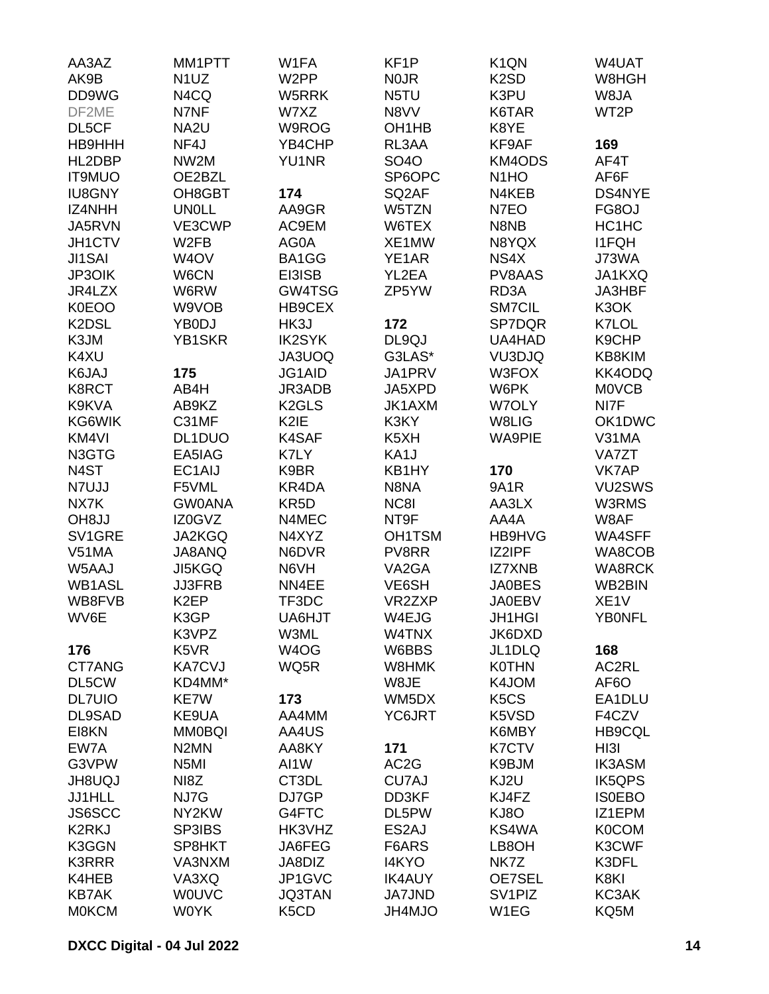| AA3AZ         | MM1PTT            | W1FA                          | KF <sub>1</sub> P              | K <sub>1</sub> QN             | W4UAT             |
|---------------|-------------------|-------------------------------|--------------------------------|-------------------------------|-------------------|
| AK9B          | N <sub>1</sub> UZ | W <sub>2</sub> PP             | <b>NOJR</b>                    | K <sub>2</sub> SD             | W8HGH             |
| DD9WG         | N4CQ              | W5RRK                         | N5TU                           | K3PU                          | W8JA              |
| DF2ME         | N7NF              | W7XZ                          | N8VV                           | K6TAR                         | WT2P              |
| DL5CF         | NA2U              | W9ROG                         | OH <sub>1</sub> H <sub>B</sub> | K8YE                          |                   |
| HB9HHH        | NF4J              | YB4CHP                        | RL3AA                          | KF9AF                         | 169               |
| HL2DBP        | NW2M              | <b>YU1NR</b>                  | <b>SO4O</b>                    | KM4ODS                        | AF4T              |
| <b>IT9MUO</b> | OE2BZL            |                               | SP6OPC                         | N <sub>1</sub> HO             | AF6F              |
|               |                   | 174                           |                                | N4KEB                         | DS4NYE            |
| <b>IU8GNY</b> | OH8GBT            |                               | SQ2AF                          |                               |                   |
| IZ4NHH        | <b>UN0LL</b>      | AA9GR                         | W5TZN                          | N7EO                          | FG8OJ             |
| JA5RVN        | VE3CWP            | AC9EM                         | W6TEX                          | N8NB                          | HC1HC             |
| JH1CTV        | W2FB              | AG0A                          | XE1MW                          | N8YQX                         | <b>I1FQH</b>      |
| <b>JI1SAI</b> | W <sub>4</sub> OV | BA1GG                         | YE1AR                          | NS4X                          | J73WA             |
| <b>JP3OIK</b> | W6CN              | EI3ISB                        | YL2EA                          | PV8AAS                        | JA1KXQ            |
| JR4LZX        | W6RW              | GW4TSG                        | ZP5YW                          | RD3A                          | JA3HBF            |
| <b>K0EOO</b>  | W9VOB             | HB9CEX                        |                                | <b>SM7CIL</b>                 | K3OK              |
| K2DSL         | YB0DJ             | HK3J                          | 172                            | SP7DQR                        | K7LOL             |
| K3JM          | YB1SKR            | <b>IK2SYK</b>                 | DL9QJ                          | UA4HAD                        | K9CHP             |
| K4XU          |                   | JA3UOQ                        | G3LAS*                         | VU3DJQ                        | KB8KIM            |
| K6JAJ         | 175               | JG1AID                        | JA1PRV                         | W3FOX                         | KK4ODQ            |
| K8RCT         | AB4H              | JR3ADB                        | JA5XPD                         | W6PK                          | <b>MOVCB</b>      |
| K9KVA         | AB9KZ             | K <sub>2</sub> GLS            | JK1AXM                         | W7OLY                         | NI7F              |
| KG6WIK        | C31MF             | K <sub>2</sub> IE             | K3KY                           | W8LIG                         | OK1DWC            |
| KM4VI         | DL1DUO            | K4SAF                         | K <sub>5</sub> XH              | <b>WA9PIE</b>                 | V31MA             |
| N3GTG         | EA5IAG            | K7LY                          | KA1J                           |                               | VA7ZT             |
|               |                   |                               |                                |                               |                   |
| N4ST          | EC1AIJ            | K9BR                          | KB1HY                          | 170                           | <b>VK7AP</b>      |
| N7UJJ         | F5VML             | KR4DA                         | N8NA                           | <b>9A1R</b>                   | VU2SWS            |
| NX7K          | <b>GW0ANA</b>     | KR <sub>5</sub> D             | NC8I                           | AA3LX                         | W3RMS             |
| <b>OH8JJ</b>  | IZ0GVZ            | N4MEC                         | NT9F                           | AA4A                          | W8AF              |
| SV1GRE        | <b>JA2KGQ</b>     | N4XYZ                         | <b>OH1TSM</b>                  | HB9HVG                        | WA4SFF            |
| V51MA         | JA8ANQ            | N6DVR                         | PV8RR                          | IZ2IPF                        | WA8COB            |
| W5AAJ         | <b>JI5KGQ</b>     | N6VH                          | VA2GA                          | <b>IZ7XNB</b>                 | <b>WA8RCK</b>     |
| <b>WB1ASL</b> | <b>JJ3FRB</b>     | NN4EE                         | VE6SH                          | <b>JA0BES</b>                 | WB2BIN            |
| WB8FVB        | K <sub>2</sub> EP | TF3DC                         | VR2ZXP                         | <b>JA0EBV</b>                 | XE <sub>1</sub> V |
| WV6E          | K3GP              | UA6HJT                        | W4EJG                          | <b>JH1HGI</b>                 | <b>YB0NFL</b>     |
|               | K3VPZ             | W3ML                          | W4TNX                          | JK6DXD                        |                   |
| 176           | K5VR              | W <sub>4</sub> OG             | W6BBS                          | JL1DLQ                        | 168               |
| CT7ANG        | <b>KA7CVJ</b>     | WQ5R                          | W8HMK                          | <b>K0THN</b>                  | AC2RL             |
| DL5CW         | KD4MM*            |                               | W8JE                           | K4JOM                         | AF <sub>6</sub> O |
| <b>DL7UIO</b> | KE7W              | 173                           | WM5DX                          | K <sub>5</sub> C <sub>S</sub> | EA1DLU            |
| DL9SAD        | KE9UA             | AA4MM                         | YC6JRT                         | K5VSD                         | F4CZV             |
| EI8KN         | <b>MM0BQI</b>     | AA4US                         |                                | K6MBY                         | HB9CQL            |
| EW7A          | N <sub>2</sub> MN | AA8KY                         |                                | <b>K7CTV</b>                  | HI3I              |
|               |                   |                               | 171                            |                               |                   |
| G3VPW         | N <sub>5</sub> MI | AI1W                          | AC <sub>2</sub> G              | K9BJM                         | <b>IK3ASM</b>     |
| <b>JH8UQJ</b> | NI8Z              | CT3DL                         | CU7AJ                          | KJ2U                          | <b>IK5QPS</b>     |
| JJ1HLL        | NJ7G              | DJ7GP                         | DD3KF                          | KJ4FZ                         | <b>ISOEBO</b>     |
| JS6SCC        | NY2KW             | G4FTC                         | DL5PW                          | KJ8O                          | IZ1EPM            |
| <b>K2RKJ</b>  | SP3IBS            | HK3VHZ                        | ES2AJ                          | KS4WA                         | <b>K0COM</b>      |
| K3GGN         | SP8HKT            | JA6FEG                        | F6ARS                          | LB8OH                         | K3CWF             |
| <b>K3RRR</b>  | VA3NXM            | JA8DIZ                        | I4KYO                          | NK7Z                          | K3DFL             |
| K4HEB         | VA3XQ             | JP1GVC                        | <b>IK4AUY</b>                  | OE7SEL                        | K8KI              |
| <b>KB7AK</b>  | <b>WOUVC</b>      | <b>JQ3TAN</b>                 | <b>JA7JND</b>                  | SV <sub>1</sub> PIZ           | KC3AK             |
| <b>MOKCM</b>  | <b>W0YK</b>       | K <sub>5</sub> C <sub>D</sub> | JH4MJO                         | W1EG                          | KQ5M              |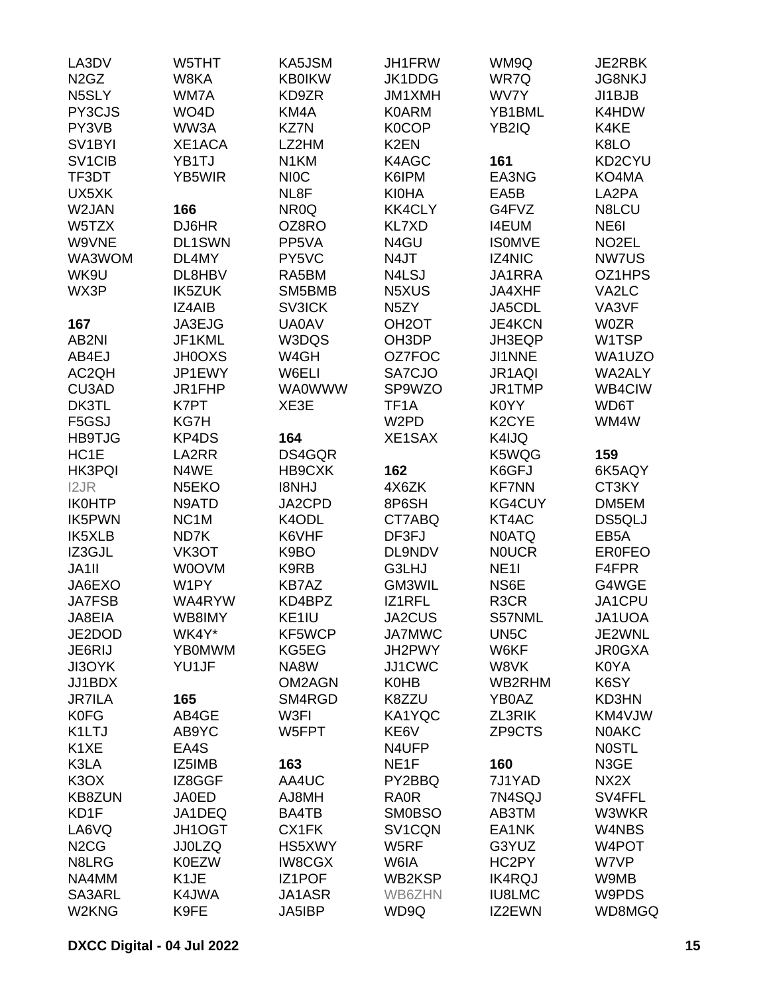| LA3DV                           | W5THT              | KA5JSM            | JH1FRW             | WM9Q               | JE2RBK             |
|---------------------------------|--------------------|-------------------|--------------------|--------------------|--------------------|
| N <sub>2</sub> G <sub>Z</sub>   | W8KA               | <b>KB0IKW</b>     | JK1DDG             | WR7Q               | <b>JG8NKJ</b>      |
| N5SLY                           | WM7A               | KD9ZR             | JM1XMH             | WV7Y               | JI1BJB             |
| PY3CJS                          | WO <sub>4</sub> D  | KM4A              | <b>K0ARM</b>       | YB1BML             | K4HDW              |
| PY3VB                           | WW3A               | <b>KZ7N</b>       | <b>K0COP</b>       | YB2IQ              | K4KE               |
| SV <sub>1</sub> BYI             | XE1ACA             | LZ2HM             | K <sub>2</sub> EN  |                    | K8LO               |
| SV <sub>1</sub> C <sub>IB</sub> | YB1TJ              | N <sub>1</sub> KM | K4AGC              | 161                | KD2CYU             |
| TF3DT                           | <b>YB5WIR</b>      | <b>NIOC</b>       | K6IPM              | EA3NG              | KO4MA              |
| UX5XK                           |                    | NL8F              | <b>KI0HA</b>       | EA5B               | LA2PA              |
| W2JAN                           | 166                | NR <sub>0</sub> Q | <b>KK4CLY</b>      | G4FVZ              | N8LCU              |
| W5TZX                           | DJ6HR              | OZ8RO             | <b>KL7XD</b>       | <b>I4EUM</b>       | NE6I               |
| W9VNE                           | <b>DL1SWN</b>      | PP5VA             | N4GU               | <b>ISOMVE</b>      | NO <sub>2</sub> EL |
| WA3WOM                          | DL4MY              | PY5VC             | N4JT               | IZ4NIC             | NW7US              |
| WK9U                            | DL8HBV             | RA5BM             | N4LSJ              | JA1RRA             | OZ1HPS             |
| WX3P                            | <b>IK5ZUK</b>      | SM5BMB            | N5XUS              | JA4XHF             | VA2LC              |
|                                 | <b>IZ4AIB</b>      | <b>SV3ICK</b>     | N <sub>5</sub> ZY  | JA5CDL             | VA3VF              |
| 167                             | JA3EJG             | <b>UA0AV</b>      | OH <sub>2</sub> OT | JE4KCN             | <b>W0ZR</b>        |
| AB2NI                           | JF1KML             | W3DQS             | OH3DP              | JH3EQP             | W1TSP              |
| AB4EJ                           | <b>JH0OXS</b>      | W4GH              | OZ7FOC             | JI1NNE             | WA1UZO             |
| AC2QH                           | JP1EWY             | W6ELI             | SA7CJO             |                    | WA2ALY             |
|                                 | JR1FHP             |                   |                    | JR1AQI<br>JR1TMP   |                    |
| CU3AD                           |                    | <b>WA0WWW</b>     | SP9WZO             |                    | WB4CIW             |
| DK3TL                           | K7PT               | XE3E              | TF <sub>1</sub> A  | K0YY               | WD6T               |
| F5GSJ                           | KG7H               |                   | W <sub>2</sub> PD  | K <sub>2</sub> CYE | WM4W               |
| <b>HB9TJG</b>                   | KP4DS              | 164               | XE1SAX             | K4IJQ              |                    |
| HC1E                            | LA2RR              | DS4GQR            |                    | K5WQG              | 159                |
| <b>HK3PQI</b>                   | N4WE               | HB9CXK            | 162                | K6GFJ              | 6K5AQY             |
| I2JR                            | N <sub>5</sub> EKO | <b>I8NHJ</b>      | 4X6ZK              | <b>KF7NN</b>       | CT3KY              |
| <b>IK0HTP</b>                   | N9ATD              | JA2CPD            | 8P6SH              | <b>KG4CUY</b>      | DM5EM              |
| <b>IK5PWN</b>                   | NC <sub>1</sub> M  | K4ODL             | CT7ABQ             | KT4AC              | DS5QLJ             |
| <b>IK5XLB</b>                   | ND7K               | K6VHF             | DF3FJ              | <b>N0ATQ</b>       | EB <sub>5</sub> A  |
| IZ3GJL                          | VK3OT              | K9BO              | <b>DL9NDV</b>      | <b>NOUCR</b>       | <b>ER0FEO</b>      |
| JA1II                           | <b>WOOVM</b>       | K9RB              | G3LHJ              | <b>NE11</b>        | F4FPR              |
| JA6EXO                          | W1PY               | KB7AZ             | GM3WIL             | NS6E               | G4WGE              |
| <b>JA7FSB</b>                   | WA4RYW             | KD4BPZ            | IZ1RFL             | R <sub>3</sub> CR  | JA1CPU             |
| JA8EIA                          | WB8IMY             | KE1IU             | JA2CUS             | S57NML             | JA1UOA             |
| JE2DOD                          | WK4Y*              | KF5WCP            | <b>JA7MWC</b>      | UN <sub>5</sub> C  | JE2WNL             |
| JE6RIJ                          | <b>YB0MWM</b>      | KG5EG             | JH2PWY             | W6KF               | <b>JR0GXA</b>      |
| JI3OYK                          | YU1JF              | NA8W              | JJ1CWC             | W8VK               | K0YA               |
| JJ1BDX                          |                    | OM2AGN            | <b>K0HB</b>        | WB2RHM             | K6SY               |
| <b>JR7ILA</b>                   | 165                | SM4RGD            | K8ZZU              | YB0AZ              | KD3HN              |
| <b>K0FG</b>                     | AB4GE              | W3FI              | KA1YQC             | ZL3RIK             | KM4VJW             |
| K1LTJ                           | AB9YC              | W5FPT             | KE6V               | ZP9CTS             | <b>NOAKC</b>       |
| K <sub>1</sub> XE               | EA4S               |                   | N4UFP              |                    | <b>NOSTL</b>       |
| K3LA                            | IZ5IMB             | 163               | NE <sub>1F</sub>   | 160                | N3GE               |
| K <sub>3</sub> O <sub>X</sub>   | IZ8GGF             | AA4UC             | PY2BBQ             | 7J1YAD             | NX2X               |
| <b>KB8ZUN</b>                   | <b>JA0ED</b>       | AJ8MH             | <b>RA0R</b>        | 7N4SQJ             | SV4FFL             |
| KD1F                            | JA1DEQ             | BA4TB             | <b>SM0BSO</b>      | AB3TM              | W3WKR              |
| LA6VQ                           | <b>JH1OGT</b>      | CX1FK             | SV1CQN             | EA1NK              | W4NBS              |
| N <sub>2</sub> C <sub>G</sub>   | <b>JJ0LZQ</b>      | HS5XWY            | W5RF               | G3YUZ              | W4POT              |
| N8LRG                           | <b>K0EZW</b>       | <b>IW8CGX</b>     | W6IA               | HC2PY              | W7VP               |
| NA4MM                           | K1JE               | <b>IZ1POF</b>     | WB2KSP             | <b>IK4RQJ</b>      | W9MB               |
| SA3ARL                          | K4JWA              | JA1ASR            | WB6ZHN             | <b>IU8LMC</b>      | W9PDS              |
| W2KNG                           | K9FE               | JA5IBP            | WD9Q               | IZ2EWN             | WD8MGQ             |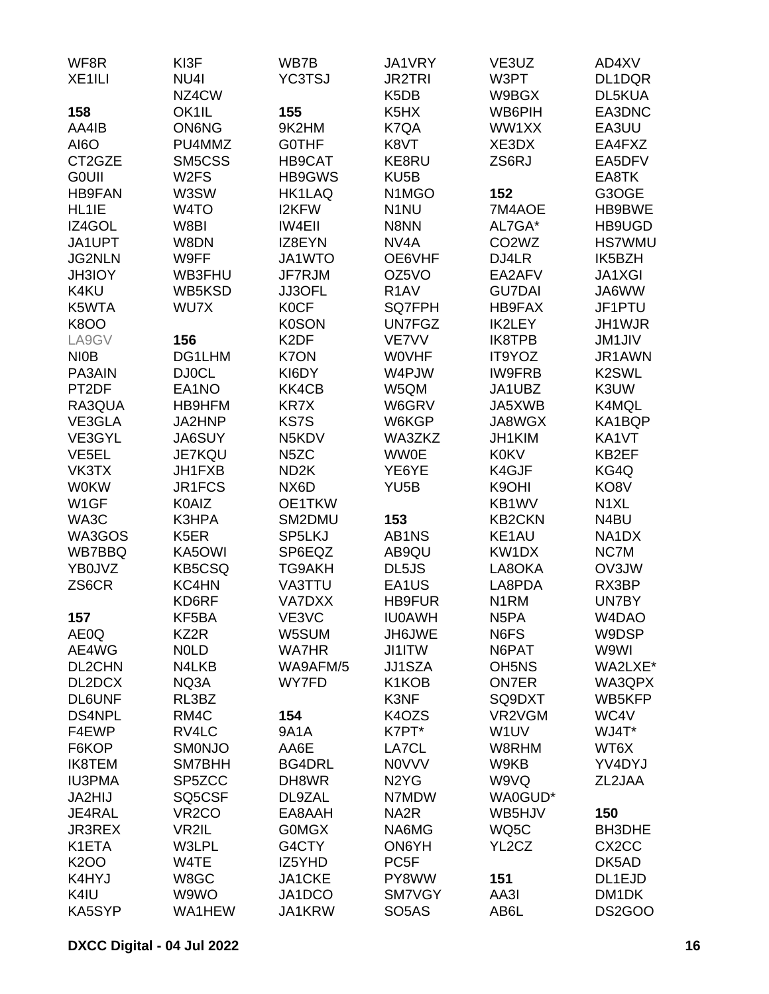| WF8R               | KI3F               | WB7B              | JA1VRY                          | VE3UZ                          | AD4XV              |
|--------------------|--------------------|-------------------|---------------------------------|--------------------------------|--------------------|
| XE <sub>1ILI</sub> | NU4I               | <b>YC3TSJ</b>     | <b>JR2TRI</b>                   | W3PT                           | DL1DQR             |
|                    | NZ4CW              |                   | K <sub>5</sub> D <sub>B</sub>   | W9BGX                          | DL5KUA             |
| 158                | OK1IL              | 155               | K <sub>5</sub> H <sub>X</sub>   | WB6PIH                         | EA3DNC             |
| AA4IB              | <b>ON6NG</b>       | 9K2HM             | K7QA                            | WW1XX                          | EA3UU              |
| AI6O               | PU4MMZ             | <b>GOTHF</b>      | K8VT                            | XE3DX                          | EA4FXZ             |
| CT2GZE             | SM5CSS             | HB9CAT            | KE8RU                           | ZS6RJ                          | EA5DFV             |
| <b>GOUII</b>       | W <sub>2</sub> FS  | HB9GWS            | KU <sub>5</sub> B               |                                | EA8TK              |
| <b>HB9FAN</b>      | W3SW               | <b>HK1LAQ</b>     | N <sub>1</sub> M <sub>G</sub> O | 152                            | G3OGE              |
| HL1IE              | W <sub>4</sub> TO  | I2KFW             | N <sub>1</sub> NU               | 7M4AOE                         | HB9BWE             |
| IZ4GOL             | W8BI               | <b>IW4EII</b>     | N8NN                            | AL7GA*                         | HB9UGD             |
| JA1UPT             | W8DN               | IZ8EYN            | NV <sub>4</sub> A               | CO <sub>2</sub> W <sub>Z</sub> | <b>HS7WMU</b>      |
| <b>JG2NLN</b>      | W9FF               | JA1WTO            | OE6VHF                          | DJ4LR                          | IK5BZH             |
| <b>JH3IOY</b>      | WB3FHU             | JF7RJM            | OZ5VO                           | EA2AFV                         | <b>JA1XGI</b>      |
| K4KU               | WB5KSD             | JJ3OFL            | R <sub>1</sub> AV               | <b>GU7DAI</b>                  | JA6WW              |
| K5WTA              | WU7X               | <b>K0CF</b>       | <b>SQ7FPH</b>                   | <b>HB9FAX</b>                  | JF1PTU             |
| <b>K8OO</b>        |                    | <b>K0SON</b>      | <b>UN7FGZ</b>                   | <b>IK2LEY</b>                  | JH1WJR             |
| LA9GV              | 156                | K <sub>2</sub> DF | VE7VV                           | <b>IK8TPB</b>                  | <b>JM1JIV</b>      |
| <b>NIOB</b>        | DG1LHM             | <b>K7ON</b>       | <b>WOVHF</b>                    | IT9YOZ                         | JR1AWN             |
| PA3AIN             | <b>DJ0CL</b>       | KI6DY             | W4PJW                           | <b>IW9FRB</b>                  | K <sub>2</sub> SWL |
| PT2DF              | EA1NO              | KK4CB             | W5QM                            | JA1UBZ                         | K3UW               |
| RA3QUA             | HB9HFM             | <b>KR7X</b>       | W6GRV                           | JA5XWB                         | K4MQL              |
| VE3GLA             | JA2HNP             | <b>KS7S</b>       |                                 | JA8WGX                         |                    |
|                    |                    | N5KDV             | W6KGP<br>WA3ZKZ                 | JH1KIM                         | KA1BQP<br>KA1VT    |
| VE3GYL             | <b>JA6SUY</b>      | N <sub>5</sub> ZC | <b>WW0E</b>                     | <b>K0KV</b>                    |                    |
| VE <sub>5EL</sub>  | <b>JE7KQU</b>      | ND <sub>2</sub> K |                                 |                                | KB2EF              |
| VK3TX              | JH1FXB             |                   | YE6YE                           | K4GJF                          | KG4Q               |
| <b>W0KW</b>        | JR1FCS             | NX6D              | YU <sub>5</sub> B               | K9OHI                          | KO8V               |
| W1GF               | K0AIZ              | OE1TKW            |                                 | KB1WV                          | N <sub>1</sub> XL  |
| WA3C               | K3HPA              | SM2DMU            | 153                             | <b>KB2CKN</b>                  | N4BU               |
| WA3GOS             | K <sub>5</sub> ER  | SP5LKJ            | AB1NS                           | KE1AU                          | NA1DX              |
| <b>WB7BBQ</b>      | KA5OWI             | SP6EQZ            | AB9QU                           | KW1DX                          | NC7M               |
| YB0JVZ             | <b>KB5CSQ</b>      | <b>TG9AKH</b>     | DL5JS                           | LA8OKA                         | OV3JW              |
| ZS6CR              | KC4HN              | VA3TTU            | EA1US                           | LA8PDA                         | RX3BP              |
|                    | KD6RF              | <b>VA7DXX</b>     | <b>HB9FUR</b>                   | N <sub>1</sub> RM              | UN7BY              |
| 157                | KF5BA              | VE3VC             | <b>IU0AWH</b>                   | N <sub>5</sub> PA              | W4DAO              |
| AE0Q               | KZ2R               | W5SUM             | JH6JWE                          | N6FS                           | W9DSP              |
| AE4WG              | <b>NOLD</b>        | <b>WA7HR</b>      | JI1ITW                          | N6PAT                          | W9WI               |
| DL2CHN             | N4LKB              | WA9AFM/5          | JJ1SZA                          | OH <sub>5</sub> N <sub>S</sub> | WA2LXE*            |
| DL2DCX             | NQ3A               | WY7FD             | K1KOB                           | <b>ON7ER</b>                   | WA3QPX             |
| <b>DL6UNF</b>      | RL3BZ              |                   | K3NF                            | SQ9DXT                         | WB5KFP             |
| <b>DS4NPL</b>      | RM4C               | 154               | K4OZS                           | VR2VGM                         | WC4V               |
| F4EWP              | RV4LC              | <b>9A1A</b>       | K7PT*                           | W <sub>1</sub> UV              | WJ4T*              |
| F6KOP              | <b>SMONJO</b>      | AA6E              | LA7CL                           | W8RHM                          | WT6X               |
| <b>IK8TEM</b>      | SM7BHH             | <b>BG4DRL</b>     | <b>NOVVV</b>                    | W9KB                           | YV4DYJ             |
| <b>IU3PMA</b>      | SP5ZCC             | DH8WR             | N <sub>2</sub> Y <sub>G</sub>   | W9VQ                           | ZL2JAA             |
| JA2HIJ             | SQ5CSF             | DL9ZAL            | N7MDW                           | WA0GUD*                        |                    |
| JE4RAL             | VR <sub>2</sub> CO | EA8AAH            | NA <sub>2</sub> R               | WB5HJV                         | 150                |
| <b>JR3REX</b>      | VR2IL              | <b>GOMGX</b>      | NA6MG                           | WQ5C                           | BH3DHE             |
| K1ETA              | W3LPL              | G4CTY             | ON6YH                           | YL2CZ                          | CX <sub>2</sub> CC |
| <b>K2OO</b>        | W4TE               | IZ5YHD            | PC <sub>5F</sub>                |                                | DK5AD              |
| K4HYJ              | W8GC               | JA1CKE            | PY8WW                           | 151                            | DL1EJD             |
| K4IU               | W9WO               | JA1DCO            | SM7VGY                          | AA3I                           | DM1DK              |
| KA5SYP             | WA1HEW             | JA1KRW            | SO <sub>5</sub> AS              | AB6L                           | DS2GOO             |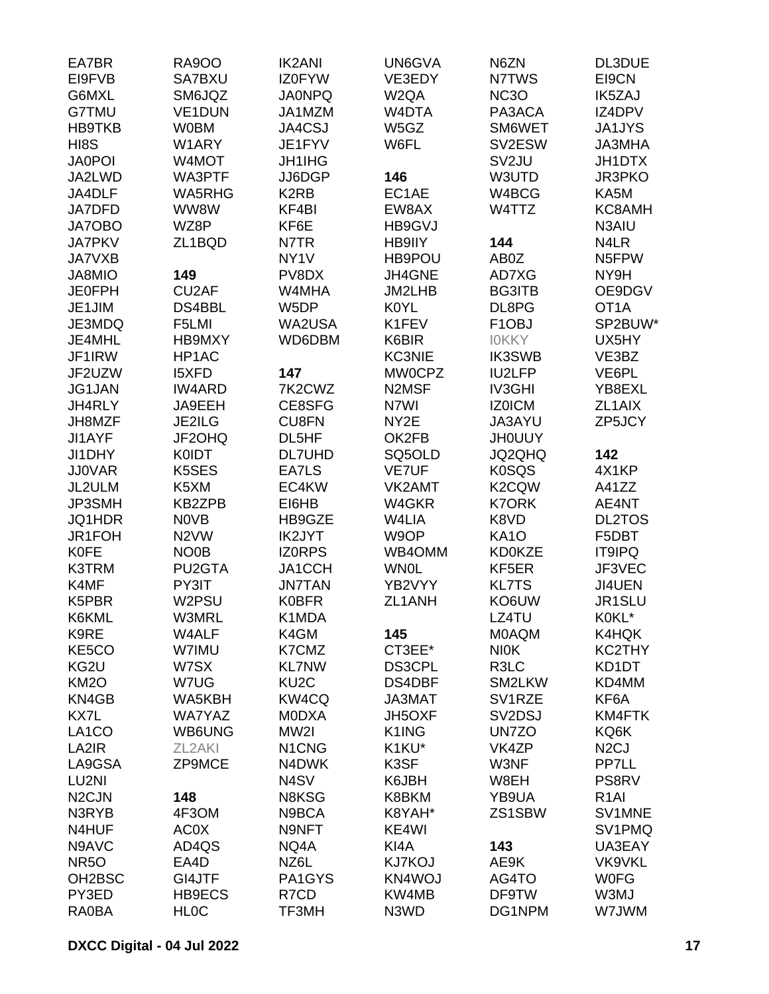| EA7BR               | <b>RA900</b>        | <b>IK2ANI</b>                  | UN6GVA                         | N6ZN                            | <b>DL3DUE</b>     |
|---------------------|---------------------|--------------------------------|--------------------------------|---------------------------------|-------------------|
| EI9FVB              | SA7BXU              | <b>IZ0FYW</b>                  | VE3EDY                         | N7TWS                           | EI9CN             |
| G6MXL               | SM6JQZ              | <b>JA0NPQ</b>                  | W <sub>2</sub> QA              | <b>NC3O</b>                     | IK5ZAJ            |
| G7TMU               | <b>VE1DUN</b>       | JA1MZM                         | W4DTA                          | PA3ACA                          | IZ4DPV            |
| <b>HB9TKB</b>       | <b>W0BM</b>         | JA4CSJ                         | W5GZ                           | SM6WET                          | <b>JA1JYS</b>     |
| HI8S                | W1ARY               | JE1FYV                         | W6FL                           | SV2ESW                          | <b>JA3MHA</b>     |
| <b>JA0POI</b>       | W4MOT               | <b>JH1IHG</b>                  |                                | SV <sub>2</sub> JU              | <b>JH1DTX</b>     |
| JA2LWD              | WA3PTF              | JJ6DGP                         | 146                            | W3UTD                           | <b>JR3PKO</b>     |
| JA4DLF              | WA5RHG              | K <sub>2</sub> RB              | EC1AE                          | W4BCG                           | KA5M              |
| <b>JA7DFD</b>       | WW8W                | KF4BI                          | EW8AX                          | W4TTZ                           | KC8AMH            |
| <b>JA7OBO</b>       | WZ8P                | KF6E                           | HB9GVJ                         |                                 | N3AIU             |
| <b>JA7PKV</b>       | ZL1BQD              | N7TR                           | HB9IIY                         | 144                             | N4LR              |
| <b>JA7VXB</b>       |                     | NY <sub>1</sub> V              | HB9POU                         | AB0Z                            | N5FPW             |
| JA8MIO              | 149                 | PV8DX                          | JH4GNE                         | AD7XG                           | NY9H              |
| <b>JE0FPH</b>       | CU <sub>2</sub> AF  | W4MHA                          | JM2LHB                         | <b>BG3ITB</b>                   | OE9DGV            |
| JE1JIM              | DS4BBL              | W5DP                           | <b>K0YL</b>                    | DL8PG                           | OT <sub>1</sub> A |
| JE3MDQ              | F5LMI               | WA2USA                         | K1FEV                          | F <sub>1</sub> OBJ              | SP2BUW*           |
| JE4MHL              | <b>HB9MXY</b>       | WD6DBM                         | K6BIR                          | <b>IOKKY</b>                    | UX5HY             |
| JF1IRW              | HP1AC               |                                | <b>KC3NIE</b>                  | <b>IK3SWB</b>                   | VE3BZ             |
| JF2UZW              | <b>I5XFD</b>        | 147                            | <b>MW0CPZ</b>                  | <b>IU2LFP</b>                   | VE6PL             |
| JG1JAN              | <b>IW4ARD</b>       | 7K2CWZ                         | N <sub>2</sub> M <sub>SF</sub> | IV3GHI                          | YB8EXL            |
| JH4RLY              | JA9EEH              | CE8SFG                         | N7WI                           | IZ0ICM                          | ZL1AIX            |
| JH8MZF              | JE2ILG              | <b>CU8FN</b>                   | NY2E                           | JA3AYU                          | ZP5JCY            |
| JI1AYF              | JF2OHQ              | DL5HF                          | OK2FB                          | <b>JHOUUY</b>                   |                   |
| JI1DHY              | <b>K0IDT</b>        | <b>DL7UHD</b>                  | SQ5OLD                         | JQ2QHQ                          | 142               |
| <b>JJ0VAR</b>       | K5SES               | EA7LS                          | <b>VE7UF</b>                   | <b>K0SQS</b>                    | 4X1KP             |
| JL2ULM              | K5XM                | EC4KW                          | VK2AMT                         | K2CQW                           | A41ZZ             |
| JP3SMH              | <b>KB2ZPB</b>       | EI6HB                          | W4GKR                          | <b>K7ORK</b>                    | AE4NT             |
| JQ1HDR              | <b>NOVB</b>         | HB9GZE                         | W4LIA                          | K8VD                            | <b>DL2TOS</b>     |
| JR1FOH              | N <sub>2</sub> VW   | <b>IK2JYT</b>                  | W9OP                           | <b>KA10</b>                     | F5DBT             |
| <b>K0FE</b>         | NO <sub>0</sub> B   | <b>IZORPS</b>                  | WB4OMM                         | <b>KD0KZE</b>                   | <b>IT9IPQ</b>     |
|                     |                     |                                |                                |                                 |                   |
| K3TRM               | PU2GTA              | JA1CCH                         | <b>WN0L</b><br>YB2VYY          | KF5ER                           | JF3VEC            |
| K4MF                | PY3IT<br>W2PSU      | <b>JN7TAN</b><br><b>K0BFR</b>  |                                | <b>KL7TS</b><br>KO6UW           | JI4UEN<br>JR1SLU  |
| K5PBR               | W3MRL               |                                | ZL1ANH                         |                                 |                   |
| K6KML               |                     | K1MDA                          |                                | LZ4TU                           | K0KL*             |
| K9RE                | W4ALF               | K4GM                           | 145                            | <b>MOAQM</b>                    | K4HQK             |
| KE5CO               | W7IMU               | K7CMZ                          | CT3EE*                         | <b>NIOK</b>                     | KC2THY            |
| KG2U                | W7SX                | <b>KL7NW</b>                   | <b>DS3CPL</b>                  | R3LC                            | KD1DT             |
| <b>KM2O</b>         | W7UG                | KU <sub>2</sub> C              | DS4DBF                         | SM2LKW                          | KD4MM             |
| KN4GB               | WA5KBH              | KW4CQ                          | JA3MAT                         | SV1RZE                          | KF6A              |
| KX7L                | <b>WA7YAZ</b>       | <b>MODXA</b>                   | JH5OXF                         | SV <sub>2</sub> D <sub>SJ</sub> | KM4FTK            |
| LA <sub>1</sub> CO  | WB6UNG              | MW2I                           | K1ING                          | UN7ZO                           | KQ6K              |
| LA2IR               | ZL <sub>2</sub> AKI | N <sub>1</sub> C <sub>NG</sub> | K1KU*                          | VK4ZP                           | N <sub>2</sub> CJ |
| LA9GSA              | ZP9MCE              | N4DWK                          | K3SF                           | W3NF                            | PP7LL             |
| LU2NI               |                     | N <sub>4</sub> SV              | K6JBH                          | W8EH                            | PS8RV             |
| N <sub>2</sub> CJN  | 148                 | N8KSG                          | K8BKM                          | YB9UA                           | R <sub>1</sub> AI |
| N3RYB               | 4F3OM               | N9BCA                          | K8YAH*                         | ZS1SBW                          | SV1MNE            |
| N4HUF               | AC0X                | N9NFT                          | KE4WI                          |                                 | SV1PMQ            |
| N9AVC               | AD4QS               | NQ4A                           | KI4A                           | 143                             | UA3EAY            |
| <b>NR50</b>         | EA4D                | NZ6L                           | <b>KJ7KOJ</b>                  | AE9K                            | <b>VK9VKL</b>     |
| OH <sub>2</sub> BSC | GI4JTF              | PA1GYS                         | KN4WOJ                         | AG4TO                           | <b>WOFG</b>       |
| PY3ED               | HB9ECS              | R7CD                           | KW4MB                          | DF9TW                           | W3MJ              |
| RA0BA               | <b>HLOC</b>         | TF3MH                          | N3WD                           | DG1NPM                          | W7JWM             |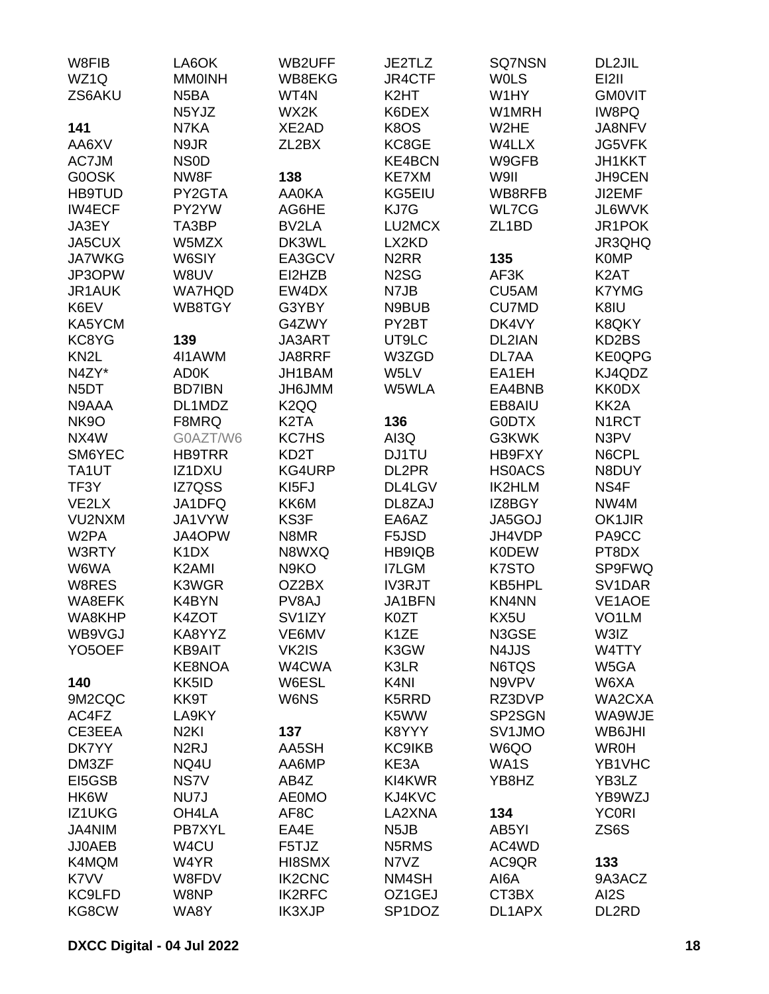| W8FIB               | LA6OK                         | <b>WB2UFF</b>     | JE2TLZ            | <b>SQ7NSN</b>      | DL2JIL              |
|---------------------|-------------------------------|-------------------|-------------------|--------------------|---------------------|
| WZ1Q                | <b>MMOINH</b>                 | WB8EKG            | JR4CTF            | <b>WOLS</b>        | EI2II               |
| ZS6AKU              | N <sub>5</sub> BA             | WT4N              | K <sub>2</sub> HT | W1HY               | <b>GMOVIT</b>       |
|                     | N5YJZ                         | WX2K              | K6DEX             | W1MRH              | IW8PQ               |
| 141                 | N7KA                          | XE2AD             | K8OS              | W <sub>2</sub> HE  | JA8NFV              |
| AA6XV               | N9JR                          | ZL2BX             | KC8GE             | W4LLX              | JG5VFK              |
| AC7JM               | <b>NSOD</b>                   |                   | <b>KE4BCN</b>     | W9GFB              | JH1KKT              |
| G0OSK               | NW8F                          | 138               | KE7XM             | W9II               | JH9CEN              |
| <b>HB9TUD</b>       | PY2GTA                        | <b>AA0KA</b>      | KG5EIU            | WB8RFB             | JI2EMF              |
| <b>IW4ECF</b>       | PY2YW                         | AG6HE             | KJ7G              | WL7CG              | JL6WVK              |
| JA3EY               | TA3BP                         | BV2LA             | LU2MCX            | ZL <sub>1</sub> BD | JR1POK              |
| JA5CUX              | W5MZX                         | DK3WL             | LX2KD             |                    | JR3QHQ              |
| <b>JA7WKG</b>       | W6SIY                         | EA3GCV            | N <sub>2</sub> RR | 135                | <b>K0MP</b>         |
| JP3OPW              | W8UV                          | EI2HZB            | N <sub>2</sub> SG | AF3K               | K <sub>2</sub> AT   |
| <b>JR1AUK</b>       | <b>WA7HQD</b>                 | EW4DX             | N7JB              | CU5AM              | <b>K7YMG</b>        |
| K6EV                | WB8TGY                        | G3YBY             | N9BUB             | <b>CU7MD</b>       | K8IU                |
| KA5YCM              |                               | G4ZWY             | PY2BT             | DK4VY              | K8QKY               |
| KC8YG               | 139                           | JA3ART            | UT9LC             | DL2IAN             | KD2BS               |
| KN <sub>2</sub> L   | 4I1AWM                        | JA8RRF            | W3ZGD             | DL7AA              | KE0QPG              |
| N4ZY*               | <b>AD0K</b>                   | JH1BAM            | W5LV              | EA1EH              | KJ4QDZ              |
| N <sub>5</sub> DT   | <b>BD7IBN</b>                 | JH6JMM            | W5WLA             | EA4BNB             | <b>KK0DX</b>        |
| N9AAA               | DL1MDZ                        | K <sub>2</sub> QQ |                   | EB8AIU             | KK <sub>2</sub> A   |
| <b>NK9O</b>         | F8MRQ                         | K <sub>2</sub> TA | 136               | <b>GODTX</b>       | N <sub>1</sub> RCT  |
| NX4W                | G0AZT/W6                      | <b>KC7HS</b>      | AI3Q              | G3KWK              | N3PV                |
| SM6YEC              | <b>HB9TRR</b>                 | KD <sub>2</sub> T | DJ1TU             | HB9FXY             | N6CPL               |
| TA1UT               | IZ1DXU                        | KG4URP            | DL2PR             | <b>HSOACS</b>      | N8DUY               |
| TF3Y                | IZ7QSS                        | KI5FJ             | DL4LGV            | <b>IK2HLM</b>      | NS4F                |
| VE2LX               | JA1DFQ                        | KK6M              | DL8ZAJ            | IZ8BGY             | NW4M                |
| VU2NXM              | JA1VYW                        | KS3F              | EA6AZ             | JA5GOJ             | <b>OK1JIR</b>       |
| W <sub>2</sub> PA   | JA4OPW                        | N8MR              | F5JSD             | JH4VDP             | PA9CC               |
| W3RTY               | K <sub>1</sub> D <sub>X</sub> | N8WXQ             | HB9IQB            | <b>K0DEW</b>       | PT8DX               |
| W6WA                | K <sub>2</sub> AMI            | N <sub>9</sub> KO | <b>I7LGM</b>      | K7STO              | SP9FWQ              |
| W8RES               | K3WGR                         | OZ2BX             | <b>IV3RJT</b>     | KB5HPL             | SV <sub>1</sub> DAR |
| WA8EFK              | K4BYN                         | PV8AJ             | JA1BFN            | <b>KN4NN</b>       | VE1AOE              |
| WA8KHP              | K4ZOT                         | SV1IZY            | K0ZT              | KX5U               | VO <sub>1</sub> LM  |
| WB9VGJ              | KA8YYZ                        | VE6MV             | K <sub>1</sub> ZE | N3GSE              | W3IZ                |
| YO <sub>5</sub> OEF | <b>KB9AIT</b>                 | VK2IS             | K3GW              | N4JJS              | W4TTY               |
|                     | KE8NOA                        | W4CWA             | K3LR              | N6TQS              | W5GA                |
| 140                 | KK5ID                         | W6ESL             | K <sub>4N</sub>   | N9VPV              | W6XA                |
| 9M2CQC              | KK9T                          | W6NS              | K5RRD             | RZ3DVP             | WA2CXA              |
| AC4FZ               | LA9KY                         |                   | K5WW              | SP2SGN             | WA9WJE              |
| CE3EEA              | N <sub>2KI</sub>              | 137               | K8YYY             | SV1JMO             | WB6JHI              |
| DK7YY               | N <sub>2</sub> RJ             | AA5SH             | <b>KC9IKB</b>     | W6QO               | <b>WR0H</b>         |
| DM3ZF               | NQ4U                          | AA6MP             | KE3A              | WA1S               | YB1VHC              |
| EI5GSB              | NS7V                          | AB4Z              | KI4KWR            | YB8HZ              | YB3LZ               |
| HK6W                | NU7J                          | <b>AE0MO</b>      | KJ4KVC            |                    | YB9WZJ              |
| IZ1UKG              | OH4LA                         | AF8C              | LA2XNA            | 134                | <b>YC0RI</b>        |
| <b>JA4NIM</b>       | PB7XYL                        | EA4E              | N <sub>5</sub> JB | AB5YI              | ZS6S                |
| <b>JJ0AEB</b>       | W4CU                          | F5TJZ             | N5RMS             | AC4WD              |                     |
| K4MQM               | W4YR                          | HI8SMX            | N7VZ              | AC9QR              | 133                 |
| K7VV                | W8FDV                         | <b>IK2CNC</b>     | NM4SH             | AI6A               | 9A3ACZ              |
| KC9LFD              | W8NP                          | <b>IK2RFC</b>     | OZ1GEJ            | CT3BX              | AI2S                |
| KG8CW               | WA8Y                          | <b>IK3XJP</b>     | SP1DOZ            | DL1APX             | DL2RD               |
|                     |                               |                   |                   |                    |                     |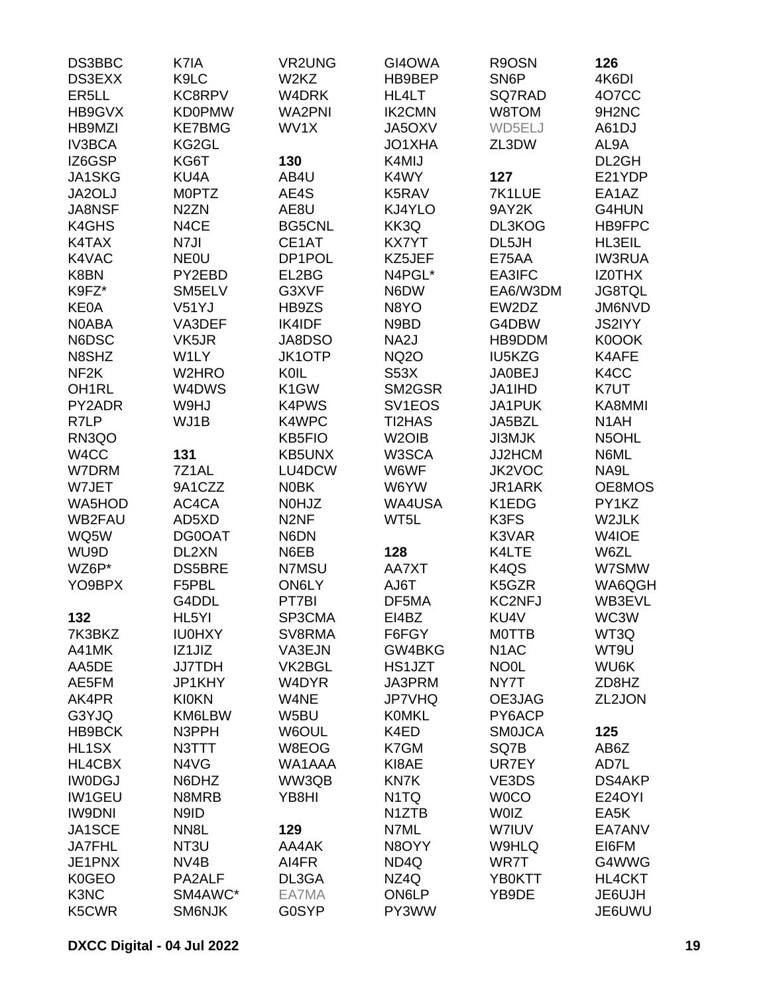| DS3BBC             | K7IA              | <b>VR2UNG</b>     | GI4OWA              | R9OSN                         | 126                            |
|--------------------|-------------------|-------------------|---------------------|-------------------------------|--------------------------------|
| <b>DS3EXX</b>      | K9LC              | W2KZ              | HB9BEP              | SN <sub>6</sub> P             | 4K6DI                          |
| ER <sub>5</sub> LL | <b>KC8RPV</b>     | W4DRK             | HL4LT               | SQ7RAD                        | 407CC                          |
| HB9GVX             | <b>KD0PMW</b>     | <b>WA2PNI</b>     | <b>IK2CMN</b>       | W8TOM                         | 9H <sub>2</sub> N <sub>C</sub> |
| HB9MZI             | <b>KE7BMG</b>     | WV1X              | JA5OXV              | WD5ELJ                        | A61DJ                          |
| <b>IV3BCA</b>      | KG2GL             |                   | JO1XHA              | ZL3DW                         | AL9A                           |
| IZ6GSP             | KG6T              | 130               | K4MIJ               |                               | DL2GH                          |
| JA1SKG             | KU4A              | AB4U              | K4WY                | 127                           | E21YDP                         |
| JA2OLJ             | <b>MOPTZ</b>      | AE4S              | K5RAV               | 7K1LUE                        | EA1AZ                          |
| <b>JA8NSF</b>      | N <sub>2</sub> ZN | AE8U              | KJ4YLO              | 9AY2K                         | G4HUN                          |
| K4GHS              | N4CE              | <b>BG5CNL</b>     | KK3Q                | DL3KOG                        | HB9FPC                         |
| K4TAX              | N7JI              |                   | <b>KX7YT</b>        | DL5JH                         |                                |
|                    |                   | CE1AT             |                     |                               | HL3EIL                         |
| K4VAC              | <b>NEOU</b>       | DP1POL            | KZ5JEF              | <b>E75AA</b>                  | <b>IW3RUA</b>                  |
| K8BN               | PY2EBD            | EL2BG             | N4PGL*              | EA3IFC                        | <b>IZOTHX</b>                  |
| K9FZ*              | SM5ELV            | G3XVF             | N6DW                | EA6/W3DM                      | <b>JG8TQL</b>                  |
| <b>KE0A</b>        | V51YJ             | HB9ZS             | N8YO                | EW2DZ                         | JM6NVD                         |
| N0ABA              | VA3DEF            | <b>IK4IDF</b>     | N9BD                | G4DBW                         | <b>JS2IYY</b>                  |
| N6DSC              | VK5JR             | JA8DSO            | NA <sub>2</sub> J   | HB9DDM                        | K0OOK                          |
| N8SHZ              | W1LY              | <b>JK1OTP</b>     | <b>NQ2O</b>         | <b>IU5KZG</b>                 | K4AFE                          |
| NF <sub>2</sub> K  | W2HRO             | KOIL              | <b>S53X</b>         | <b>JA0BEJ</b>                 | K4CC                           |
| OH <sub>1RL</sub>  | W4DWS             | K <sub>1</sub> GW | SM2GSR              | JA1IHD                        | K7UT                           |
| PY2ADR             | W9HJ              | K4PWS             | SV <sub>1</sub> EOS | <b>JA1PUK</b>                 | KA8MMI                         |
| R7LP               | WJ1B              | K4WPC             | <b>TI2HAS</b>       | JA5BZL                        | N <sub>1</sub> AH              |
| RN3QO              |                   | <b>KB5FIO</b>     | W <sub>2</sub> OIB  | <b>JI3MJK</b>                 | N5OHL                          |
| W4CC               | 131               | <b>KB5UNX</b>     | W3SCA               | JJ2HCM                        | N6ML                           |
| W7DRM              | 7Z1AL             | LU4DCW            | W6WF                | JK2VOC                        | NA9L                           |
| W7JET              | 9A1CZZ            | <b>NOBK</b>       | W6YW                | JR1ARK                        | OE8MOS                         |
| WA5HOD             | AC4CA             | <b>NOHJZ</b>      | WA4USA              | K1EDG                         | PY1KZ                          |
| <b>WB2FAU</b>      | AD5XD             | N <sub>2NF</sub>  | WT5L                | K3FS                          | W2JLK                          |
| WQ5W               | DG0OAT            | N6DN              |                     | K3VAR                         | W4IOE                          |
| WU9D               | DL2XN             | N6EB              | 128                 | K4LTE                         | W6ZL                           |
| WZ6P*              | <b>DS5BRE</b>     | N7MSU             | AA7XT               | K <sub>4</sub> Q <sub>S</sub> | W7SMW                          |
| YO9BPX             | F5PBL             | <b>ON6LY</b>      | AJ6T                | K5GZR                         | WA6QGH                         |
|                    | G4DDL             | PT7BI             | DF5MA               | <b>KC2NFJ</b>                 | WB3EVL                         |
| 132                | HL5YI             | SP3CMA            | EI4BZ               | KU4V                          | WC3W                           |
| 7K3BKZ             | <b>IU0HXY</b>     | SV8RMA            | F6FGY               | <b>MOTTB</b>                  | WT3Q                           |
| A41MK              | IZ1JIZ            | VA3EJN            | GW4BKG              | N <sub>1</sub> AC             | WT9U                           |
| AA5DE              | <b>JJ7TDH</b>     | VK2BGL            | HS1JZT              | <b>NO0L</b>                   | WU6K                           |
| AE5FM              | JP1KHY            | W4DYR             | JA3PRM              | NY7T                          | ZD8HZ                          |
|                    |                   |                   |                     |                               |                                |
| AK4PR              | <b>KI0KN</b>      | W4NE              | <b>JP7VHQ</b>       | OE3JAG                        | ZL2JON                         |
| G3YJQ              | KM6LBW            | W5BU              | <b>KOMKL</b>        | PY6ACP                        |                                |
| HB9BCK             | N3PPH             | W6OUL             | K4ED                | <b>SMOJCA</b>                 | 125                            |
| HL1SX              | N3TTT             | W8EOG             | K7GM                | SQ7B                          | AB6Z                           |
| HL4CBX             | N4VG              | WA1AAA            | KI8AE               | UR7EY                         | AD7L                           |
| <b>IWODGJ</b>      | N6DHZ             | WW3QB             | KN7K                | VE3DS                         | <b>DS4AKP</b>                  |
| <b>IW1GEU</b>      | N8MRB             | YB8HI             | N <sub>1</sub> TQ   | <b>WOCO</b>                   | <b>E24OYI</b>                  |
| <b>IW9DNI</b>      | N9ID              |                   | N1ZTB               | <b>WOIZ</b>                   | EA5K                           |
| JA1SCE             | NN <sub>8</sub> L | 129               | N7ML                | W7IUV                         | EA7ANV                         |
| <b>JA7FHL</b>      | NT3U              | AA4AK             | N8OYY               | W9HLQ                         | EI6FM                          |
| JE1PNX             | NV <sub>4</sub> B | AI4FR             | ND <sub>4Q</sub>    | WR7T                          | G4WWG                          |
| <b>K0GEO</b>       | PA2ALF            | DL3GA             | NZ4Q                | YB0KTT                        | HL4CKT                         |
| K3NC               | SM4AWC*           | EA7MA             | ON6LP               | YB9DE                         | JE6UJH                         |
| K5CWR              | <b>SM6NJK</b>     | G0SYP             | PY3WW               |                               | JE6UWU                         |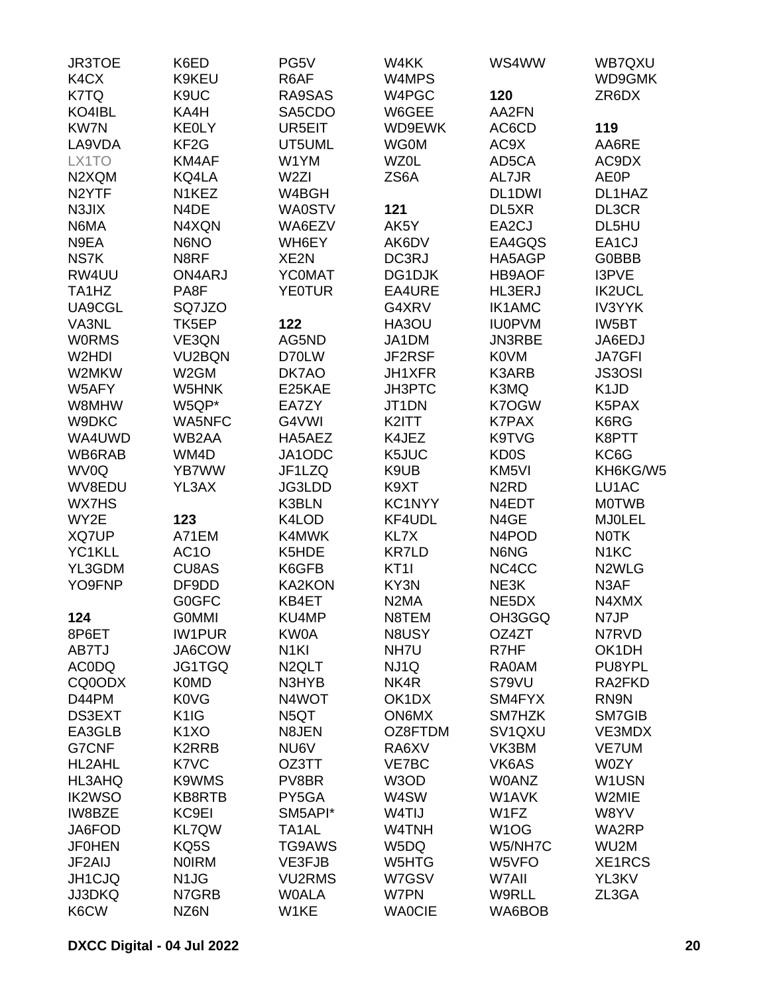| <b>JR3TOE</b>                  | K6ED                          | PG5V               | W4KK              | WS4WW                           | WB7QXU             |
|--------------------------------|-------------------------------|--------------------|-------------------|---------------------------------|--------------------|
| K4CX                           | K9KEU                         | R6AF               | W4MPS             |                                 | WD9GMK             |
| K7TQ                           | K9UC                          | RA9SAS             | W4PGC             | 120                             | ZR6DX              |
| KO4IBL                         | KA4H                          | SA5CDO             | W6GEE             | AA2FN                           |                    |
| <b>KW7N</b>                    | <b>KEOLY</b>                  | UR5EIT             | WD9EWK            | AC6CD                           | 119                |
| LA9VDA                         | KF <sub>2</sub> G             | UT5UML             | <b>WG0M</b>       | AC9X                            | AA6RE              |
| LX1TO                          | KM4AF                         | W1YM               | <b>WZ0L</b>       | AD5CA                           | AC9DX              |
| N2XQM                          | KQ4LA                         | W <sub>2ZI</sub>   | ZS6A              | AL7JR                           | <b>AE0P</b>        |
| N <sub>2</sub> YTF             | N <sub>1</sub> KEZ            | W4BGH              |                   | DL1DWI                          | DL1HAZ             |
| N3JIX                          | N4DE                          | <b>WA0STV</b>      | 121               | DL5XR                           | DL3CR              |
| N6MA                           | N4XQN                         | WA6EZV             | AK5Y              | EA2CJ                           | DL5HU              |
| N9EA                           | N6NO                          | WH6EY              | AK6DV             | EA4GQS                          | EA1CJ              |
| NS7K                           | N8RF                          | XE <sub>2N</sub>   | DC3RJ             | HA5AGP                          | <b>G0BBB</b>       |
| RW4UU                          | ON4ARJ                        | <b>YCOMAT</b>      | DG1DJK            | <b>HB9AOF</b>                   | I3PVE              |
| TA <sub>1</sub> H <sub>Z</sub> | PA8F                          | <b>YE0TUR</b>      | EA4URE            | HL3ERJ                          | <b>IK2UCL</b>      |
| UA9CGL                         | SQ7JZO                        |                    | G4XRV             | <b>IK1AMC</b>                   | <b>IV3YYK</b>      |
| VA3NL                          | TK5EP                         | 122                | HA3OU             | <b>IU0PVM</b>                   | IW5BT              |
|                                |                               | AG5ND              |                   | <b>JN3RBE</b>                   |                    |
| <b>WORMS</b>                   | VE3QN                         |                    | JA1DM             |                                 | JA6EDJ             |
| W2HDI                          | VU2BQN                        | D70LW              | JF2RSF            | <b>K0VM</b>                     | <b>JA7GFI</b>      |
| W2MKW                          | W <sub>2</sub> GM             | DK7AO              | JH1XFR            | K3ARB                           | <b>JS3OSI</b>      |
| W5AFY                          | W5HNK                         | E25KAE             | JH3PTC            | K3MQ                            | K <sub>1</sub> JD  |
| W8MHW                          | W5QP*                         | EA7ZY              | JT1DN             | K7OGW                           | K5PAX              |
| W9DKC                          | WA5NFC                        | G4VWI              | K2ITT             | <b>K7PAX</b>                    | K6RG               |
| WA4UWD                         | WB2AA                         | HA5AEZ             | K4JEZ             | K9TVG                           | K8PTT              |
| WB6RAB                         | WM4D                          | JA1ODC             | K5JUC             | <b>KD0S</b>                     | KC6G               |
| WV0Q                           | YB7WW                         | JF1LZQ             | K9UB              | KM <sub>5VI</sub>               | KH6KG/W5           |
| WV8EDU                         | YL3AX                         | JG3LDD             | K9XT              | N <sub>2</sub> R <sub>D</sub>   | LU1AC              |
| <b>WX7HS</b>                   |                               | K3BLN              | KC1NYY            | N4EDT                           | <b>MOTWB</b>       |
| WY2E                           | 123                           | K4LOD              | KF4UDL            | N4GE                            | <b>MJOLEL</b>      |
| <b>XQ7UP</b>                   | A71EM                         | K4MWK              | KL7X              | N <sub>4</sub> PO <sub>D</sub>  | <b>NOTK</b>        |
| YC1KLL                         | AC <sub>1</sub> O             | K5HDE              | <b>KR7LD</b>      | N6NG                            | N <sub>1</sub> KC  |
| YL3GDM                         | CU8AS                         | K6GFB              | KT <sub>1</sub>   | NC4CC                           | N <sub>2</sub> WLG |
| YO9FNP                         | DF9DD                         | <b>KA2KON</b>      | KY3N              | NE3K                            | N3AF               |
|                                | <b>G0GFC</b>                  | KB4ET              | N <sub>2</sub> MA | NE5DX                           | N4XMX              |
| 124                            | <b>GOMMI</b>                  | KU4MP              | N8TEM             | OH3GGQ                          | N7JP               |
| 8P6ET                          | <b>IW1PUR</b>                 | KW0A               | N8USY             | OZ4ZT                           | N7RVD              |
| AB7TJ                          | JA6COW                        | N <sub>1KI</sub>   | NH7U              | R7HF                            | OK1DH              |
| <b>AC0DQ</b>                   | JG1TGQ                        | N <sub>2</sub> QLT | NJ1Q              | <b>RA0AM</b>                    | PU8YPL             |
| CQ0ODX                         | <b>K0MD</b>                   | N3HYB              | NK4R              | S79VU                           | RA2FKD             |
| D44PM                          | <b>K0VG</b>                   | N4WOT              | OK1DX             | SM4FYX                          | RN9N               |
| DS3EXT                         | K <sub>1</sub> I <sub>G</sub> | N <sub>5</sub> QT  | <b>ON6MX</b>      | SM7HZK                          | SM7GIB             |
| EA3GLB                         | K <sub>1</sub> XO             | N8JEN              | OZ8FTDM           | SV <sub>1</sub> Q <sub>XU</sub> | VE3MDX             |
| G7CNF                          | K2RRB                         | NU6V               | RA6XV             | VK3BM                           | <b>VE7UM</b>       |
| <b>HL2AHL</b>                  | K7VC                          | OZ3TT              | VE7BC             | VK6AS                           | W0ZY               |
| HL3AHQ                         | K9WMS                         | PV8BR              | W3OD              | <b>W0ANZ</b>                    | W1USN              |
| <b>IK2WSO</b>                  | KB8RTB                        | PY5GA              | W4SW              | W1AVK                           | W2MIE              |
| IW8BZE                         | KC9EI                         | SM5API*            | W4TIJ             | W1FZ                            | W8YV               |
| JA6FOD                         | <b>KL7QW</b>                  | TA1AL              | W4TNH             | W <sub>1</sub> OG               | WA2RP              |
| <b>JF0HEN</b>                  | KQ5S                          | <b>TG9AWS</b>      | W5DQ              | W5/NH7C                         | WU2M               |
| JF2AIJ                         | <b>NOIRM</b>                  | VE3FJB             | W5HTG             | W5VFO                           | XE1RCS             |
| JH1CJQ                         | N <sub>1</sub> J <sub>G</sub> | <b>VU2RMS</b>      | W7GSV             | W7AII                           | YL3KV              |
| <b>JJ3DKQ</b>                  | N7GRB                         | <b>WOALA</b>       | W7PN              | W9RLL                           | ZL3GA              |
| K6CW                           | NZ6N                          | W1KE               | <b>WAOCIE</b>     | WA6BOB                          |                    |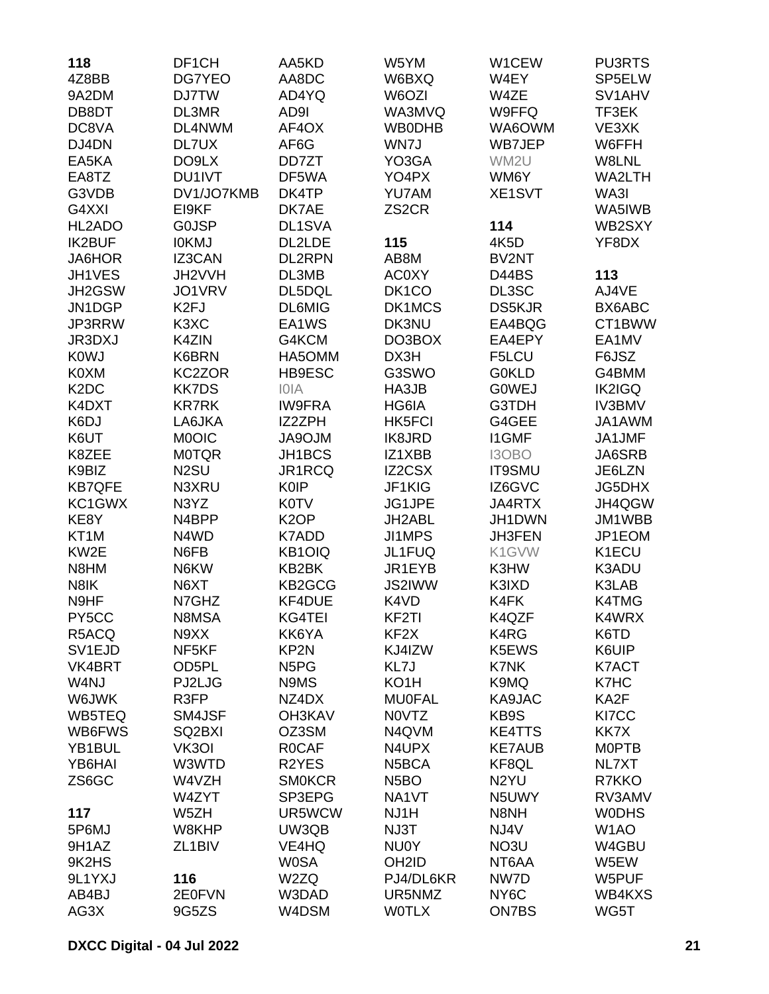| 118                           | DF <sub>1</sub> CH  | AA5KD                         | W5YM               | W1CEW             | <b>PU3RTS</b>                   |
|-------------------------------|---------------------|-------------------------------|--------------------|-------------------|---------------------------------|
| 4Z8BB                         | DG7YEO              | AA8DC                         | W6BXQ              | W4EY              | SP5ELW                          |
| 9A2DM                         | <b>DJ7TW</b>        | AD4YQ                         | W6OZI              | W4ZE              | SV <sub>1</sub> AH <sub>V</sub> |
| DB8DT                         | DL3MR               | AD9I                          | WA3MVQ             | W9FFQ             | TF3EK                           |
| DC8VA                         | DL4NWM              | AF4OX                         | <b>WB0DHB</b>      | WA6OWM            | VE3XK                           |
| DJ4DN                         | DL7UX               | AF6G                          | WN7J               | WB7JEP            | W6FFH                           |
| EA5KA                         | DO9LX               | DD7ZT                         | YO3GA              | WM2U              | W8LNL                           |
| EA8TZ                         | DU1IVT              | DF5WA                         | YO4PX              | WM6Y              | WA2LTH                          |
| G3VDB                         | DV1/JO7KMB          | DK4TP                         | YU7AM              | XE1SVT            | WA3I                            |
| G4XXI                         | EI9KF               | DK7AE                         | ZS <sub>2</sub> CR |                   | WA5IWB                          |
| HL2ADO                        | <b>GOJSP</b>        | DL1SVA                        |                    | 114               | WB2SXY                          |
| <b>IK2BUF</b>                 | <b>IOKMJ</b>        | DL2LDE                        | 115                | 4K5D              | YF8DX                           |
| JA6HOR                        | IZ3CAN              | DL2RPN                        | AB8M               | BV2NT             |                                 |
| JH1VES                        | JH2VVH              | DL3MB                         | <b>AC0XY</b>       | D44BS             | 113                             |
| JH2GSW                        | JO1VRV              | DL5DQL                        | DK <sub>1</sub> CO | DL3SC             | AJ4VE                           |
| JN1DGP                        | K <sub>2FJ</sub>    | <b>DL6MIG</b>                 | DK1MCS             | <b>DS5KJR</b>     | BX6ABC                          |
| JP3RRW                        | K3XC                | EA1WS                         | DK3NU              | EA4BQG            | CT1BWW                          |
| <b>JR3DXJ</b>                 | K4ZIN               | G4KCM                         | DO3BOX             | EA4EPY            | EA1MV                           |
| <b>K0WJ</b>                   | K6BRN               | HA5OMM                        | DX3H               | F5LCU             | F6JSZ                           |
| K0XM                          | KC2ZOR              | HB9ESC                        | G3SWO              | <b>GOKLD</b>      | G4BMM                           |
| K <sub>2</sub> D <sub>C</sub> | <b>KK7DS</b>        | <b>IOIA</b>                   | HA3JB              | <b>GOWEJ</b>      | <b>IK2IGQ</b>                   |
| K4DXT                         | <b>KR7RK</b>        | <b>IW9FRA</b>                 | HG6IA              | G3TDH             | <b>IV3BMV</b>                   |
| K6DJ                          | LA6JKA              | IZ2ZPH                        | <b>HK5FCI</b>      | G4GEE             | JA1AWM                          |
| K6UT                          | <b>MOOIC</b>        | <b>MLORAL</b>                 | <b>IK8JRD</b>      | <b>I1GMF</b>      | JA1JMF                          |
|                               |                     |                               |                    |                   |                                 |
| K8ZEE                         | <b>M0TQR</b>        | JH1BCS                        | IZ1XBB             | I3OBO             | JA6SRB                          |
| K9BIZ                         | N <sub>2</sub> SU   | JR1RCQ<br><b>K0IP</b>         | <b>IZ2CSX</b>      | <b>IT9SMU</b>     | JE6LZN                          |
| <b>KB7QFE</b>                 | N3XRU               |                               | JF1KIG             | IZ6GVC            | <b>JG5DHX</b>                   |
| KC1GWX                        | N3YZ                | <b>K0TV</b>                   | JG1JPE             | JA4RTX            | JH4QGW                          |
| KE8Y                          | N4BPP               | K <sub>2</sub> OP             | JH2ABL             | JH1DWN            | JM1WBB                          |
| KT <sub>1</sub> M             | N4WD                | K7ADD                         | <b>JI1MPS</b>      | JH3FEN            | JP1EOM                          |
| KW2E                          | N6FB                | KB1OIQ                        | JL1FUQ             | K1GVW             | K1ECU                           |
| N8HM                          | N6KW                | KB2BK                         | JR1EYB             | K3HW              | K3ADU                           |
| N8IK                          | N6XT                | KB2GCG                        | <b>JS2IWW</b>      | K3IXD             | K3LAB                           |
| N9HF                          | N7GHZ               | KF4DUE                        | K4VD               | K4FK              | <b>K4TMG</b>                    |
| PY5CC                         | N8MSA               | KG4TEI                        | KF2TI              | K4QZF             | K4WRX                           |
| R5ACQ                         | N9XX                | KK6YA                         | KF <sub>2</sub> X  | K4RG              | K6TD                            |
| SV <sub>1</sub> EJD           | NF <sub>5KF</sub>   | KP2N                          | KJ4IZW             | K5EWS             | K6UIP                           |
| VK4BRT                        | OD5PL               | N <sub>5</sub> P <sub>G</sub> | KL7J               | K7NK              | K7ACT                           |
| W4NJ                          | PJ2LJG              | N9MS                          | KO <sub>1</sub> H  | K9MQ              | K7HC                            |
| W6JWK                         | R3FP                | NZ4DX                         | <b>MU0FAL</b>      | KA9JAC            | KA2F                            |
| WB5TEQ                        | SM4JSF              | <b>OH3KAV</b>                 | N0VTZ              | KB9S              | KI7CC                           |
| WB6FWS                        | SQ2BXI              | OZ3SM                         | N4QVM              | <b>KE4TTS</b>     | KK7X                            |
| YB1BUL                        | VK3OI               | <b>ROCAF</b>                  | N4UPX              | <b>KE7AUB</b>     | <b>MOPTB</b>                    |
| YB6HAI                        | W3WTD               | R <sub>2</sub> YES            | N <sub>5</sub> BCA | KF8QL             | NL7XT                           |
| ZS6GC                         | W4VZH               | <b>SMOKCR</b>                 | N <sub>5</sub> BO  | N <sub>2</sub> YU | R7KKO                           |
|                               | W4ZYT               | SP3EPG                        | NA1VT              | N5UWY             | RV3AMV                          |
| 117                           | W5ZH                | UR5WCW                        | NJ1H               | N8NH              | <b>WODHS</b>                    |
| 5P6MJ                         | W8KHP               | UW3QB                         | NJ3T               | NJ4V              | W <sub>1</sub> AO               |
| 9H1AZ                         | ZL <sub>1</sub> BIV | VE4HQ                         | NU0Y               | NO3U              | W4GBU                           |
| 9K2HS                         |                     | <b>W0SA</b>                   | OH <sub>2ID</sub>  | NT6AA             | W5EW                            |
| 9L1YXJ                        | 116                 | W2ZQ                          | PJ4/DL6KR          | NW7D              | W5PUF                           |
| AB4BJ                         | 2E0FVN              | W3DAD                         | UR5NMZ             | NY <sub>6</sub> C | WB4KXS                          |
| AG3X                          | 9G5ZS               | W4DSM                         | <b>WOTLX</b>       | ON7BS             | WG5T                            |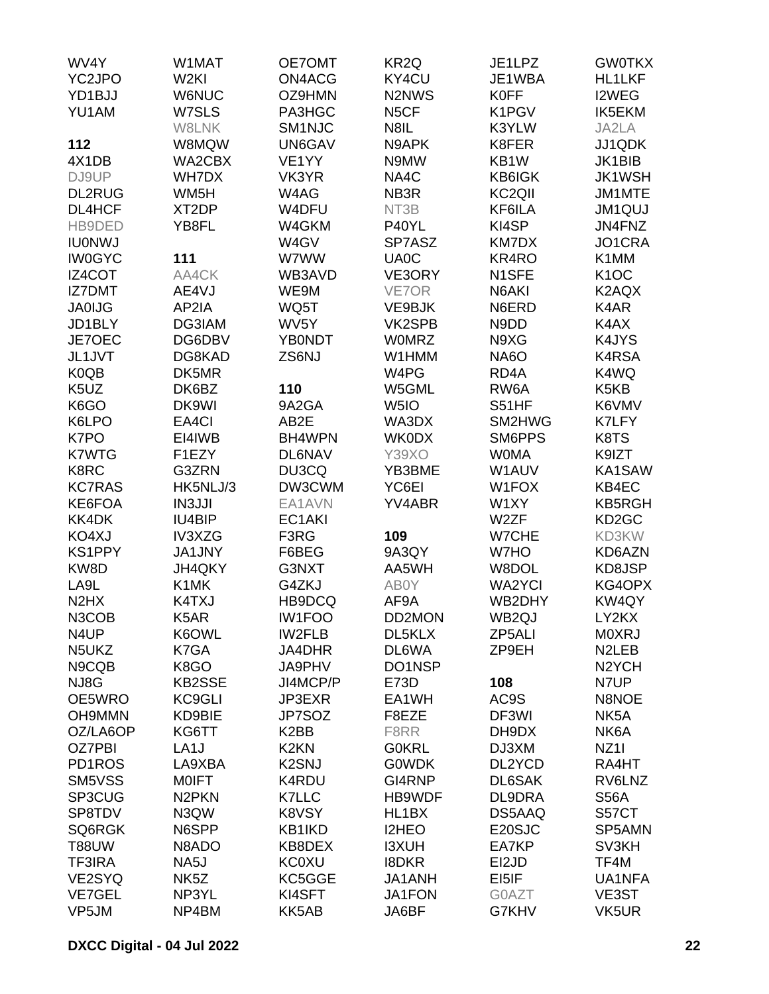| WV4Y                          | W1MAT              | OE7OMT             | KR <sub>2Q</sub>                | JE1LPZ              | <b>GW0TKX</b>              |
|-------------------------------|--------------------|--------------------|---------------------------------|---------------------|----------------------------|
| YC2JPO                        | W <sub>2KI</sub>   | ON4ACG             | KY4CU                           | JE1WBA              | <b>HL1LKF</b>              |
| YD1BJJ                        | <b>W6NUC</b>       | OZ9HMN             | N <sub>2</sub> N <sub>W</sub> S | <b>K0FF</b>         | I2WEG                      |
| YU1AM                         | W7SLS              | PA3HGC             | N <sub>5</sub> CF               | K1PGV               | <b>IK5EKM</b>              |
|                               | W8LNK              | SM1NJC             | N8IL                            | K3YLW               | JA2LA                      |
| 112                           | W8MQW              | UN6GAV             | N9APK                           | K8FER               | JJ1QDK                     |
| 4X1DB                         | WA2CBX             | VE <sub>1</sub> YY | N9MW                            | KB1W                | JK1BIB                     |
| DJ9UP                         | <b>WH7DX</b>       | VK3YR              | NA4C                            | <b>KB6IGK</b>       | <b>JK1WSH</b>              |
| <b>DL2RUG</b>                 | WM <sub>5</sub> H  | W4AG               | NB <sub>3</sub> R               | KC <sub>2</sub> QII | JM1MTE                     |
| DL4HCF                        | XT2DP              |                    | NT3B                            | KF6ILA              | <b>JM1QUJ</b>              |
|                               |                    | W4DFU              |                                 | KI4SP               |                            |
| HB9DED                        | YB8FL              | W4GKM              | P40YL                           |                     | JN4FNZ                     |
| <b>IU0NWJ</b>                 |                    | W4GV               | SP7ASZ                          | KM7DX               | JO1CRA                     |
| <b>IW0GYC</b>                 | 111                | W7WW               | UA0C                            | KR4RO               | K1MM                       |
| IZ4COT                        | AA4CK              | WB3AVD             | VE3ORY                          | N1SFE               | K <sub>1</sub> OC          |
| <b>IZ7DMT</b>                 | AE4VJ              | WE9M               | VE7OR                           | N6AKI               | K2AQX                      |
| <b>JA0IJG</b>                 | AP2IA              | WQ5T               | VE9BJK                          | N6ERD               | K4AR                       |
| JD1BLY                        | DG3IAM             | WV5Y               | VK2SPB                          | N9DD                | K4AX                       |
| JE7OEC                        | DG6DBV             | <b>YB0NDT</b>      | <b>WOMRZ</b>                    | N9XG                | K4JYS                      |
| JL1JVT                        | DG8KAD             | ZS6NJ              | W1HMM                           | <b>NA6O</b>         | K4RSA                      |
| K0QB                          | DK5MR              |                    | W4PG                            | RD <sub>4</sub> A   | K4WQ                       |
| K <sub>5</sub> UZ             | DK6BZ              | 110                | W5GML                           | RW6A                | K5KB                       |
| K6GO                          | DK9WI              | 9A2GA              | W <sub>5I</sub> O               | S51HF               | K6VMV                      |
| K6LPO                         | EA4CI              | AB2E               | WA3DX                           | SM2HWG              | K7LFY                      |
| K7PO                          | EI4IWB             | BH4WPN             | <b>WK0DX</b>                    | SM6PPS              | K8TS                       |
| <b>K7WTG</b>                  | F1EZY              | <b>DL6NAV</b>      | <b>Y39XO</b>                    | <b>WOMA</b>         | K9IZT                      |
| K8RC                          | G3ZRN              | DU3CQ              | YB3BME                          | W1AUV               | KA1SAW                     |
| <b>KC7RAS</b>                 | HK5NLJ/3           | DW3CWM             | YC6EI                           | W1FOX               | KB4EC                      |
| KE6FOA                        | <b>IN3JJI</b>      | EA1AVN             | YV4ABR                          | W1XY                | <b>KB5RGH</b>              |
| KK4DK                         | <b>IU4BIP</b>      | EC1AKI             |                                 | W2ZF                | KD <sub>2</sub> GC         |
| KO4XJ                         | IV3XZG             | F3RG               | 109                             | <b>W7CHE</b>        | KD3KW                      |
| <b>KS1PPY</b>                 | <b>JA1JNY</b>      | F6BEG              | 9A3QY                           | W7HO                | KD6AZN                     |
| KW8D                          | JH4QKY             | G3NXT              | AA5WH                           | W8DOL               | KD8JSP                     |
| LA9L                          | K1MK               | G4ZKJ              | AB0Y                            | <b>WA2YCI</b>       | KG4OPX                     |
| N <sub>2</sub> H <sub>X</sub> | K4TXJ              | HB9DCQ             | AF9A                            | WB2DHY              | KW4QY                      |
| N3COB                         | K5AR               | <b>IW1FOO</b>      | DD2MON                          | WB2QJ               | LY2KX                      |
| N4UP                          | K6OWL              | <b>IW2FLB</b>      | DL5KLX                          | ZP5ALI              | <b>MOXRJ</b>               |
| N5UKZ                         | K7GA               | JA4DHR             | DL6WA                           | ZP9EH               | N <sub>2</sub> LEB         |
|                               | K8GO               |                    |                                 |                     |                            |
| N9CQB                         |                    | JA9PHV             | DO1NSP                          |                     | N <sub>2</sub> YCH<br>N7UP |
| NJ8G                          | <b>KB2SSE</b>      | JI4MCP/P           | E73D                            | 108                 |                            |
| OE5WRO                        | KC9GLI             | JP3EXR             | EA1WH                           | AC9S                | N8NOE                      |
| <b>OH9MMN</b>                 | KD9BIE             | JP7SOZ             | F8EZE                           | DF3WI               | NK <sub>5</sub> A          |
| OZ/LA6OP                      | KG6TT              | K <sub>2</sub> BB  | F8RR                            | DH9DX               | NK6A                       |
| <b>OZ7PBI</b>                 | LA <sub>1</sub> J  | K <sub>2</sub> KN  | <b>G0KRL</b>                    | DJ3XM               | NZ <sub>11</sub>           |
| PD1ROS                        | LA9XBA             | K <sub>2</sub> SNJ | <b>G0WDK</b>                    | DL2YCD              | RA4HT                      |
| SM5VSS                        | <b>MOIFT</b>       | K4RDU              | GI4RNP                          | DL6SAK              | RV6LNZ                     |
| SP3CUG                        | N <sub>2</sub> PKN | <b>K7LLC</b>       | HB9WDF                          | DL9DRA              | <b>S56A</b>                |
| SP8TDV                        | N3QW               | K8VSY              | HL1BX                           | DS5AAQ              | S57CT                      |
| SQ6RGK                        | N6SPP              | KB1IKD             | I2HEO                           | E20SJC              | SP5AMN                     |
| <b>T88UW</b>                  | N8ADO              | KB8DEX             | <b>I3XUH</b>                    | EA7KP               | SV3KH                      |
| <b>TF3IRA</b>                 | NA5J               | <b>KC0XU</b>       | <b>I8DKR</b>                    | EI2JD               | TF4M                       |
| VE2SYQ                        | NK <sub>5</sub> Z  | KC5GGE             | JA1ANH                          | EI5IF               | UA1NFA                     |
| <b>VE7GEL</b>                 | NP3YL              | KI4SFT             | JA1FON                          | G0AZT               | VE3ST                      |
| VP5JM                         | NP4BM              | KK5AB              | JA6BF                           | G7KHV               | VK5UR                      |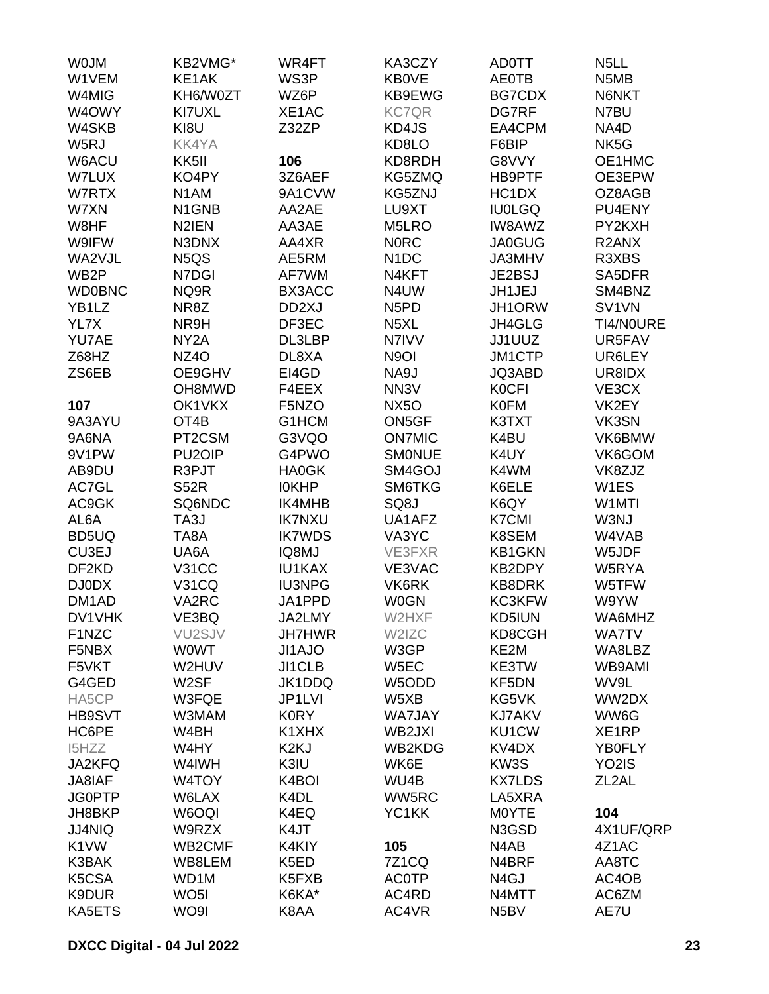| <b>WOJM</b>        | KB2VMG*                        | WR4FT              | KA3CZY                        | <b>AD0TT</b>      | N <sub>5</sub> LL  |
|--------------------|--------------------------------|--------------------|-------------------------------|-------------------|--------------------|
| W1VEM              | KE1AK                          | WS3P               | <b>KB0VE</b>                  | <b>AE0TB</b>      | N5MB               |
| W4MIG              | KH6/W0ZT                       | WZ6P               | KB9EWG                        | <b>BG7CDX</b>     | N6NKT              |
| W4OWY              | KI7UXL                         | XE1AC              | <b>KC7QR</b>                  | DG7RF             | N7BU               |
| W4SKB              | KI8U                           | Z32ZP              | KD4JS                         | EA4CPM            | NA4D               |
| W5RJ               | <b>KK4YA</b>                   |                    | KD8LO                         | F6BIP             | NK5G               |
| W6ACU              | KK5II                          | 106                | KD8RDH                        | G8VVY             | OE1HMC             |
| W7LUX              | KO4PY                          | 3Z6AEF             | KG5ZMQ                        | HB9PTF            | OE3EPW             |
| W7RTX              | N <sub>1</sub> AM              | 9A1CVW             | KG5ZNJ                        | HC1DX             | OZ8AGB             |
| W7XN               | N <sub>1</sub> GN <sub>B</sub> | AA2AE              | LU9XT                         | <b>IU0LGQ</b>     | PU4ENY             |
| W8HF               | N2IEN                          | AA3AE              | M5LRO                         | <b>IW8AWZ</b>     | PY2KXH             |
| W9IFW              | N3DNX                          | AA4XR              | <b>NORC</b>                   | <b>JA0GUG</b>     | R <sub>2</sub> ANX |
| WA2VJL             | N5QS                           | AE5RM              | N <sub>1</sub> DC             | JA3MHV            | R3XBS              |
| WB <sub>2</sub> P  | N7DGI                          | AF7WM              | N4KFT                         | JE2BSJ            | SA5DFR             |
| <b>WD0BNC</b>      | NQ9R                           | BX3ACC             | N4UW                          | JH1JEJ            | SM4BNZ             |
| YB1LZ              | NR8Z                           | DD <sub>2</sub> XJ | N <sub>5</sub> P <sub>D</sub> | JH1ORW            | SV1VN              |
| YL7X               | NR9H                           | DF3EC              | N <sub>5</sub> XL             | JH4GLG            | TI4/N0URE          |
| YU7AE              | NY <sub>2</sub> A              | DL3LBP             | N7IVV                         | JJ1UUZ            | UR5FAV             |
| Z68HZ              | NZ <sub>4</sub> O              | DL8XA              | N <sub>9</sub> OI             | <b>JM1CTP</b>     | UR6LEY             |
| ZS6EB              | OE9GHV                         | EI4GD              | NA9J                          | JQ3ABD            | UR8IDX             |
|                    | OH8MWD                         | F4EEX              | NN <sub>3</sub> V             | <b>K0CFI</b>      | VE3CX              |
| 107                | OK1VKX                         | F5NZO              | <b>NX5O</b>                   | <b>K0FM</b>       | VK2EY              |
| 9A3AYU             | OT <sub>4</sub> B              | G1HCM              | ON5GF                         | K3TXT             | VK3SN              |
| 9A6NA              | PT2CSM                         | G3VQO              | <b>ON7MIC</b>                 | K4BU              | VK6BMW             |
| 9V1PW              | PU <sub>2</sub> OIP            | G4PWO              | <b>SMONUE</b>                 | K4UY              | VK6GOM             |
| AB9DU              | R3PJT                          | <b>HA0GK</b>       | SM4GOJ                        | K4WM              | VK8ZJZ             |
| AC7GL              | <b>S52R</b>                    | <b>IOKHP</b>       | SM6TKG                        | K6ELE             | W1ES               |
| AC9GK              | SQ6NDC                         | IK4MHB             | SQ8J                          | K6QY              | W1MTI              |
| AL6A               | TA3J                           | <b>IK7NXU</b>      | UA1AFZ                        | <b>K7CMI</b>      | W3NJ               |
| BD5UQ              | TA8A                           | <b>IK7WDS</b>      | VA3YC                         | K8SEM             | W4VAB              |
| CU3EJ              | UA6A                           | IQ8MJ              | VE3FXR                        | <b>KB1GKN</b>     | W5JDF              |
| DF <sub>2</sub> KD | <b>V31CC</b>                   | <b>IU1KAX</b>      | VE3VAC                        | KB2DPY            | W5RYA              |
| DJ0DX              | <b>V31CQ</b>                   | <b>IU3NPG</b>      | VK6RK                         | <b>KB8DRK</b>     | W5TFW              |
| DM <sub>1</sub> AD | VA2RC                          | JA1PPD             | <b>W0GN</b>                   | <b>KC3KFW</b>     | W9YW               |
| DV1VHK             | VE3BQ                          | JA2LMY             | W2HXF                         | KD5IUN            | WA6MHZ             |
| F1NZC              | VU <sub>2</sub> SJV            | <b>JH7HWR</b>      | W2IZC                         | KD8CGH            | <b>WA7TV</b>       |
| F5NBX              | <b>WOWT</b>                    | JI1AJO             | W3GP                          | KE2M              | WA8LBZ             |
| F5VKT              | W2HUV                          | JI1CLB             | W5EC                          | KE3TW             | WB9AMI             |
| G4GED              | W <sub>2</sub> SF              | JK1DDQ             | W5ODD                         | KF5DN             | WV9L               |
| HA5CP              | W3FQE                          | JP1LVI             | W5XB                          | KG5VK             | WW2DX              |
| HB9SVT             | W3MAM                          | <b>K0RY</b>        | <b>WA7JAY</b>                 | <b>KJ7AKV</b>     | WW6G               |
| HC6PE              | W4BH                           | K1XHX              | WB2JXI                        | KU1CW             | XE1RP              |
| I5HZZ              | W4HY                           | K2KJ               | WB2KDG                        | KV4DX             | YB0FLY             |
| JA2KFQ             | W4IWH                          | K3IU               | WK6E                          | KW3S              | YO <sub>2</sub> IS |
| JA8IAF             | W4TOY                          | K4BOI              | WU4B                          | <b>KX7LDS</b>     | ZL <sub>2</sub> AL |
| <b>JG0PTP</b>      | W6LAX                          | K4DL               | WW5RC                         | LA5XRA            |                    |
| JH8BKP             | W6OQI                          | K4EQ               | YC1KK                         | <b>MOYTE</b>      | 104                |
| <b>JJ4NIQ</b>      | W9RZX                          | K4JT               |                               | N3GSD             | 4X1UF/QRP          |
| K1VW               | WB2CMF                         | K4KIY              | 105                           | N4AB              | 4Z1AC              |
| K3BAK              | WB8LEM                         | K5ED               | <b>7Z1CQ</b>                  | N4BRF             | AA8TC              |
| K5CSA              | WD1M                           | K5FXB              | <b>AC0TP</b>                  | N <sub>4</sub> GJ | AC4OB              |
| K9DUR              | WO <sub>5</sub> I              | K6KA*              | AC4RD                         | N4MTT             | AC6ZM              |
| KA5ETS             | WO9I                           | K8AA               | AC4VR                         | N <sub>5</sub> BV | AE7U               |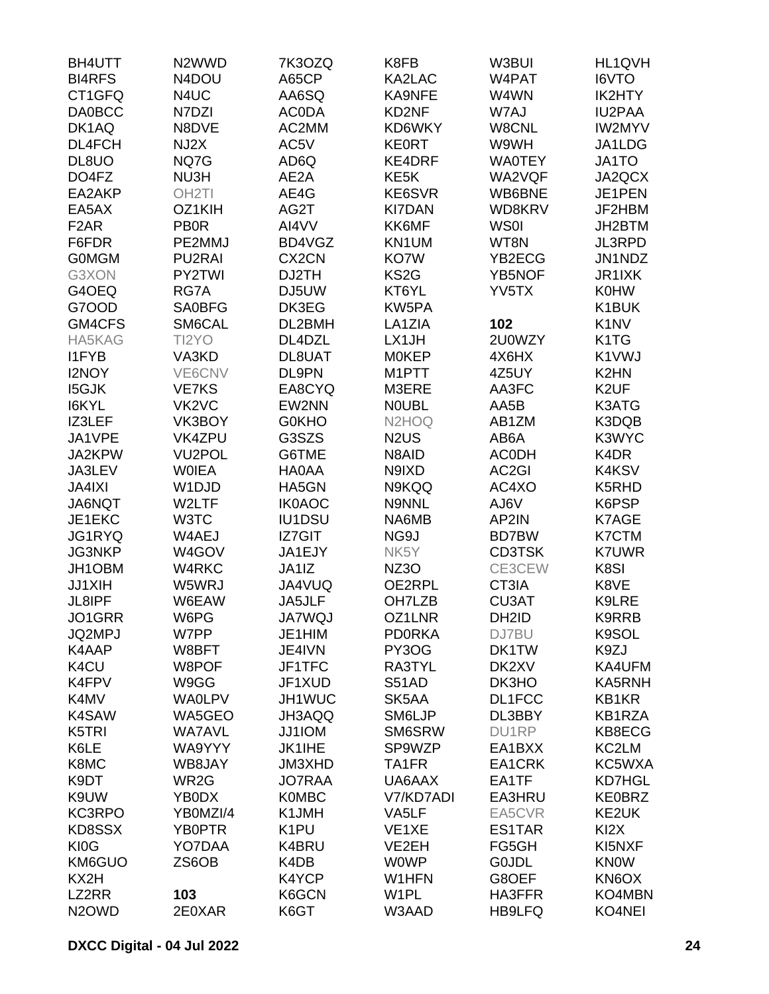| <b>BH4UTT</b>                  | N2WWD                          | 7K3OZQ             | K8FB                           | W3BUI              | HL1QVH                        |
|--------------------------------|--------------------------------|--------------------|--------------------------------|--------------------|-------------------------------|
| <b>BI4RFS</b>                  | N4DOU                          | A65CP              | KA2LAC                         | W4PAT              | I6VTO                         |
| CT1GFQ                         | N4UC                           | AA6SQ              | KA9NFE                         | W4WN               | IK2HTY                        |
| <b>DA0BCC</b>                  | N7DZI                          | <b>ACODA</b>       | KD2NF                          | W7AJ               | <b>IU2PAA</b>                 |
| DK1AQ                          | N8DVE                          | AC2MM              | KD6WKY                         | W8CNL              | <b>IW2MYV</b>                 |
| DL4FCH                         | NJ2X                           | AC5V               | <b>KE0RT</b>                   | W9WH               | JA1LDG                        |
| DL8UO                          | NQ7G                           | AD6Q               | <b>KE4DRF</b>                  | <b>WA0TEY</b>      | JA1TO                         |
| DO4FZ                          | NU3H                           | AE2A               | KE <sub>5</sub> K              | WA2VQF             | JA2QCX                        |
| EA2AKP                         | OH <sub>2</sub> TI             | AE4G               | KE6SVR                         | WB6BNE             | JE1PEN                        |
| EA5AX                          | OZ1KIH                         | AG2T               | <b>KI7DAN</b>                  | WD8KRV             | JF2HBM                        |
| F <sub>2</sub> AR              | <b>PB0R</b>                    | AI4VV              | KK6MF                          | WS0I               | JH2BTM                        |
| F6FDR                          | PE2MMJ                         | BD4VGZ             | KN1UM                          | WT8N               | <b>JL3RPD</b>                 |
| <b>GOMGM</b>                   | PU2RAI                         | CX <sub>2</sub> CN | KO7W                           | YB2ECG             | JN1NDZ                        |
|                                |                                |                    |                                |                    |                               |
| G3XON                          | PY2TWI                         | DJ2TH              | KS <sub>2</sub> G              | <b>YB5NOF</b>      | JR1IXK                        |
| G4OEQ                          | RG7A                           | DJ5UW              | KT6YL                          | YV5TX              | <b>K0HW</b>                   |
| G7OOD                          | SA0BFG                         | DK3EG              | KW5PA                          |                    | K1BUK                         |
| GM4CFS                         | SM6CAL                         | DL2BMH             | LA1ZIA                         | 102                | K <sub>1</sub> N <sub>V</sub> |
| <b>HA5KAG</b>                  | TI2YO                          | DL4DZL             | LX1JH                          | 2U0WZY             | K <sub>1</sub> T <sub>G</sub> |
| <b>I1FYB</b>                   | VA3KD                          | DL8UAT             | <b>MOKEP</b>                   | 4X6HX              | K1VWJ                         |
| <b>I2NOY</b>                   | VE6CNV                         | DL9PN              | M1PTT                          | 4Z5UY              | K <sub>2</sub> HN             |
| <b>I5GJK</b>                   | <b>VE7KS</b>                   | EA8CYQ             | M3ERE                          | AA3FC              | K <sub>2</sub> UF             |
| I6KYL                          | VK <sub>2</sub> V <sub>C</sub> | EW2NN              | <b>NOUBL</b>                   | AA5B               | K3ATG                         |
| IZ3LEF                         | VK3BOY                         | <b>G0KHO</b>       | N <sub>2</sub> H <sub>OQ</sub> | AB1ZM              | K3DQB                         |
| JA1VPE                         | <b>VK4ZPU</b>                  | G3SZS              | N <sub>2</sub> U <sub>S</sub>  | AB6A               | K3WYC                         |
| JA2KPW                         | VU <sub>2</sub> POL            | G6TME              | N8AID                          | <b>ACODH</b>       | K4DR                          |
| JA3LEV                         | <b>WOIEA</b>                   | HA0AA              | N9IXD                          | AC <sub>2</sub> GI | K4KSV                         |
| <b>JA4IXI</b>                  | W1DJD                          | HA5GN              | N9KQQ                          | AC4XO              | K5RHD                         |
| <b>JA6NQT</b>                  | W2LTF                          | <b>IK0AOC</b>      | N9NNL                          | AJ6V               | K6PSP                         |
| JE1EKC                         | W3TC                           | IU1DSU             | NA6MB                          | AP2IN              | K7AGE                         |
| JG1RYQ                         | W4AEJ                          | <b>IZ7GIT</b>      | NG9J                           | <b>BD7BW</b>       | K7CTM                         |
| <b>JG3NKP</b>                  | W4GOV                          | JA1EJY             | NK5Y                           | <b>CD3TSK</b>      | <b>K7UWR</b>                  |
| JH1OBM                         | W4RKC                          | JA1IZ              | <b>NZ3O</b>                    | CE3CEW             | K8SI                          |
| JJ1XIH                         | W5WRJ                          | JA4VUQ             | OE2RPL                         | CT3IA              | K8VE                          |
| JL8IPF                         | W6EAW                          | JA5JLF             | OH7LZB                         | CU3AT              | K9LRE                         |
| JO1GRR                         | W6PG                           | <b>JA7WQJ</b>      | OZ1LNR                         | DH <sub>2</sub> ID | K9RRB                         |
| JQ2MPJ                         | W7PP                           | JE1HIM             | <b>PDORKA</b>                  | DJ7BU              | K9SOL                         |
| K4AAP                          | W8BFT                          | JE4IVN             | PY3OG                          | DK1TW              | K9ZJ                          |
| K4CU                           | W8POF                          | JF1TFC             | RA3TYL                         | DK2XV              | KA4UFM                        |
| K4FPV                          | W9GG                           | JF1XUD             | <b>S51AD</b>                   | DK3HO              | KA5RNH                        |
| K4MV                           | <b>WA0LPV</b>                  | JH1WUC             | SK5AA                          | DL1FCC             | KB1KR                         |
| K4SAW                          | WA5GEO                         | JH3AQQ             | SM6LJP                         | DL3BBY             | KB1RZA                        |
| K5TRI                          | <b>WA7AVL</b>                  | JJ1IOM             | SM6SRW                         | DU1RP              | KB8ECG                        |
| K6LE                           | WA9YYY                         | <b>JK1IHE</b>      | SP9WZP                         | EA1BXX             | KC2LM                         |
| K8MC                           | WB8JAY                         | JM3XHD             | TA1FR                          | EA1CRK             | KC5WXA                        |
| K9DT                           | WR2G                           | <b>JO7RAA</b>      | UA6AAX                         | EA1TF              | <b>KD7HGL</b>                 |
| K9UW                           | YB0DX                          | <b>K0MBC</b>       | V7/KD7ADI                      | EA3HRU             | <b>KE0BRZ</b>                 |
| KC3RPO                         | YB0MZI/4                       | K1JMH              | VA5LF                          | EA5CVR             | KE2UK                         |
| KD8SSX                         | YB0PTR                         | K <sub>1</sub> PU  | VE <sub>1</sub> XE             | ES1TAR             | KI <sub>2</sub> X             |
| KI0G                           |                                |                    |                                |                    |                               |
|                                | YO7DAA                         | K4BRU              | VE2EH<br><b>WOWP</b>           | FG5GH              | KI5NXF                        |
| KM6GUO                         | ZS6OB                          | K4DB               |                                | <b>GOJDL</b>       | <b>KNOW</b>                   |
| KX2H<br>LZ2RR                  |                                | K4YCP              | W1HFN                          | G8OEF              | KN6OX                         |
|                                | 103                            | K6GCN              | W <sub>1</sub> PL              | HA3FFR             | KO4MBN                        |
| N <sub>2</sub> OW <sub>D</sub> | 2E0XAR                         | K6GT               | W3AAD                          | HB9LFQ             | KO4NEI                        |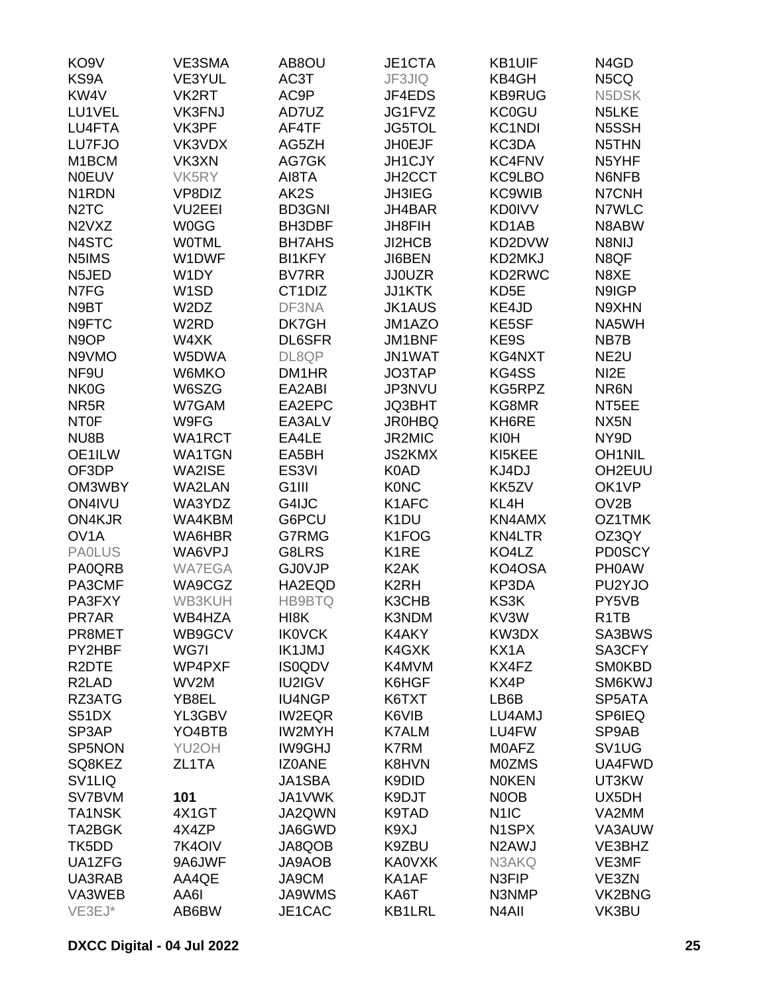| KO <sub>9</sub> V             | VE3SMA                        | AB8OU              | JE1CTA            | <b>KB1UIF</b>      | N <sub>4</sub> GD |
|-------------------------------|-------------------------------|--------------------|-------------------|--------------------|-------------------|
| KS9A                          | VE3YUL                        | AC3T               | JF3JIQ            | KB4GH              | N <sub>5</sub> CQ |
| KW <sub>4</sub> V             | VK2RT                         | AC9P               | JF4EDS            | <b>KB9RUG</b>      | N5DSK             |
| LU1VEL                        | <b>VK3FNJ</b>                 | AD7UZ              | JG1FVZ            | <b>KC0GU</b>       | N5LKE             |
| LU4FTA                        | VK3PF                         | AF4TF              | <b>JG5TOL</b>     | <b>KC1NDI</b>      | N5SSH             |
| LU7FJO                        | VK3VDX                        | AG5ZH              | <b>JH0EJF</b>     | KC3DA              | N5THN             |
| M <sub>1</sub> BCM            | VK3XN                         | AG7GK              | <b>JH1CJY</b>     | <b>KC4FNV</b>      | N5YHF             |
| <b>N0EUV</b>                  | VK5RY                         | AI8TA              | JH2CCT            | KC9LBO             | N6NFB             |
| N <sub>1</sub> RDN            |                               |                    |                   |                    |                   |
|                               | VP8DIZ                        | AK2S               | <b>JH3IEG</b>     | <b>KC9WIB</b>      | N7CNH             |
| N <sub>2</sub> T <sub>C</sub> | VU2EEI                        | <b>BD3GNI</b>      | JH4BAR            | <b>KD0IVV</b>      | N7WLC             |
| N2VXZ                         | <b>W0GG</b>                   | BH3DBF             | <b>JH8FIH</b>     | KD1AB              | N8ABW             |
| N4STC                         | <b>WOTML</b>                  | <b>BH7AHS</b>      | <b>JI2HCB</b>     | KD2DVW             | N8NIJ             |
| N5IMS                         | W1DWF                         | <b>BI1KFY</b>      | JI6BEN            | KD2MKJ             | N8QF              |
| N5JED                         | W1DY                          | <b>BV7RR</b>       | <b>JJ0UZR</b>     | KD2RWC             | N8XE              |
| N7FG                          | W <sub>1</sub> SD             | CT1DIZ             | <b>JJ1KTK</b>     | KD5E               | N9IGP             |
| N9BT                          | W <sub>2</sub> D <sub>Z</sub> | DF3NA              | <b>JK1AUS</b>     | KE4JD              | N9XHN             |
| N9FTC                         | W2RD                          | DK7GH              | JM1AZO            | KE5SF              | NA5WH             |
| N <sub>9</sub> OP             | W4XK                          | <b>DL6SFR</b>      | <b>JM1BNF</b>     | KE9S               | NB7B              |
| N9VMO                         | W5DWA                         | DL8QP              | <b>JN1WAT</b>     | KG4NXT             | NE <sub>2U</sub>  |
| NF9U                          | W6MKO                         | DM1HR              | JO3TAP            | KG4SS              | NI <sub>2</sub> E |
| NK0G                          | W6SZG                         | EA2ABI             | JP3NVU            | KG5RPZ             | NR6N              |
| NR <sub>5</sub> R             | W7GAM                         | EA2EPC             | <b>JQ3BHT</b>     | KG8MR              | NT5EE             |
| <b>NTOF</b>                   | W9FG                          | EA3ALV             | <b>JR0HBQ</b>     | KH6RE              | NX <sub>5</sub> N |
| NU8B                          | WA1RCT                        | EA4LE              | JR2MIC            | <b>KI0H</b>        | NY9D              |
| OE1ILW                        | <b>WA1TGN</b>                 | EA5BH              | <b>JS2KMX</b>     | KI5KEE             | <b>OH1NIL</b>     |
| OF3DP                         | WA2ISE                        | ES <sub>3VI</sub>  | K0AD              | KJ4DJ              | OH2EUU            |
|                               |                               |                    |                   |                    |                   |
| OM3WBY                        | <b>WA2LAN</b>                 | G <sub>1</sub> III | <b>KONC</b>       | KK5ZV              | OK1VP             |
| ON4IVU                        | WA3YDZ                        | G4IJC              | K1AFC             | KL4H               | OV <sub>2</sub> B |
| ON4KJR                        | WA4KBM                        | G6PCU              | K <sub>1</sub> DU | KN4AMX             | OZ1TMK            |
| OV <sub>1</sub> A             | WA6HBR                        | G7RMG              | K1FOG             | <b>KN4LTR</b>      | OZ3QY             |
| <b>PAOLUS</b>                 | WA6VPJ                        | G8LRS              | K <sub>1</sub> RE | KO4LZ              | <b>PD0SCY</b>     |
| PA0QRB                        | <b>WA7EGA</b>                 | <b>GJ0VJP</b>      | K <sub>2</sub> AK | KO4OSA             | <b>PHOAW</b>      |
| PA3CMF                        | WA9CGZ                        | HA2EQD             | K <sub>2</sub> RH | KP3DA              | PU2YJO            |
| PA3FXY                        | WB3KUH                        | <b>HB9BTQ</b>      | K3CHB             | KS3K               | PY5VB             |
| PR7AR                         | WB4HZA                        | HI8K               | K3NDM             | KV3W               | R <sub>1</sub> TB |
| PR8MET                        | WB9GCV                        | <b>IK0VCK</b>      | K4AKY             | KW3DX              | SA3BWS            |
| PY2HBF                        | WG7I                          | <b>IK1JMJ</b>      | K4GXK             | KX1A               | SA3CFY            |
| R <sub>2</sub> DTE            | WP4PXF                        | <b>IS0QDV</b>      | K4MVM             | KX4FZ              | <b>SM0KBD</b>     |
| R <sub>2</sub> LAD            | WV2M                          | <b>IU2IGV</b>      | K6HGF             | KX4P               | SM6KWJ            |
| RZ3ATG                        | YB8EL                         | <b>IU4NGP</b>      | K6TXT             | LB6B               | SP5ATA            |
| <b>S51DX</b>                  | YL3GBV                        | <b>IW2EQR</b>      | K6VIB             | LU4AMJ             | SP6IEQ            |
| SP3AP                         | YO4BTB                        | <b>IW2MYH</b>      | <b>K7ALM</b>      | LU4FW              | SP9AB             |
| SP5NON                        | YU2OH                         | <b>IW9GHJ</b>      | K7RM              | M0AFZ              | SV1UG             |
| SQ8KEZ                        | ZL1TA                         | <b>IZ0ANE</b>      | K8HVN             | <b>MOZMS</b>       | UA4FWD            |
| SV <sub>1</sub> LIQ           |                               | JA1SBA             | K9DID             | <b>NOKEN</b>       | UT3KW             |
|                               |                               | JA1VWK             |                   |                    | UX5DH             |
| SV7BVM                        | 101                           |                    | K9DJT             | N <sub>0</sub> OB  |                   |
| <b>TA1NSK</b>                 | 4X1GT                         | JA2QWN             | K9TAD             | N <sub>1</sub> IC  | VA2MM             |
| TA2BGK                        | 4X4ZP                         | JA6GWD             | K9XJ              | N1SPX              | VA3AUW            |
| TK5DD                         | 7K4OIV                        | JA8QOB             | K9ZBU             | N <sub>2</sub> AWJ | VE3BHZ            |
| UA1ZFG                        | 9A6JWF                        | JA9AOB             | <b>KA0VXK</b>     | N3AKQ              | VE3MF             |
| UA3RAB                        | AA4QE                         | JA9CM              | KA1AF             | N3FIP              | VE3ZN             |
| VA3WEB                        | AA6I                          | <b>JA9WMS</b>      | KA6T              | N3NMP              | VK2BNG            |
| VE3EJ*                        | AB6BW                         | JE1CAC             | <b>KB1LRL</b>     | N <sub>4</sub> AII | VK3BU             |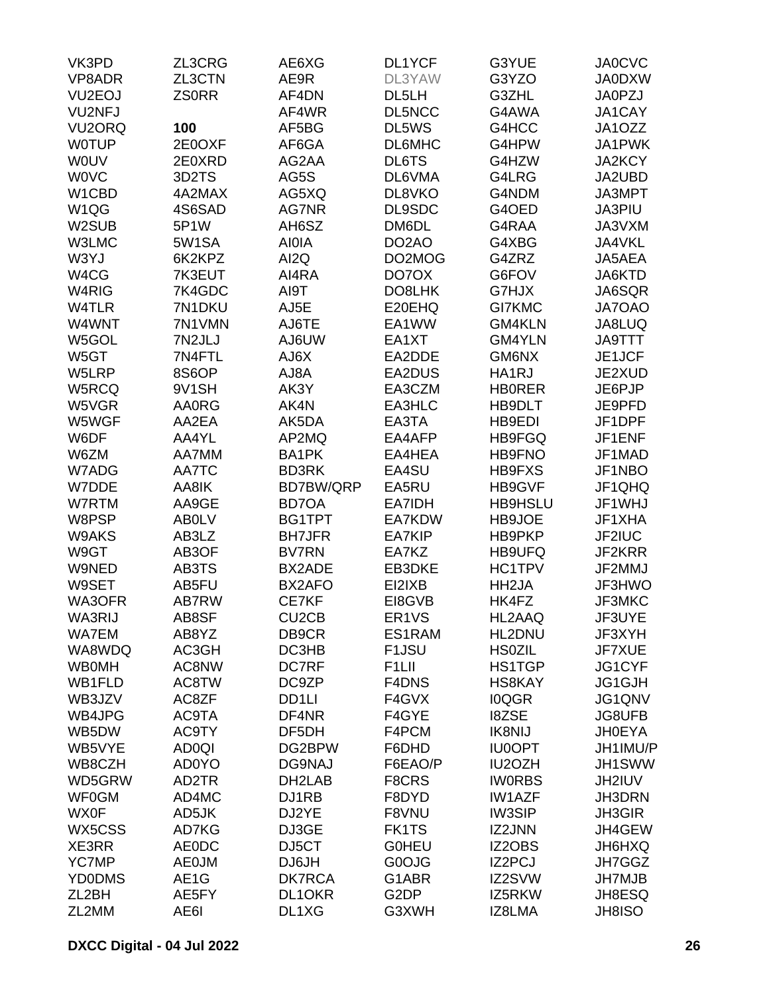| VK3PD               | ZL3CRG       | AE6XG              | DL1YCF             | G3YUE              | <b>JA0CVC</b> |
|---------------------|--------------|--------------------|--------------------|--------------------|---------------|
| VP8ADR              | ZL3CTN       | AE9R               | DL3YAW             | G3YZO              | <b>JA0DXW</b> |
| VU <sub>2</sub> EOJ | <b>ZSORR</b> | AF4DN              | DL5LH              | G3ZHL              | <b>JA0PZJ</b> |
| <b>VU2NFJ</b>       |              | AF4WR              | <b>DL5NCC</b>      | G4AWA              | JA1CAY        |
| VU <sub>2</sub> ORQ | 100          | AF5BG              | DL5WS              | G4HCC              | JA1OZZ        |
| <b>WOTUP</b>        | 2E0OXF       | AF6GA              | DL6MHC             | G4HPW              | JA1PWK        |
| <b>WOUV</b>         | 2E0XRD       | AG2AA              | DL6TS              | G4HZW              | <b>JA2KCY</b> |
| <b>WOVC</b>         | 3D2TS        | AG5S               | DL6VMA             | G4LRG              | JA2UBD        |
| W1CBD               | 4A2MAX       | AG5XQ              | DL8VKO             | G4NDM              | JA3MPT        |
| W1QG                | 4S6SAD       | <b>AG7NR</b>       | DL9SDC             | G4OED              | JA3PIU        |
| W2SUB               | 5P1W         | AH6SZ              | DM6DL              | G4RAA              | JA3VXM        |
| W3LMC               | 5W1SA        | <b>AIOIA</b>       | DO <sub>2</sub> AO | G4XBG              | JA4VKL        |
| W3YJ                | 6K2KPZ       | AI2Q               | DO2MOG             | G4ZRZ              | JA5AEA        |
| W4CG                | 7K3EUT       | AI4RA              | DO7OX              | G6FOV              | JA6KTD        |
| W4RIG               | 7K4GDC       | AI9T               | DO8LHK             | G7HJX              | JA6SQR        |
| W4TLR               | 7N1DKU       |                    | E20EHQ             | <b>GI7KMC</b>      | JA7OAO        |
|                     |              | AJ5E               |                    |                    |               |
| W4WNT               | 7N1VMN       | AJ6TE              | EA1WW              | GM4KLN             | JA8LUQ        |
| W5GOL               | 7N2JLJ       | <b>AJ6UW</b>       | EA1XT              | GM4YLN             | <b>JA9TTT</b> |
| W5GT                | 7N4FTL       | AJ6X               | EA2DDE             | GM6NX              | JE1JCF        |
| W5LRP               | 8S6OP        | AJ8A               | EA2DUS             | HA1RJ              | JE2XUD        |
| W5RCQ               | 9V1SH        | AK3Y               | EA3CZM             | <b>HB0RER</b>      | JE6PJP        |
| W5VGR               | <b>AA0RG</b> | AK4N               | EA3HLC             | HB9DLT             | JE9PFD        |
| W5WGF               | AA2EA        | AK5DA              | EA3TA              | HB9EDI             | JF1DPF        |
| W6DF                | AA4YL        | AP2MQ              | EA4AFP             | HB9FGQ             | JF1ENF        |
| W6ZM                | AA7MM        | BA1PK              | EA4HEA             | <b>HB9FNO</b>      | JF1MAD        |
| W7ADG               | AA7TC        | <b>BD3RK</b>       | EA4SU              | HB9FXS             | JF1NBO        |
| W7DDE               | AA8IK        | BD7BW/QRP          | EA5RU              | HB9GVF             | JF1QHQ        |
| W7RTM               | AA9GE        | <b>BD7OA</b>       | EA7IDH             | <b>HB9HSLU</b>     | JF1WHJ        |
| W8PSP               | <b>ABOLV</b> | BG1TPT             | EA7KDW             | HB9JOE             | JF1XHA        |
| W9AKS               | AB3LZ        | <b>BH7JFR</b>      | <b>EA7KIP</b>      | HB9PKP             | JF2IUC        |
| W9GT                | AB3OF        | <b>BV7RN</b>       | EA7KZ              | HB9UFQ             | JF2KRR        |
| W9NED               | AB3TS        | BX2ADE             | EB3DKE             | HC1TPV             | JF2MMJ        |
| W9SET               | AB5FU        | BX2AFO             | EI2IXB             | HH <sub>2</sub> JA | JF3HWO        |
| WA3OFR              | AB7RW        | CE7KF              | EI8GVB             | HK4FZ              | JF3MKC        |
| WA3RIJ              | AB8SF        | CU <sub>2</sub> CB | ER1VS              | HL2AAQ             | JF3UYE        |
| WA7EM               | AB8YZ        | DB9CR              | ES1RAM             | HL2DNU             | JF3XYH        |
| WA8WDQ              | AC3GH        | DC3HB              | F <sub>1</sub> JSU | <b>HS0ZIL</b>      | JF7XUE        |
| <b>WB0MH</b>        | AC8NW        | DC7RF              | F <sub>1</sub> LII | HS1TGP             | JG1CYF        |
| WB1FLD              | AC8TW        | DC9ZP              | F4DNS              | <b>HS8KAY</b>      | JG1GJH        |
| WB3JZV              | AC8ZF        | DD1LI              | F4GVX              | <b>IOQGR</b>       | JG1QNV        |
| WB4JPG              | AC9TA        | DF4NR              | F4GYE              | <b>I8ZSE</b>       | <b>JG8UFB</b> |
| WB5DW               | AC9TY        | DF5DH              | F4PCM              | <b>IK8NIJ</b>      | <b>JH0EYA</b> |
| WB5VYE              | <b>AD0QI</b> | DG2BPW             | F6DHD              | <b>IU0OPT</b>      | JH1IMU/P      |
| WB8CZH              | <b>AD0YO</b> | DG9NAJ             | F6EAO/P            | IU2OZH             | JH1SWW        |
| WD5GRW              | AD2TR        | DH2LAB             | F8CRS              | <b>IWORBS</b>      | JH2IUV        |
| <b>WF0GM</b>        | AD4MC        | DJ1RB              | F8DYD              | <b>IW1AZF</b>      | JH3DRN        |
| <b>WX0F</b>         | AD5JK        | DJ2YE              | F8VNU              | <b>IW3SIP</b>      | <b>JH3GIR</b> |
| WX5CSS              | AD7KG        | DJ3GE              | FK1TS              | IZ2JNN             | JH4GEW        |
| XE3RR               | <b>AE0DC</b> | DJ5CT              | <b>GOHEU</b>       | IZ2OBS             | JH6HXQ        |
| <b>YC7MP</b>        | <b>AE0JM</b> | DJ6JH              | G0OJG              | IZ2PCJ             | JH7GGZ        |
| <b>YD0DMS</b>       | AE1G         | <b>DK7RCA</b>      | G1ABR              | IZ2SVW             | <b>JH7MJB</b> |
| ZL2BH               | AE5FY        | DL1OKR             | G <sub>2</sub> DP  | IZ5RKW             | JH8ESQ        |
| ZL2MM               | AE6I         | DL1XG              | G3XWH              | IZ8LMA             | <b>JH8ISO</b> |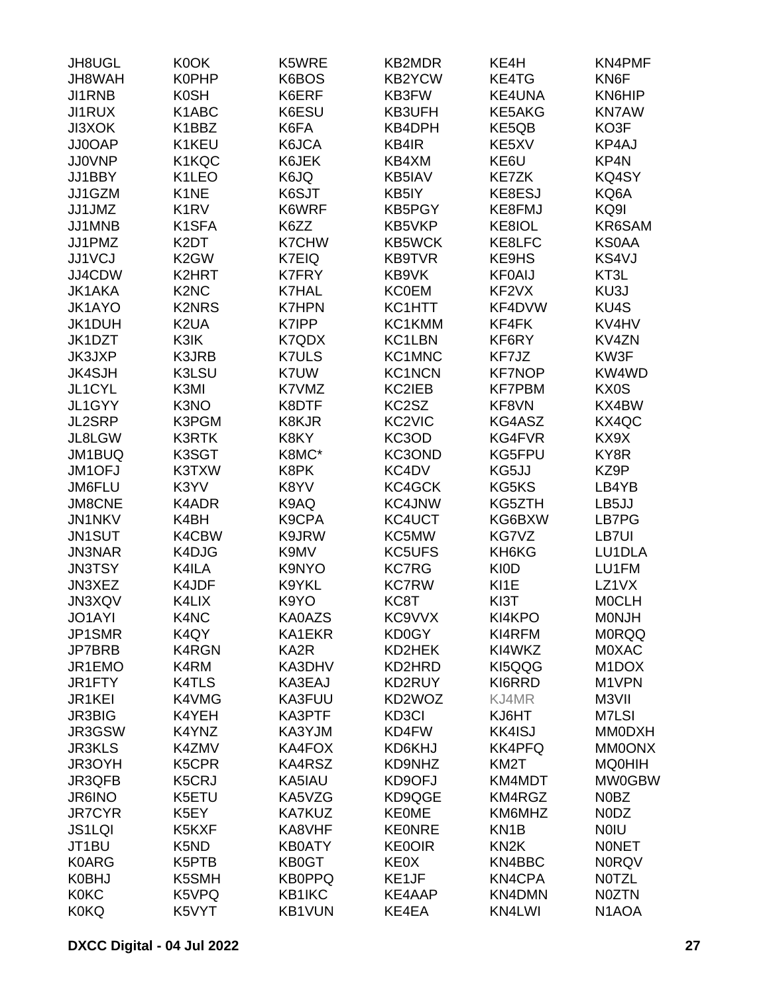| JH8UGL        | K0OK                          | K5WRE             | <b>KB2MDR</b> | KE4H              | <b>KN4PMF</b>      |
|---------------|-------------------------------|-------------------|---------------|-------------------|--------------------|
| JH8WAH        | <b>K0PHP</b>                  | K6BOS             | <b>KB2YCW</b> | KE4TG             | KN6F               |
| JI1RNB        | <b>K0SH</b>                   | K6ERF             | KB3FW         | <b>KE4UNA</b>     | KN6HIP             |
| <b>JI1RUX</b> | K1ABC                         | K6ESU             | KB3UFH        | KE5AKG            | <b>KN7AW</b>       |
| <b>JI3XOK</b> | K1BBZ                         | K6FA              | KB4DPH        | KE5QB             | KO3F               |
| JJ0OAP        | K1KEU                         | K6JCA             | KB4IR         | KE5XV             | KP4AJ              |
| <b>JJ0VNP</b> | K1KQC                         | K6JEK             | KB4XM         | KE6U              | KP4N               |
| JJ1BBY        | K1LEO                         | K6JQ              | KB5IAV        | KE7ZK             | KQ4SY              |
| JJ1GZM        | K <sub>1</sub> NE             | K6SJT             | KB5IY         | KE8ESJ            | KQ6A               |
| JJ1JMZ        | K <sub>1</sub> R <sub>V</sub> | K6WRF             | <b>KB5PGY</b> | KE8FMJ            | KQ9I               |
|               |                               |                   |               |                   | KR6SAM             |
| JJ1MNB        | K <sub>1</sub> SFA            | K6ZZ              | KB5VKP        | KE8IOL            |                    |
| JJ1PMZ        | K <sub>2</sub> DT             | <b>K7CHW</b>      | <b>KB5WCK</b> | KE8LFC            | <b>KS0AA</b>       |
| JJ1VCJ        | K <sub>2</sub> GW             | K7EIQ             | <b>KB9TVR</b> | KE9HS             | KS4VJ              |
| JJ4CDW        | K2HRT                         | <b>K7FRY</b>      | KB9VK         | <b>KF0AIJ</b>     | KT3L               |
| <b>JK1AKA</b> | K <sub>2</sub> N <sub>C</sub> | <b>K7HAL</b>      | <b>KC0EM</b>  | KF2VX             | KU3J               |
| JK1AYO        | <b>K2NRS</b>                  | <b>K7HPN</b>      | KC1HTT        | KF4DVW            | KU4S               |
| JK1DUH        | K <sub>2</sub> UA             | K7IPP             | KC1KMM        | KF4FK             | KV4HV              |
| JK1DZT        | K3IK                          | K7QDX             | KC1LBN        | KF6RY             | KV4ZN              |
| <b>JK3JXP</b> | K3JRB                         | <b>K7ULS</b>      | KC1MNC        | KF7JZ             | KW3F               |
| <b>JK4SJH</b> | K3LSU                         | K7UW              | <b>KC1NCN</b> | <b>KF7NOP</b>     | KW4WD              |
| JL1CYL        | K3MI                          | K7VMZ             | KC2IEB        | <b>KF7PBM</b>     | KX0S               |
| JL1GYY        | K3NO                          | K8DTF             | KC2SZ         | KF8VN             | KX4BW              |
| JL2SRP        | K3PGM                         | K8KJR             | KC2VIC        | KG4ASZ            | KX4QC              |
| JL8LGW        | <b>K3RTK</b>                  | K8KY              | KC3OD         | KG4FVR            | KX9X               |
| JM1BUQ        | K3SGT                         | K8MC*             | KC3OND        | KG5FPU            | KY8R               |
| JM1OFJ        | K3TXW                         | K8PK              | KC4DV         | KG5JJ             | KZ9P               |
| JM6FLU        | K3YV                          | K8YV              | KC4GCK        | KG5KS             | LB4YB              |
| <b>JM8CNE</b> | K4ADR                         | K9AQ              | <b>KC4JNW</b> | KG5ZTH            | LB5JJ              |
| JN1NKV        | K4BH                          | K9CPA             | KC4UCT        | KG6BXW            | LB7PG              |
| JN1SUT        | K4CBW                         | K9JRW             | KC5MW         | KG7VZ             | LB7UI              |
| <b>JN3NAR</b> | K4DJG                         | K9MV              | <b>KC5UFS</b> | KH6KG             | LU1DLA             |
| <b>JN3TSY</b> | K4ILA                         | K9NYO             | <b>KC7RG</b>  | <b>KIOD</b>       | LU1FM              |
| JN3XEZ        | K4JDF                         | K9YKL             | <b>KC7RW</b>  | KI <sub>1</sub> E | LZ1VX              |
| JN3XQV        | K4LIX                         | K9YO              | KC8T          | KI3T              | <b>MOCLH</b>       |
|               |                               |                   |               |                   |                    |
| JO1AYI        | K4NC                          | KA0AZS            | KC9VVX        | KI4KPO            | <b>MONJH</b>       |
| JP1SMR        | K4QY                          | KA1EKR            | KD0GY         | KI4RFM            | <b>MORQQ</b>       |
| <b>JP7BRB</b> | <b>K4RGN</b>                  | KA <sub>2</sub> R | KD2HEK        | KI4WKZ            | <b>MOXAC</b>       |
| JR1EMO        | K4RM                          | KA3DHV            | KD2HRD        | KI5QQG            | M <sub>1</sub> DOX |
| JR1FTY        | <b>K4TLS</b>                  | KA3EAJ            | KD2RUY        | KI6RRD            | M1VPN              |
| JR1KEI        | K4VMG                         | KA3FUU            | KD2WOZ        | KJ4MR             | M3VII              |
| <b>JR3BIG</b> | K4YEH                         | KA3PTF            | KD3CI         | KJ6HT             | M7LSI              |
| JR3GSW        | K4YNZ                         | KA3YJM            | KD4FW         | <b>KK4ISJ</b>     | <b>MM0DXH</b>      |
| <b>JR3KLS</b> | K4ZMV                         | KA4FOX            | KD6KHJ        | <b>KK4PFQ</b>     | <b>MM0ONX</b>      |
| JR3OYH        | K5CPR                         | KA4RSZ            | KD9NHZ        | KM2T              | <b>MQ0HIH</b>      |
| JR3QFB        | K5CRJ                         | KA5IAU            | KD9OFJ        | KM4MDT            | <b>MW0GBW</b>      |
| <b>JR6INO</b> | K5ETU                         | KA5VZG            | KD9QGE        | KM4RGZ            | N0BZ               |
| <b>JR7CYR</b> | K5EY                          | <b>KA7KUZ</b>     | <b>KE0ME</b>  | KM6MHZ            | N0DZ               |
| <b>JS1LQI</b> | K5KXF                         | KA8VHF            | <b>KE0NRE</b> | KN <sub>1</sub> B | <b>NOIU</b>        |
| JT1BU         | K5ND                          | <b>KB0ATY</b>     | <b>KE0OIR</b> | KN <sub>2</sub> K | <b>NONET</b>       |
| <b>K0ARG</b>  | K5PTB                         | KB0GT             | <b>KE0X</b>   | KN4BBC            | <b>N0RQV</b>       |
| <b>K0BHJ</b>  | K5SMH                         | <b>KB0PPQ</b>     | KE1JF         | KN4CPA            | <b>NOTZL</b>       |
| <b>K0KC</b>   | K5VPQ                         | KB1IKC            | KE4AAP        | KN4DMN            | <b>NOZTN</b>       |
| <b>K0KQ</b>   | K5VYT                         | <b>KB1VUN</b>     | KE4EA         | KN4LWI            | N <sub>1</sub> AOA |
|               |                               |                   |               |                   |                    |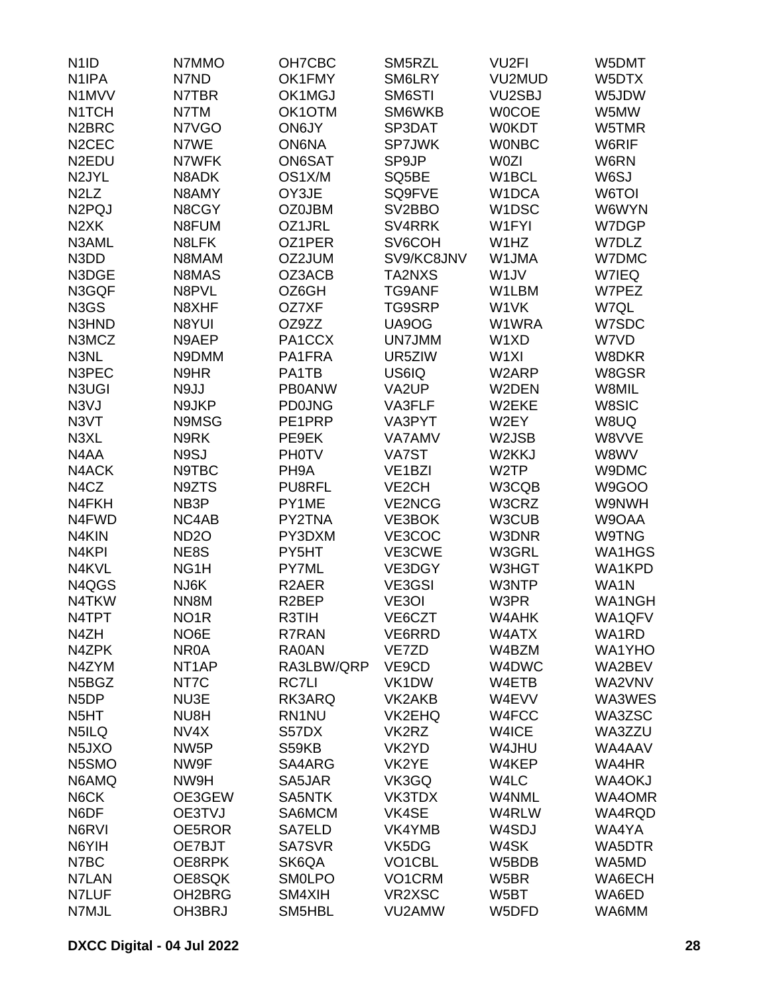| N <sub>1</sub> ID               | N7MMO              | OH7CBC             | SM5RZL              | VU <sub>2FI</sub>  | W5DMT         |
|---------------------------------|--------------------|--------------------|---------------------|--------------------|---------------|
| N <sub>1</sub> IPA              | N7ND               | OK1FMY             | SM6LRY              | VU2MUD             | W5DTX         |
| N1MVV                           | N7TBR              | OK1MGJ             | SM6STI              | VU2SBJ             | W5JDW         |
| N <sub>1</sub> TCH              | N7TM               | OK1OTM             | SM6WKB              | <b>WOCOE</b>       | W5MW          |
|                                 |                    |                    |                     |                    |               |
| N <sub>2</sub> BRC              | N7VGO              | ON6JY              | SP3DAT              | <b>W0KDT</b>       | W5TMR         |
| N <sub>2</sub> CEC              | N7WE               | <b>ON6NA</b>       | SP7JWK              | <b>WONBC</b>       | W6RIF         |
| N <sub>2</sub> EDU              | N7WFK              | ON6SAT             | SP9JP               | <b>W0ZI</b>        | W6RN          |
| N <sub>2JYL</sub>               | N8ADK              | OS1X/M             | SQ5BE               | W1BCL              | W6SJ          |
| N <sub>2</sub> L <sub>Z</sub>   | N8AMY              | OY3JE              | SQ9FVE              | W1DCA              | W6TOI         |
| N <sub>2</sub> PQJ              | N8CGY              | <b>OZ0JBM</b>      | SV <sub>2</sub> BBO | W <sub>1</sub> DSC | W6WYN         |
| N <sub>2</sub> XK               | N8FUM              | OZ1JRL             | SV4RRK              | W1FYI              | W7DGP         |
| N3AML                           | N8LFK              | OZ1PER             | SV6COH              | W1HZ               | W7DLZ         |
| N3DD                            | N8MAM              | OZ2JUM             | SV9/KC8JNV          | W1JMA              | <b>W7DMC</b>  |
| N3DGE                           | N8MAS              | OZ3ACB             | TA2NXS              | W <sub>1</sub> JV  | W7IEQ         |
| N3GQF                           | N8PVL              | OZ6GH              | <b>TG9ANF</b>       | W1LBM              | W7PEZ         |
| N <sub>3</sub> G <sub>S</sub>   | N8XHF              | OZ7XF              | TG9SRP              | W1VK               | W7QL          |
| N3HND                           | N8YUI              | OZ9ZZ              | UA9OG               | W1WRA              | W7SDC         |
| N3MCZ                           | N9AEP              | PA1CCX             | UN7JMM              | W1XD               | W7VD          |
| N3NL                            | N9DMM              | PA1FRA             | UR5ZIW              | W <sub>1XI</sub>   | W8DKR         |
| N3PEC                           | N9HR               | PA1TB              | US6IQ               | W2ARP              | W8GSR         |
| N3UGI                           | N9JJ               | <b>PB0ANW</b>      | VA2UP               | W2DEN              | W8MIL         |
| N <sub>3</sub> VJ               | N9JKP              | <b>PD0JNG</b>      | VA3FLF              | W2EKE              | W8SIC         |
| N3VT                            | N9MSG              | PE1PRP             | VA3PYT              | W2EY               | W8UQ          |
| N3XL                            | N9RK               | PE9EK              | <b>VA7AMV</b>       | W2JSB              | W8VVE         |
| N4AA                            | N9SJ               | <b>PHOTV</b>       | VA7ST               | W2KKJ              | W8WV          |
|                                 |                    |                    |                     |                    |               |
| N4ACK                           | N9TBC              | PH <sub>9</sub> A  | VE <sub>1</sub> BZI | W <sub>2</sub> TP  | W9DMC         |
| N4CZ                            | N9ZTS              | <b>PU8RFL</b>      | VE <sub>2</sub> CH  | W3CQB              | W9GOO         |
| N4FKH                           | NB <sub>3</sub> P  | PY1ME              | <b>VE2NCG</b>       | W3CRZ              | W9NWH         |
| N4FWD                           | NC4AB              | PY2TNA             | VE3BOK              | W3CUB              | W9OAA         |
| N4KIN                           | ND <sub>20</sub>   | PY3DXM             | VE3COC              | W3DNR              | W9TNG         |
| N <sub>4KPI</sub>               | NE8S               | PY5HT              | VE3CWE              | W3GRL              | WA1HGS        |
| N4KVL                           | NG <sub>1</sub> H  | PY7ML              | VE3DGY              | W3HGT              | WA1KPD        |
| N4QGS                           | NJ6K               | R <sub>2</sub> AER | VE3GSI              | W3NTP              | WA1N          |
| N4TKW                           | NN <sub>8</sub> M  | R <sub>2</sub> BEP | VE3OI               | W3PR               | <b>WA1NGH</b> |
| N4TPT                           | NO <sub>1</sub> R  | R3TIH              | VE6CZT              | W4AHK              | WA1QFV        |
| N4ZH                            | NO6E               | <b>R7RAN</b>       | VE6RRD              | W4ATX              | WA1RD         |
| N4ZPK                           | NR <sub>0</sub> A  | <b>RA0AN</b>       | VE7ZD               | W4BZM              | <b>WA1YHO</b> |
| N4ZYM                           | NT <sub>1</sub> AP | RA3LBW/QRP         | VE9CD               | W4DWC              | WA2BEV        |
| N <sub>5</sub> B <sub>GZ</sub>  | NT7C               | <b>RC7LI</b>       | VK1DW               | W4ETB              | WA2VNV        |
| N <sub>5</sub> DP               | NU3E               | RK3ARQ             | VK2AKB              | W4EVV              | WA3WES        |
| N <sub>5</sub> HT               | NU8H               | RN1NU              | VK2EHQ              | W4FCC              | WA3ZSC        |
| N5ILQ                           | NV4X               | S57DX              | VK2RZ               | W4ICE              | WA3ZZU        |
| N <sub>5</sub> J <sub>X</sub> O | NW <sub>5</sub> P  | S59KB              | VK2YD               | W4JHU              | WA4AAV        |
| N5SMO                           | NW9F               | SA4ARG             | VK2YE               | W4KEP              | WA4HR         |
| N6AMQ                           | NW9H               | SA5JAR             | VK3GQ               | W4LC               | WA4OKJ        |
| N6CK                            | OE3GEW             | SA5NTK             | VK3TDX              | W4NML              | WA4OMR        |
| N6DF                            | OE3TVJ             | SA6MCM             | VK4SE               | W4RLW              | WA4RQD        |
| N6RVI                           | OE5ROR             | SA7ELD             | VK4YMB              | W4SDJ              | WA4YA         |
| N6YIH                           |                    | SA7SVR             |                     | W4SK               |               |
|                                 | OE7BJT             |                    | VK5DG               |                    | WA5DTR        |
| N7BC                            | OE8RPK             | SK6QA              | VO1CBL              | W5BDB              | WA5MD         |
| N7LAN                           | OE8SQK             | <b>SMOLPO</b>      | VO1CRM              | W <sub>5</sub> BR  | WA6ECH        |
| N7LUF                           | OH2BRG             | SM4XIH             | VR2XSC              | W5BT               | WA6ED         |
| N7MJL                           | OH3BRJ             | SM5HBL             | VU2AMW              | W5DFD              | WA6MM         |